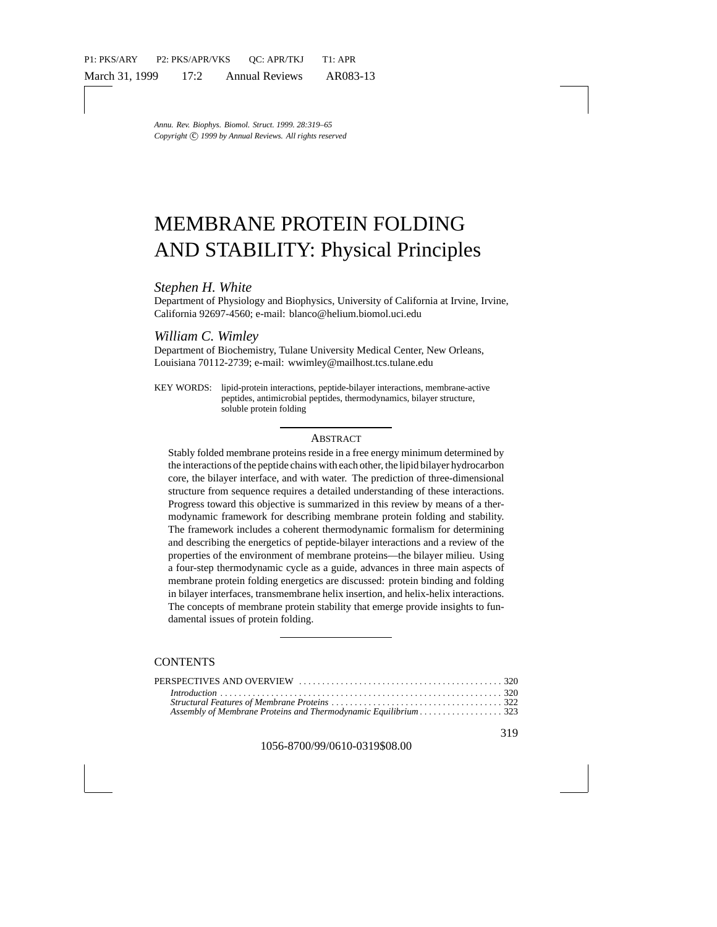# MEMBRANE PROTEIN FOLDING AND STABILITY: Physical Principles

#### *Stephen H. White*

Department of Physiology and Biophysics, University of California at Irvine, Irvine, California 92697-4560; e-mail: blanco@helium.biomol.uci.edu

#### *William C. Wimley*

Department of Biochemistry, Tulane University Medical Center, New Orleans, Louisiana 70112-2739; e-mail: wwimley@mailhost.tcs.tulane.edu

KEY WORDS: lipid-protein interactions, peptide-bilayer interactions, membrane-active peptides, antimicrobial peptides, thermodynamics, bilayer structure, soluble protein folding

#### **ABSTRACT**

Stably folded membrane proteins reside in a free energy minimum determined by the interactions of the peptide chains with each other, the lipid bilayer hydrocarbon core, the bilayer interface, and with water. The prediction of three-dimensional structure from sequence requires a detailed understanding of these interactions. Progress toward this objective is summarized in this review by means of a thermodynamic framework for describing membrane protein folding and stability. The framework includes a coherent thermodynamic formalism for determining and describing the energetics of peptide-bilayer interactions and a review of the properties of the environment of membrane proteins—the bilayer milieu. Using a four-step thermodynamic cycle as a guide, advances in three main aspects of membrane protein folding energetics are discussed: protein binding and folding in bilayer interfaces, transmembrane helix insertion, and helix-helix interactions. The concepts of membrane protein stability that emerge provide insights to fundamental issues of protein folding.

#### **CONTENTS**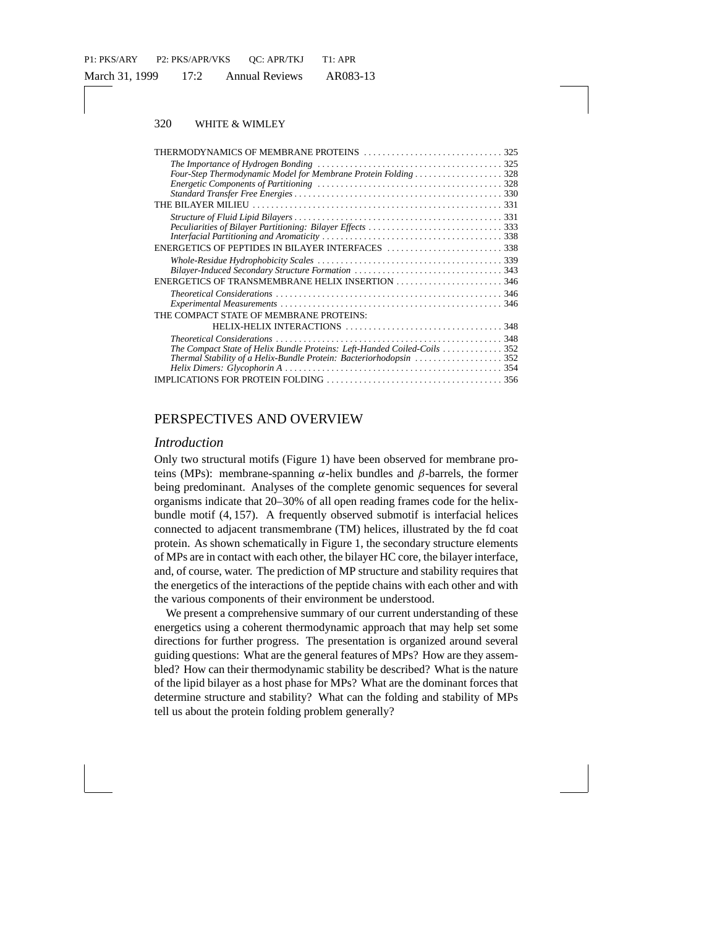| THE COMPACT STATE OF MEMBRANE PROTEINS:                              |     |
|----------------------------------------------------------------------|-----|
|                                                                      |     |
|                                                                      | 348 |
| The Compact State of Helix Bundle Proteins: Left-Handed Coiled-Coils | 352 |
|                                                                      |     |
|                                                                      |     |
|                                                                      |     |
|                                                                      |     |

## PERSPECTIVES AND OVERVIEW

#### *Introduction*

Only two structural motifs (Figure 1) have been observed for membrane proteins (MPs): membrane-spanning α-helix bundles and  $β$ -barrels, the former being predominant. Analyses of the complete genomic sequences for several organisms indicate that 20–30% of all open reading frames code for the helixbundle motif (4, 157). A frequently observed submotif is interfacial helices connected to adjacent transmembrane (TM) helices, illustrated by the fd coat protein. As shown schematically in Figure 1, the secondary structure elements of MPs are in contact with each other, the bilayer HC core, the bilayer interface, and, of course, water. The prediction of MP structure and stability requires that the energetics of the interactions of the peptide chains with each other and with the various components of their environment be understood.

We present a comprehensive summary of our current understanding of these energetics using a coherent thermodynamic approach that may help set some directions for further progress. The presentation is organized around several guiding questions: What are the general features of MPs? How are they assembled? How can their thermodynamic stability be described? What is the nature of the lipid bilayer as a host phase for MPs? What are the dominant forces that determine structure and stability? What can the folding and stability of MPs tell us about the protein folding problem generally?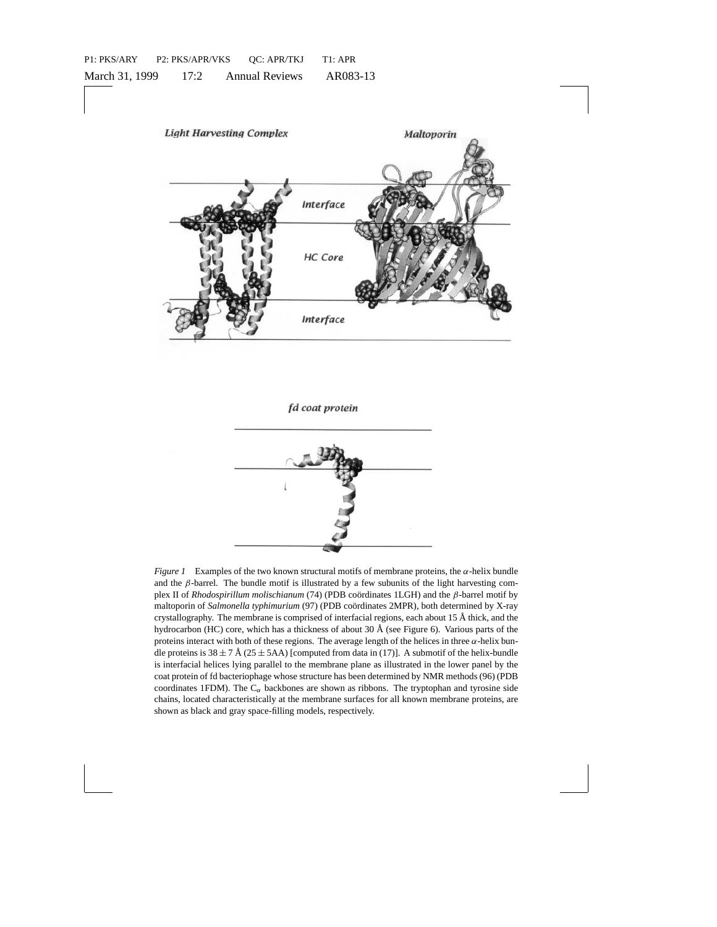

fd coat protein



*Figure 1* Examples of the two known structural motifs of membrane proteins, the  $\alpha$ -helix bundle and the  $\beta$ -barrel. The bundle motif is illustrated by a few subunits of the light harvesting complex II of *Rhodospirillum molischianum* (74) (PDB coördinates 1LGH) and the β-barrel motif by maltoporin of *Salmonella typhimurium* (97) (PDB coördinates 2MPR), both determined by X-ray crystallography. The membrane is comprised of interfacial regions, each about 15 Å thick, and the hydrocarbon (HC) core, which has a thickness of about 30  $\AA$  (see Figure 6). Various parts of the proteins interact with both of these regions. The average length of the helices in three  $\alpha$ -helix bundle proteins is  $38 \pm 7$  Å (25  $\pm$  5AA) [computed from data in (17)]. A submotif of the helix-bundle is interfacial helices lying parallel to the membrane plane as illustrated in the lower panel by the coat protein of fd bacteriophage whose structure has been determined by NMR methods (96) (PDB coordinates 1FDM). The  $C_{\alpha}$  backbones are shown as ribbons. The tryptophan and tyrosine side chains, located characteristically at the membrane surfaces for all known membrane proteins, are shown as black and gray space-filling models, respectively.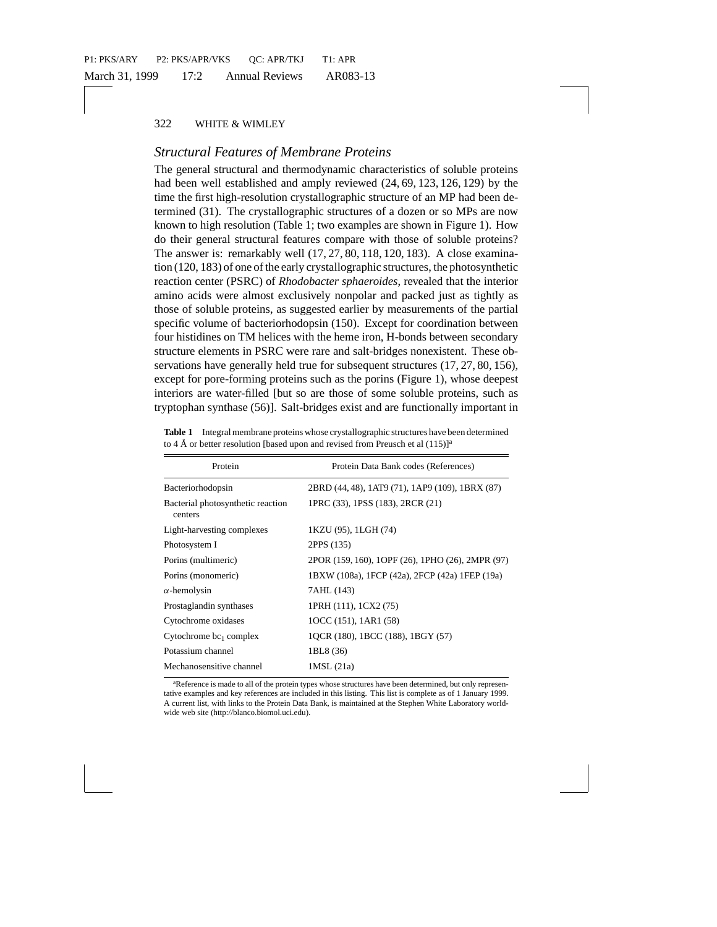## *Structural Features of Membrane Proteins*

The general structural and thermodynamic characteristics of soluble proteins had been well established and amply reviewed (24, 69, 123, 126, 129) by the time the first high-resolution crystallographic structure of an MP had been determined (31). The crystallographic structures of a dozen or so MPs are now known to high resolution (Table 1; two examples are shown in Figure 1). How do their general structural features compare with those of soluble proteins? The answer is: remarkably well (17, 27, 80, 118, 120, 183). A close examination (120, 183) of one of the early crystallographic structures, the photosynthetic reaction center (PSRC) of *Rhodobacter sphaeroides*, revealed that the interior amino acids were almost exclusively nonpolar and packed just as tightly as those of soluble proteins, as suggested earlier by measurements of the partial specific volume of bacteriorhodopsin (150). Except for coordination between four histidines on TM helices with the heme iron, H-bonds between secondary structure elements in PSRC were rare and salt-bridges nonexistent. These observations have generally held true for subsequent structures (17, 27, 80, 156), except for pore-forming proteins such as the porins (Figure 1), whose deepest interiors are water-filled [but so are those of some soluble proteins, such as tryptophan synthase (56)]. Salt-bridges exist and are functionally important in

| Protein                                      | Protein Data Bank codes (References)             |
|----------------------------------------------|--------------------------------------------------|
| Bacteriorhodopsin                            | 2BRD (44, 48), 1AT9 (71), 1AP9 (109), 1BRX (87)  |
| Bacterial photosynthetic reaction<br>centers | 1PRC (33), 1PSS (183), 2RCR (21)                 |
| Light-harvesting complexes                   | 1 KZU (95), 1 LGH (74)                           |
| Photosystem I                                | 2PPS (135)                                       |
| Porins (multimeric)                          | 2POR (159, 160), 1OPF (26), 1PHO (26), 2MPR (97) |
| Porins (monomeric)                           | 1BXW (108a), 1FCP (42a), 2FCP (42a) 1FEP (19a)   |
| $\alpha$ -hemolysin                          | 7AHL (143)                                       |
| Prostaglandin synthases                      | 1PRH (111), 1CX2 (75)                            |
| Cytochrome oxidases                          | 10CC (151), 1AR1 (58)                            |
| Cytochrome $bc_1$ complex                    | 1QCR (180), 1BCC (188), 1BGY (57)                |
| Potassium channel                            | 1BL8 (36)                                        |
| Mechanosensitive channel                     | 1MSL(21a)                                        |

| <b>Table 1</b> Integral membrane proteins whose crystallographic structures have been determined |
|--------------------------------------------------------------------------------------------------|
| to 4 Å or better resolution [based upon and revised from Preusch et al $(115)$ ] <sup>a</sup>    |

<sup>a</sup>Reference is made to all of the protein types whose structures have been determined, but only representative examples and key references are included in this listing. This list is complete as of 1 January 1999. A current list, with links to the Protein Data Bank, is maintained at the Stephen White Laboratory worldwide web site (http://blanco.biomol.uci.edu).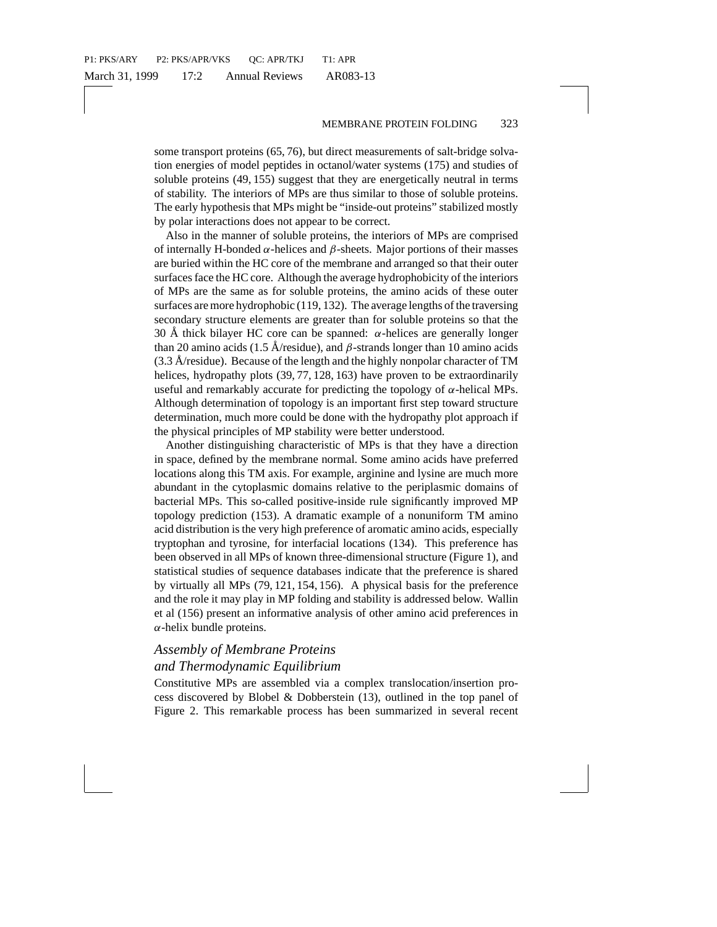some transport proteins (65, 76), but direct measurements of salt-bridge solvation energies of model peptides in octanol/water systems (175) and studies of soluble proteins (49, 155) suggest that they are energetically neutral in terms of stability. The interiors of MPs are thus similar to those of soluble proteins. The early hypothesis that MPs might be "inside-out proteins" stabilized mostly by polar interactions does not appear to be correct.

Also in the manner of soluble proteins, the interiors of MPs are comprised of internally H-bonded α-helices and β-sheets. Major portions of their masses are buried within the HC core of the membrane and arranged so that their outer surfaces face the HC core. Although the average hydrophobicity of the interiors of MPs are the same as for soluble proteins, the amino acids of these outer surfaces are more hydrophobic (119, 132). The average lengths of the traversing secondary structure elements are greater than for soluble proteins so that the 30 Å thick bilayer HC core can be spanned:  $\alpha$ -helices are generally longer than 20 amino acids (1.5 Å/residue), and  $\beta$ -strands longer than 10 amino acids  $(3.3 \text{ Å}/\text{residue})$ . Because of the length and the highly nonpolar character of TM helices, hydropathy plots (39, 77, 128, 163) have proven to be extraordinarily useful and remarkably accurate for predicting the topology of  $\alpha$ -helical MPs. Although determination of topology is an important first step toward structure determination, much more could be done with the hydropathy plot approach if the physical principles of MP stability were better understood.

Another distinguishing characteristic of MPs is that they have a direction in space, defined by the membrane normal. Some amino acids have preferred locations along this TM axis. For example, arginine and lysine are much more abundant in the cytoplasmic domains relative to the periplasmic domains of bacterial MPs. This so-called positive-inside rule significantly improved MP topology prediction (153). A dramatic example of a nonuniform TM amino acid distribution is the very high preference of aromatic amino acids, especially tryptophan and tyrosine, for interfacial locations (134). This preference has been observed in all MPs of known three-dimensional structure (Figure 1), and statistical studies of sequence databases indicate that the preference is shared by virtually all MPs (79, 121, 154, 156). A physical basis for the preference and the role it may play in MP folding and stability is addressed below. Wallin et al (156) present an informative analysis of other amino acid preferences in  $\alpha$ -helix bundle proteins.

## *Assembly of Membrane Proteins and Thermodynamic Equilibrium*

Constitutive MPs are assembled via a complex translocation/insertion process discovered by Blobel & Dobberstein (13), outlined in the top panel of Figure 2. This remarkable process has been summarized in several recent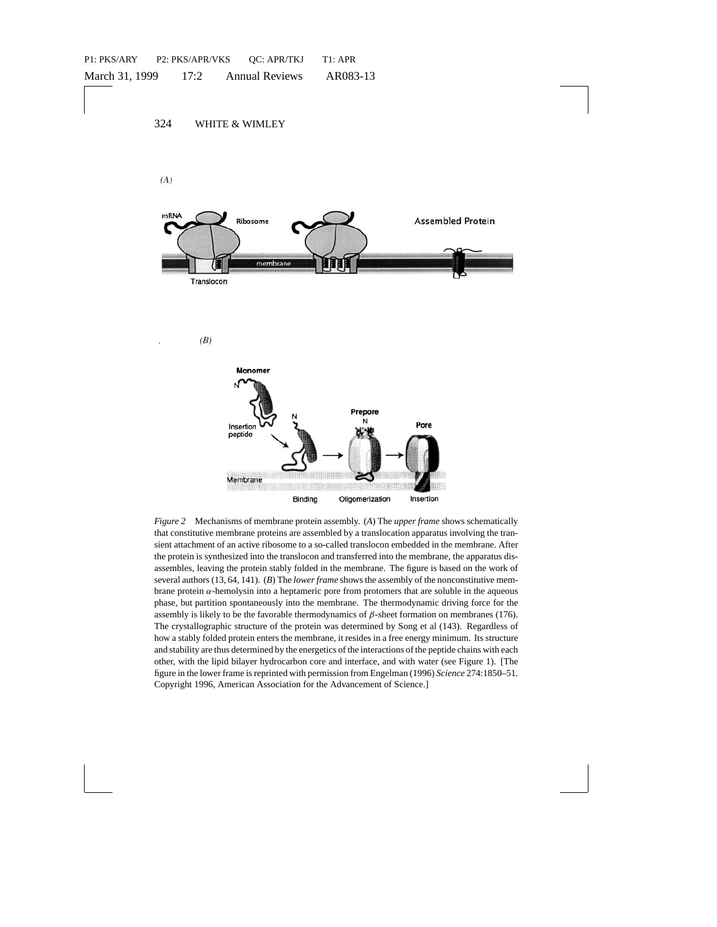$(A)$ 



*Figure 2* Mechanisms of membrane protein assembly. (*A*) The *upper frame* shows schematically that constitutive membrane proteins are assembled by a translocation apparatus involving the transient attachment of an active ribosome to a so-called translocon embedded in the membrane. After the protein is synthesized into the translocon and transferred into the membrane, the apparatus disassembles, leaving the protein stably folded in the membrane. The figure is based on the work of several authors (13, 64, 141). (*B*) The *lower frame* shows the assembly of the nonconstitutive membrane protein  $\alpha$ -hemolysin into a heptameric pore from protomers that are soluble in the aqueous phase, but partition spontaneously into the membrane. The thermodynamic driving force for the assembly is likely to be the favorable thermodynamics of  $\beta$ -sheet formation on membranes (176). The crystallographic structure of the protein was determined by Song et al (143). Regardless of how a stably folded protein enters the membrane, it resides in a free energy minimum. Its structure and stability are thus determined by the energetics of the interactions of the peptide chains with each other, with the lipid bilayer hydrocarbon core and interface, and with water (see Figure 1). [The figure in the lower frame is reprinted with permission from Engelman (1996) *Science* 274:1850–51. Copyright 1996, American Association for the Advancement of Science.]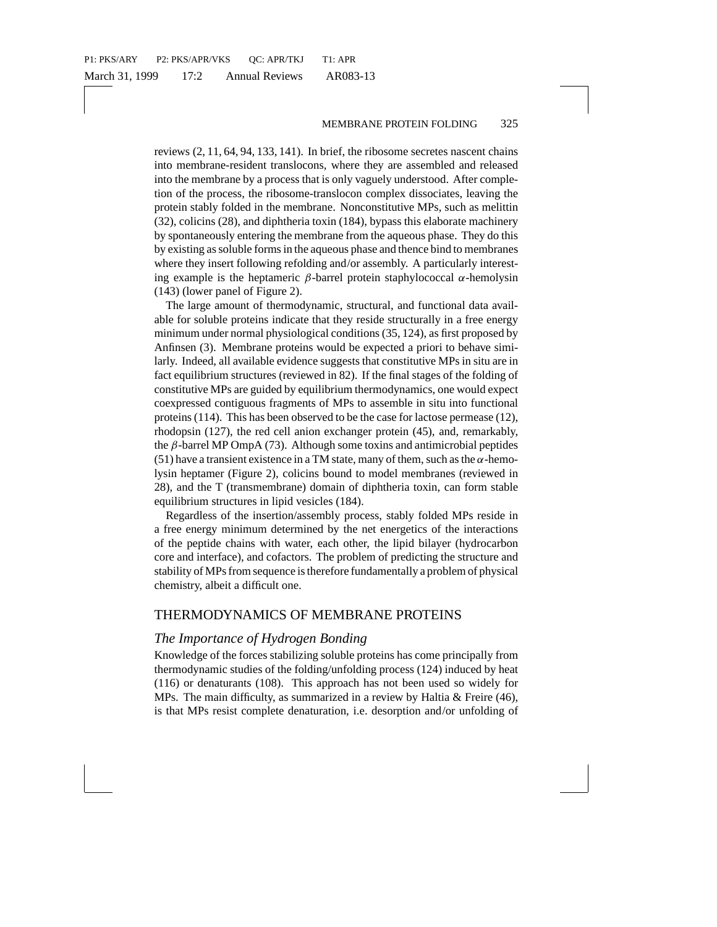reviews (2, 11, 64, 94, 133, 141). In brief, the ribosome secretes nascent chains into membrane-resident translocons, where they are assembled and released into the membrane by a process that is only vaguely understood. After completion of the process, the ribosome-translocon complex dissociates, leaving the protein stably folded in the membrane. Nonconstitutive MPs, such as melittin (32), colicins (28), and diphtheria toxin (184), bypass this elaborate machinery by spontaneously entering the membrane from the aqueous phase. They do this by existing as soluble forms in the aqueous phase and thence bind to membranes where they insert following refolding and/or assembly. A particularly interesting example is the heptameric  $\beta$ -barrel protein staphylococcal  $\alpha$ -hemolysin (143) (lower panel of Figure 2).

The large amount of thermodynamic, structural, and functional data available for soluble proteins indicate that they reside structurally in a free energy minimum under normal physiological conditions (35, 124), as first proposed by Anfinsen (3). Membrane proteins would be expected a priori to behave similarly. Indeed, all available evidence suggests that constitutive MPs in situ are in fact equilibrium structures (reviewed in 82). If the final stages of the folding of constitutive MPs are guided by equilibrium thermodynamics, one would expect coexpressed contiguous fragments of MPs to assemble in situ into functional proteins (114). This has been observed to be the case for lactose permease (12), rhodopsin (127), the red cell anion exchanger protein (45), and, remarkably, the  $\beta$ -barrel MP OmpA (73). Although some toxins and antimicrobial peptides (51) have a transient existence in a TM state, many of them, such as the  $\alpha$ -hemolysin heptamer (Figure 2), colicins bound to model membranes (reviewed in 28), and the T (transmembrane) domain of diphtheria toxin, can form stable equilibrium structures in lipid vesicles (184).

Regardless of the insertion/assembly process, stably folded MPs reside in a free energy minimum determined by the net energetics of the interactions of the peptide chains with water, each other, the lipid bilayer (hydrocarbon core and interface), and cofactors. The problem of predicting the structure and stability of MPs from sequence is therefore fundamentally a problem of physical chemistry, albeit a difficult one.

#### THERMODYNAMICS OF MEMBRANE PROTEINS

#### *The Importance of Hydrogen Bonding*

Knowledge of the forces stabilizing soluble proteins has come principally from thermodynamic studies of the folding/unfolding process (124) induced by heat (116) or denaturants (108). This approach has not been used so widely for MPs. The main difficulty, as summarized in a review by Haltia & Freire (46), is that MPs resist complete denaturation, i.e. desorption and/or unfolding of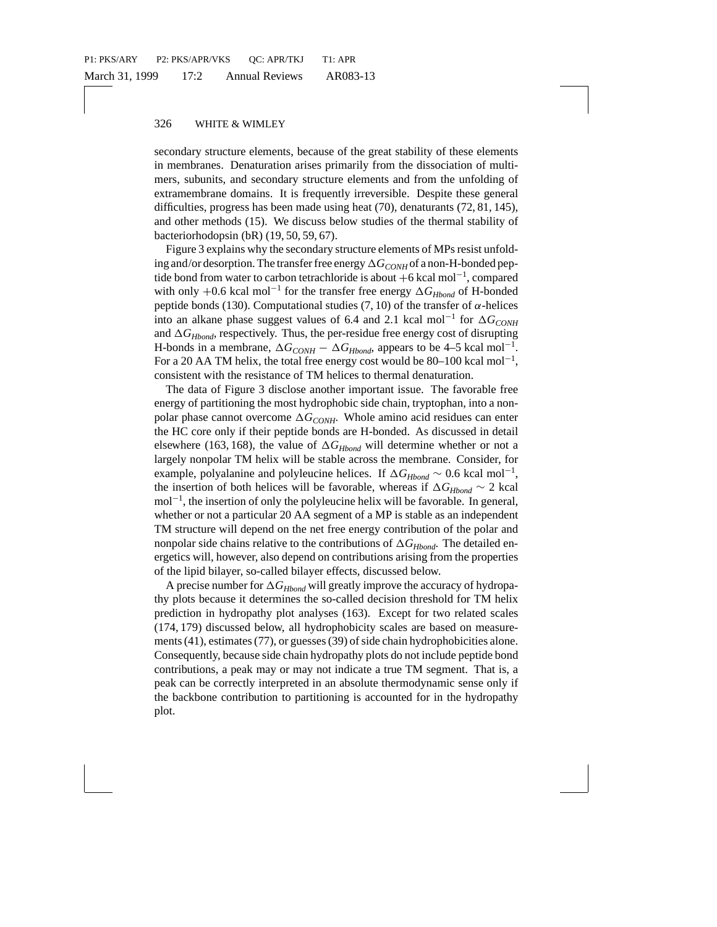secondary structure elements, because of the great stability of these elements in membranes. Denaturation arises primarily from the dissociation of multimers, subunits, and secondary structure elements and from the unfolding of extramembrane domains. It is frequently irreversible. Despite these general difficulties, progress has been made using heat (70), denaturants (72, 81, 145), and other methods (15). We discuss below studies of the thermal stability of bacteriorhodopsin (bR) (19, 50, 59, 67).

Figure 3 explains why the secondary structure elements of MPs resist unfolding and/or desorption. The transfer free energy  $\Delta G_{COMH}$  of a non-H-bonded peptide bond from water to carbon tetrachloride is about +6 kcal mol<sup>−</sup><sup>1</sup> , compared with only +0.6 kcal mol<sup>-1</sup> for the transfer free energy ∆*G<sub>Hbond</sub>* of H-bonded peptide bonds (130). Computational studies (7, 10) of the transfer of  $\alpha$ -helices into an alkane phase suggest values of 6.4 and 2.1 kcal mol<sup>-1</sup> for  $\Delta G_{COMH}$ and  $\Delta G_{Hbond}$ , respectively. Thus, the per-residue free energy cost of disrupting H-bonds in a membrane,  $\Delta G_{COMH} - \Delta G_{Hbond}$ , appears to be 4–5 kcal mol<sup>-1</sup>. For a 20 AA TM helix, the total free energy cost would be  $80-100$  kcal mol<sup>-1</sup>, consistent with the resistance of TM helices to thermal denaturation.

The data of Figure 3 disclose another important issue. The favorable free energy of partitioning the most hydrophobic side chain, tryptophan, into a nonpolar phase cannot overcome  $\Delta G_{COMH}$ . Whole amino acid residues can enter the HC core only if their peptide bonds are H-bonded. As discussed in detail elsewhere (163, 168), the value of  $\Delta G_{Hbond}$  will determine whether or not a largely nonpolar TM helix will be stable across the membrane. Consider, for example, polyalanine and polyleucine helices. If  $\Delta G_{Hbond} \sim 0.6$  kcal mol<sup>-1</sup>, the insertion of both helices will be favorable, whereas if  $\Delta G_{Hbond} \sim 2$  kcal mol<sup>-1</sup>, the insertion of only the polyleucine helix will be favorable. In general, whether or not a particular 20 AA segment of a MP is stable as an independent TM structure will depend on the net free energy contribution of the polar and nonpolar side chains relative to the contributions of  $\Delta G_{Hbond}$ . The detailed energetics will, however, also depend on contributions arising from the properties of the lipid bilayer, so-called bilayer effects, discussed below.

A precise number for  $\Delta G_{Hbond}$  will greatly improve the accuracy of hydropathy plots because it determines the so-called decision threshold for TM helix prediction in hydropathy plot analyses (163). Except for two related scales (174, 179) discussed below, all hydrophobicity scales are based on measurements (41), estimates (77), or guesses (39) of side chain hydrophobicities alone. Consequently, because side chain hydropathy plots do not include peptide bond contributions, a peak may or may not indicate a true TM segment. That is, a peak can be correctly interpreted in an absolute thermodynamic sense only if the backbone contribution to partitioning is accounted for in the hydropathy plot.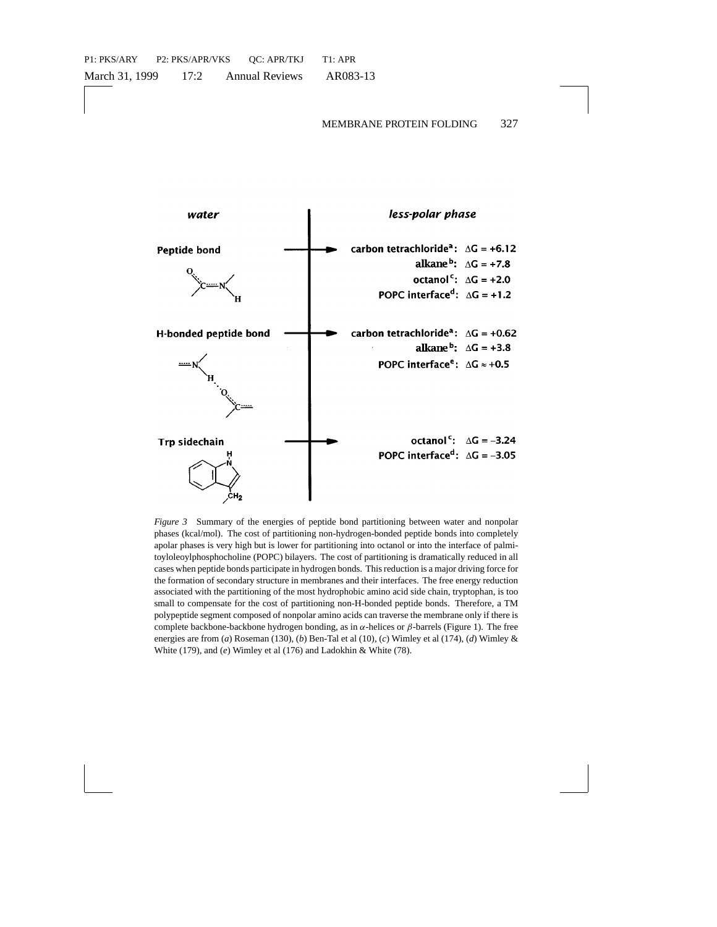

*Figure 3* Summary of the energies of peptide bond partitioning between water and nonpolar phases (kcal/mol). The cost of partitioning non-hydrogen-bonded peptide bonds into completely apolar phases is very high but is lower for partitioning into octanol or into the interface of palmitoyloleoylphosphocholine (POPC) bilayers. The cost of partitioning is dramatically reduced in all cases when peptide bonds participate in hydrogen bonds. This reduction is a major driving force for the formation of secondary structure in membranes and their interfaces. The free energy reduction associated with the partitioning of the most hydrophobic amino acid side chain, tryptophan, is too small to compensate for the cost of partitioning non-H-bonded peptide bonds. Therefore, a TM polypeptide segment composed of nonpolar amino acids can traverse the membrane only if there is complete backbone-backbone hydrogen bonding, as in  $\alpha$ -helices or  $\beta$ -barrels (Figure 1). The free energies are from (*a*) Roseman (130), (*b*) Ben-Tal et al (10), (*c*) Wimley et al (174), (*d*) Wimley & White (179), and (*e*) Wimley et al (176) and Ladokhin & White (78).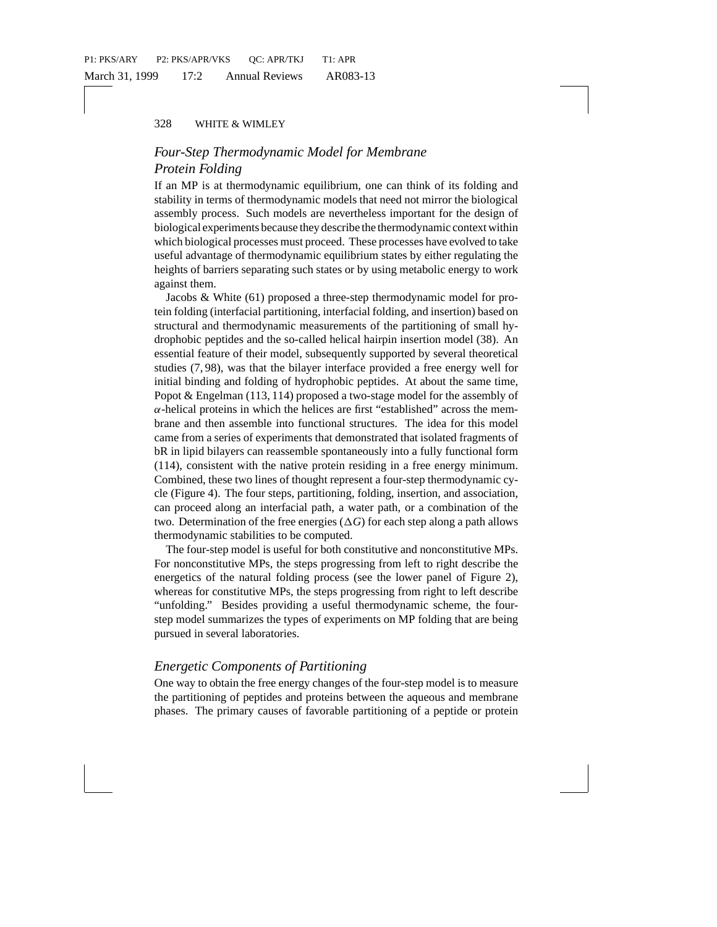## *Four-Step Thermodynamic Model for Membrane Protein Folding*

If an MP is at thermodynamic equilibrium, one can think of its folding and stability in terms of thermodynamic models that need not mirror the biological assembly process. Such models are nevertheless important for the design of biological experiments because they describe the thermodynamic context within which biological processes must proceed. These processes have evolved to take useful advantage of thermodynamic equilibrium states by either regulating the heights of barriers separating such states or by using metabolic energy to work against them.

Jacobs & White (61) proposed a three-step thermodynamic model for protein folding (interfacial partitioning, interfacial folding, and insertion) based on structural and thermodynamic measurements of the partitioning of small hydrophobic peptides and the so-called helical hairpin insertion model (38). An essential feature of their model, subsequently supported by several theoretical studies (7, 98), was that the bilayer interface provided a free energy well for initial binding and folding of hydrophobic peptides. At about the same time, Popot & Engelman (113, 114) proposed a two-stage model for the assembly of  $\alpha$ -helical proteins in which the helices are first "established" across the membrane and then assemble into functional structures. The idea for this model came from a series of experiments that demonstrated that isolated fragments of bR in lipid bilayers can reassemble spontaneously into a fully functional form (114), consistent with the native protein residing in a free energy minimum. Combined, these two lines of thought represent a four-step thermodynamic cycle (Figure 4). The four steps, partitioning, folding, insertion, and association, can proceed along an interfacial path, a water path, or a combination of the two. Determination of the free energies  $(\Delta G)$  for each step along a path allows thermodynamic stabilities to be computed.

The four-step model is useful for both constitutive and nonconstitutive MPs. For nonconstitutive MPs, the steps progressing from left to right describe the energetics of the natural folding process (see the lower panel of Figure 2), whereas for constitutive MPs, the steps progressing from right to left describe "unfolding." Besides providing a useful thermodynamic scheme, the fourstep model summarizes the types of experiments on MP folding that are being pursued in several laboratories.

## *Energetic Components of Partitioning*

One way to obtain the free energy changes of the four-step model is to measure the partitioning of peptides and proteins between the aqueous and membrane phases. The primary causes of favorable partitioning of a peptide or protein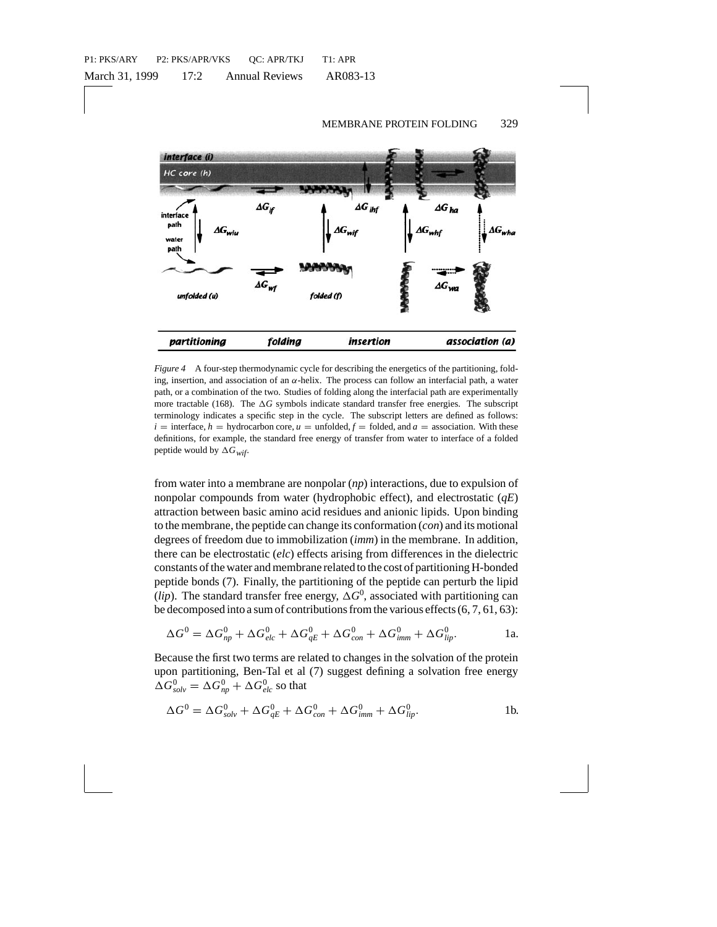

*Figure 4* A four-step thermodynamic cycle for describing the energetics of the partitioning, folding, insertion, and association of an  $\alpha$ -helix. The process can follow an interfacial path, a water path, or a combination of the two. Studies of folding along the interfacial path are experimentally more tractable (168). The  $\Delta G$  symbols indicate standard transfer free energies. The subscript terminology indicates a specific step in the cycle. The subscript letters are defined as follows:  $i =$  interface,  $h =$  hydrocarbon core,  $u =$  unfolded,  $f =$  folded, and  $a =$  association. With these definitions, for example, the standard free energy of transfer from water to interface of a folded peptide would by  $\Delta G_{wif}$ .

from water into a membrane are nonpolar (*np*) interactions, due to expulsion of nonpolar compounds from water (hydrophobic effect), and electrostatic (*qE*) attraction between basic amino acid residues and anionic lipids. Upon binding to the membrane, the peptide can change its conformation (*con*) and its motional degrees of freedom due to immobilization (*imm*) in the membrane. In addition, there can be electrostatic (*elc*) effects arising from differences in the dielectric constants of the water and membrane related to the cost of partitioning H-bonded peptide bonds (7). Finally, the partitioning of the peptide can perturb the lipid (*lip*). The standard transfer free energy,  $\Delta G^0$ , associated with partitioning can be decomposed into a sum of contributions from the various effects (6, 7, 61, 63):

$$
\Delta G^0 = \Delta G_{np}^0 + \Delta G_{elc}^0 + \Delta G_{qE}^0 + \Delta G_{con}^0 + \Delta G_{imm}^0 + \Delta G_{lip}^0.
$$
 1a.

Because the first two terms are related to changes in the solvation of the protein upon partitioning, Ben-Tal et al (7) suggest defining a solvation free energy  $\Delta G_{solv}^0 = \Delta G_{np}^0 + \Delta G_{elc}^0$  so that

$$
\Delta G^0 = \Delta G_{solv}^0 + \Delta G_{qE}^0 + \Delta G_{con}^0 + \Delta G_{imm}^0 + \Delta G_{lip}^0.
$$
 1b.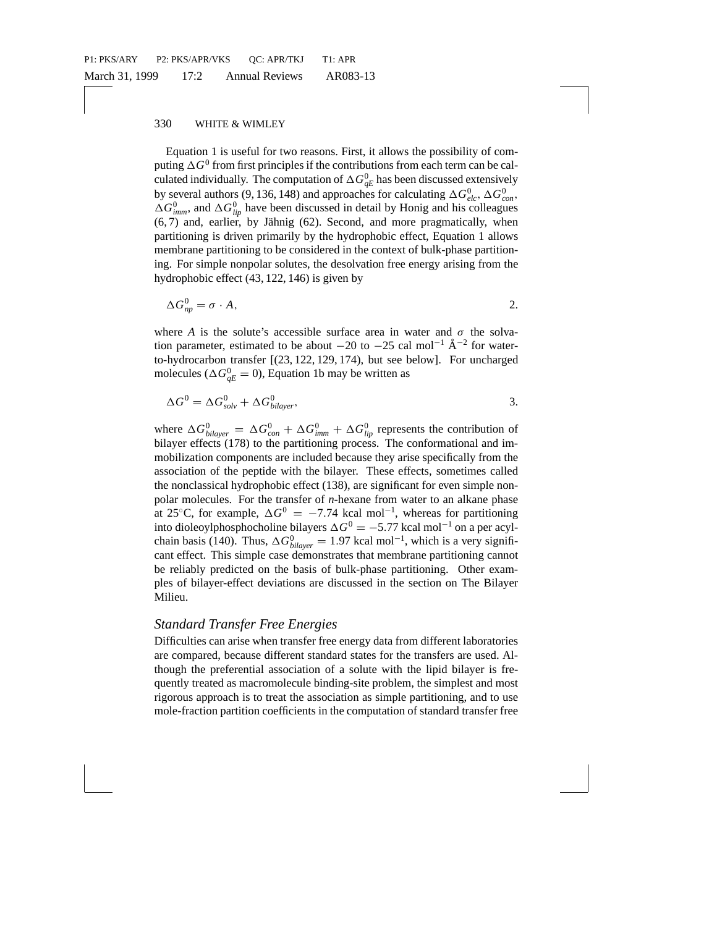Equation 1 is useful for two reasons. First, it allows the possibility of computing  $\Delta G^0$  from first principles if the contributions from each term can be calculated individually. The computation of  $\Delta G_{qE}^0$  has been discussed extensively by several authors (9, 136, 148) and approaches for calculating  $\Delta G_{elc}^0$ ,  $\Delta G_{con}^0$ ,  $\Delta G_{\text{imm}}^0$ , and  $\Delta G_{\text{lip}}^0$  have been discussed in detail by Honig and his colleagues  $(6, 7)$  and, earlier, by Jähnig  $(62)$ . Second, and more pragmatically, when partitioning is driven primarily by the hydrophobic effect, Equation 1 allows membrane partitioning to be considered in the context of bulk-phase partitioning. For simple nonpolar solutes, the desolvation free energy arising from the hydrophobic effect (43, 122, 146) is given by

$$
\Delta G_{np}^0 = \sigma \cdot A, \qquad (2)
$$

where *A* is the solute's accessible surface area in water and  $\sigma$  the solvation parameter, estimated to be about  $-20$  to  $-25$  cal mol<sup>-1</sup>  $\rm \AA^{-2}$  for waterto-hydrocarbon transfer [(23, 122, 129, 174), but see below]. For uncharged molecules ( $\Delta G_{qE}^0 = 0$ ), Equation 1b may be written as

$$
\Delta G^0 = \Delta G_{solv}^0 + \Delta G_{bilayer}^0,
$$

where  $\Delta G_{bilayer}^0 = \Delta G_{con}^0 + \Delta G_{imm}^0 + \Delta G_{lip}^0$  represents the contribution of bilayer effects (178) to the partitioning process. The conformational and immobilization components are included because they arise specifically from the association of the peptide with the bilayer. These effects, sometimes called the nonclassical hydrophobic effect (138), are significant for even simple nonpolar molecules. For the transfer of *n*-hexane from water to an alkane phase at 25 $\degree$ C, for example,  $\Delta G^0 = -7.74$  kcal mol<sup>-1</sup>, whereas for partitioning into dioleoylphosphocholine bilayers  $\Delta G^{0} = -5.77$  kcal mol<sup>-1</sup> on a per acylchain basis (140). Thus,  $\Delta G_{bilayer}^0 = 1.97$  kcal mol<sup>-1</sup>, which is a very significant effect. This simple case demonstrates that membrane partitioning cannot be reliably predicted on the basis of bulk-phase partitioning. Other examples of bilayer-effect deviations are discussed in the section on The Bilayer Milieu.

## *Standard Transfer Free Energies*

Difficulties can arise when transfer free energy data from different laboratories are compared, because different standard states for the transfers are used. Although the preferential association of a solute with the lipid bilayer is frequently treated as macromolecule binding-site problem, the simplest and most rigorous approach is to treat the association as simple partitioning, and to use mole-fraction partition coefficients in the computation of standard transfer free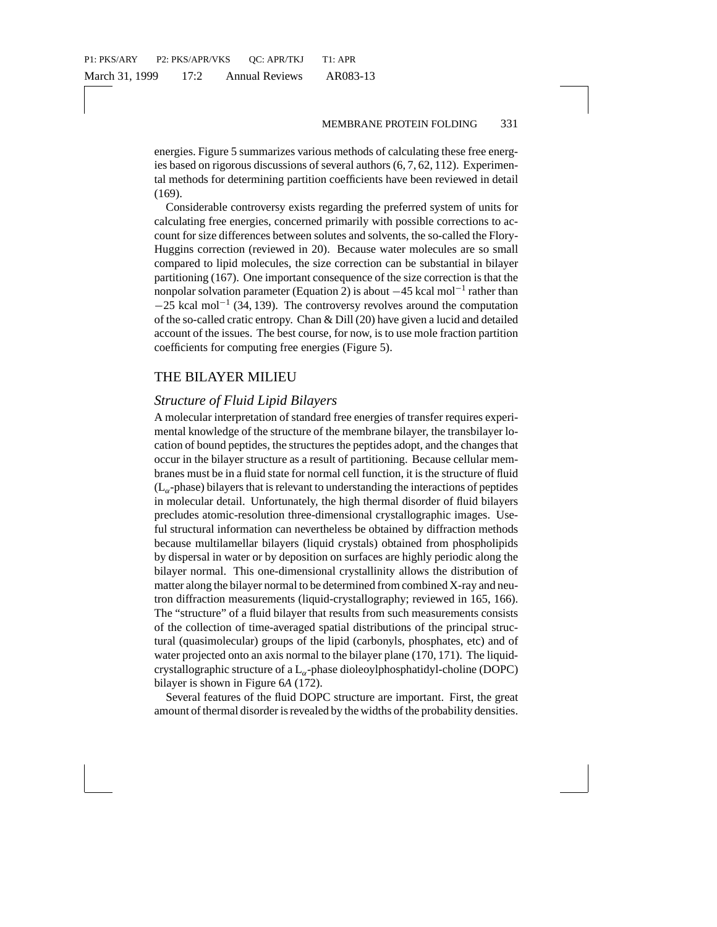energies. Figure 5 summarizes various methods of calculating these free energies based on rigorous discussions of several authors (6, 7, 62, 112). Experimental methods for determining partition coefficients have been reviewed in detail (169).

Considerable controversy exists regarding the preferred system of units for calculating free energies, concerned primarily with possible corrections to account for size differences between solutes and solvents, the so-called the Flory-Huggins correction (reviewed in 20). Because water molecules are so small compared to lipid molecules, the size correction can be substantial in bilayer partitioning (167). One important consequence of the size correction is that the nonpolar solvation parameter (Equation 2) is about  $-45$  kcal mol<sup>-1</sup> rather than  $-25$  kcal mol<sup>-1</sup> (34, 139). The controversy revolves around the computation of the so-called cratic entropy. Chan & Dill (20) have given a lucid and detailed account of the issues. The best course, for now, is to use mole fraction partition coefficients for computing free energies (Figure 5).

#### THE BILAYER MILIEU

#### *Structure of Fluid Lipid Bilayers*

A molecular interpretation of standard free energies of transfer requires experimental knowledge of the structure of the membrane bilayer, the transbilayer location of bound peptides, the structures the peptides adopt, and the changes that occur in the bilayer structure as a result of partitioning. Because cellular membranes must be in a fluid state for normal cell function, it is the structure of fluid  $(L_{\alpha}$ -phase) bilayers that is relevant to understanding the interactions of peptides in molecular detail. Unfortunately, the high thermal disorder of fluid bilayers precludes atomic-resolution three-dimensional crystallographic images. Useful structural information can nevertheless be obtained by diffraction methods because multilamellar bilayers (liquid crystals) obtained from phospholipids by dispersal in water or by deposition on surfaces are highly periodic along the bilayer normal. This one-dimensional crystallinity allows the distribution of matter along the bilayer normal to be determined from combined X-ray and neutron diffraction measurements (liquid-crystallography; reviewed in 165, 166). The "structure" of a fluid bilayer that results from such measurements consists of the collection of time-averaged spatial distributions of the principal structural (quasimolecular) groups of the lipid (carbonyls, phosphates, etc) and of water projected onto an axis normal to the bilayer plane (170, 171). The liquidcrystallographic structure of a  $L_{\alpha}$ -phase dioleoylphosphatidyl-choline (DOPC) bilayer is shown in Figure 6*A* (172).

Several features of the fluid DOPC structure are important. First, the great amount of thermal disorder is revealed by the widths of the probability densities.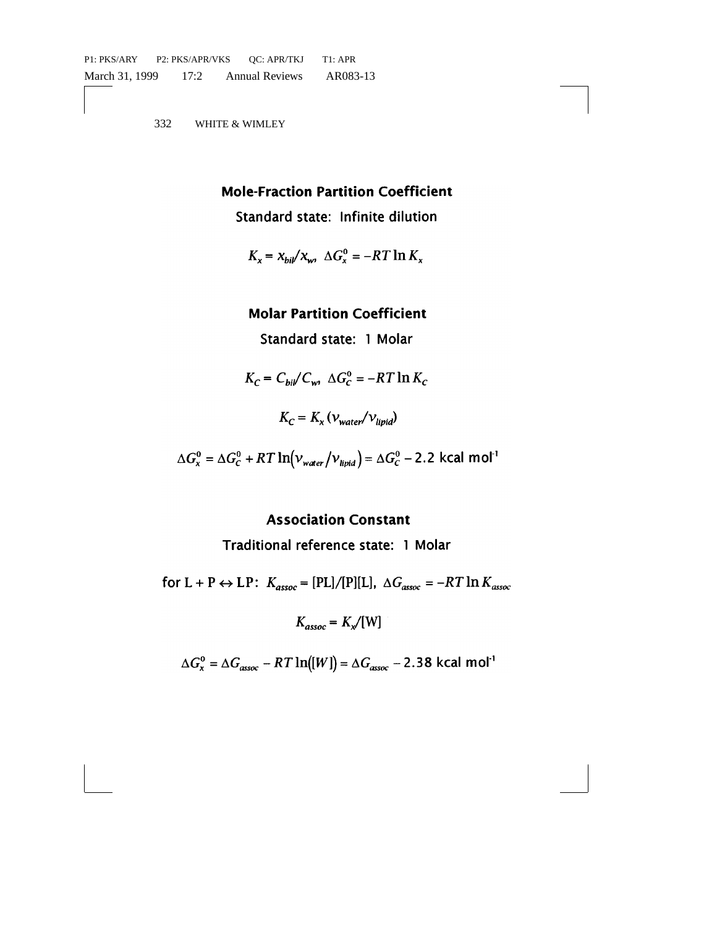## **Mole-Fraction Partition Coefficient** Standard state: Infinite dilution

$$
K_{\rm x} = x_{\rm bi}/x_{\rm w}, \ \Delta G_{\rm x}^{\rm o} = -RT \ln K_{\rm x}
$$

# **Molar Partition Coefficient** Standard state: 1 Molar  $K_c = C_{\text{hi}}/C_{\text{wa}}$   $\Delta G_c^0 = -RT \ln K_c$

 $K_c = K_x (v_{water}/v_{bind})$ 

 $\Delta G_x^0 = \Delta G_C^0 + RT \ln \left(\frac{V_{water}}{V_{lipid}}\right) = \Delta G_C^0 - 2.2$  kcal mol<sup>-1</sup>

## **Association Constant**

Traditional reference state: 1 Molar

for L + P  $\leftrightarrow$  LP:  $K_{assoc} = [PL]/[P][L]$ ,  $\Delta G_{assoc} = -RT \ln K_{assoc}$ 

$$
K_{assoc} = K_{\mathsf{x}} / [\mathsf{W}]
$$

$$
\Delta G_{\rm x}^{\rm o} = \Delta G_{\rm assoc} - RT \ln([W]) = \Delta G_{\rm assoc} - 2.38 \text{ kcal mol}^{\rm t}
$$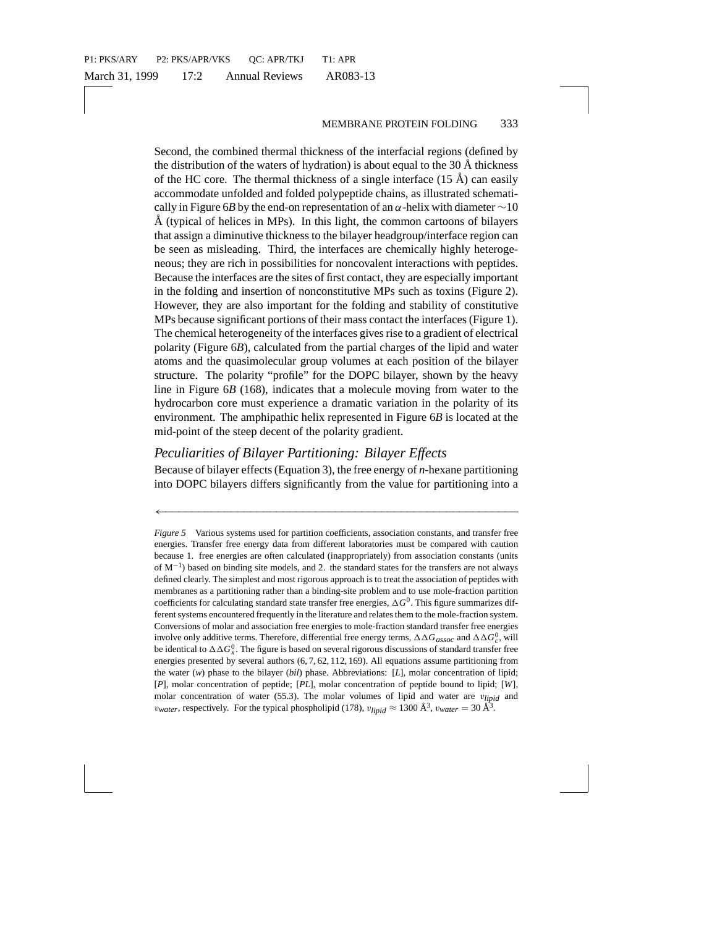Second, the combined thermal thickness of the interfacial regions (defined by the distribution of the waters of hydration) is about equal to the  $30 \text{ Å}$  thickness of the HC core. The thermal thickness of a single interface  $(15 \text{ Å})$  can easily accommodate unfolded and folded polypeptide chains, as illustrated schematically in Figure 6*B* by the end-on representation of an  $\alpha$ -helix with diameter  $\sim$ 10  $\AA$  (typical of helices in MPs). In this light, the common cartoons of bilayers that assign a diminutive thickness to the bilayer headgroup/interface region can be seen as misleading. Third, the interfaces are chemically highly heterogeneous; they are rich in possibilities for noncovalent interactions with peptides. Because the interfaces are the sites of first contact, they are especially important in the folding and insertion of nonconstitutive MPs such as toxins (Figure 2). However, they are also important for the folding and stability of constitutive MPs because significant portions of their mass contact the interfaces (Figure 1). The chemical heterogeneity of the interfaces gives rise to a gradient of electrical polarity (Figure 6*B*), calculated from the partial charges of the lipid and water atoms and the quasimolecular group volumes at each position of the bilayer structure. The polarity "profile" for the DOPC bilayer, shown by the heavy line in Figure 6*B* (168), indicates that a molecule moving from water to the hydrocarbon core must experience a dramatic variation in the polarity of its environment. The amphipathic helix represented in Figure 6*B* is located at the mid-point of the steep decent of the polarity gradient.

#### *Peculiarities of Bilayer Partitioning: Bilayer Effects*

Because of bilayer effects (Equation 3), the free energy of *n*-hexane partitioning into DOPC bilayers differs significantly from the value for partitioning into a

←−−−−−−−−−−−−−−−−−−−−−−−−−−−−−−−−−−−−−−−−−−−−−−−−−−−−−−

*Figure 5* Various systems used for partition coefficients, association constants, and transfer free energies. Transfer free energy data from different laboratories must be compared with caution because 1. free energies are often calculated (inappropriately) from association constants (units of  $M^{-1}$ ) based on binding site models, and 2. the standard states for the transfers are not always defined clearly. The simplest and most rigorous approach is to treat the association of peptides with membranes as a partitioning rather than a binding-site problem and to use mole-fraction partition coefficients for calculating standard state transfer free energies,  $\Delta G^0$ . This figure summarizes different systems encountered frequently in the literature and relates them to the mole-fraction system. Conversions of molar and association free energies to mole-fraction standard transfer free energies involve only additive terms. Therefore, differential free energy terms,  $\Delta\Delta G_{assoc}$  and  $\Delta\Delta G_c^0$ , will be identical to  $\Delta\Delta G_{x}^{0}$ . The figure is based on several rigorous discussions of standard transfer free energies presented by several authors  $(6, 7, 62, 112, 169)$ . All equations assume partitioning from the water (*w*) phase to the bilayer (*bil*) phase. Abbreviations: [*L*], molar concentration of lipid; [*P*], molar concentration of peptide; [*PL*], molar concentration of peptide bound to lipid; [*W*], molar concentration of water (55.3). The molar volumes of lipid and water are v*lipid* and  $v_{water}$ , respectively. For the typical phospholipid (178),  $v_{limit} \approx 1300 \text{ Å}^3$ ,  $v_{water} = 30 \text{ Å}^3$ .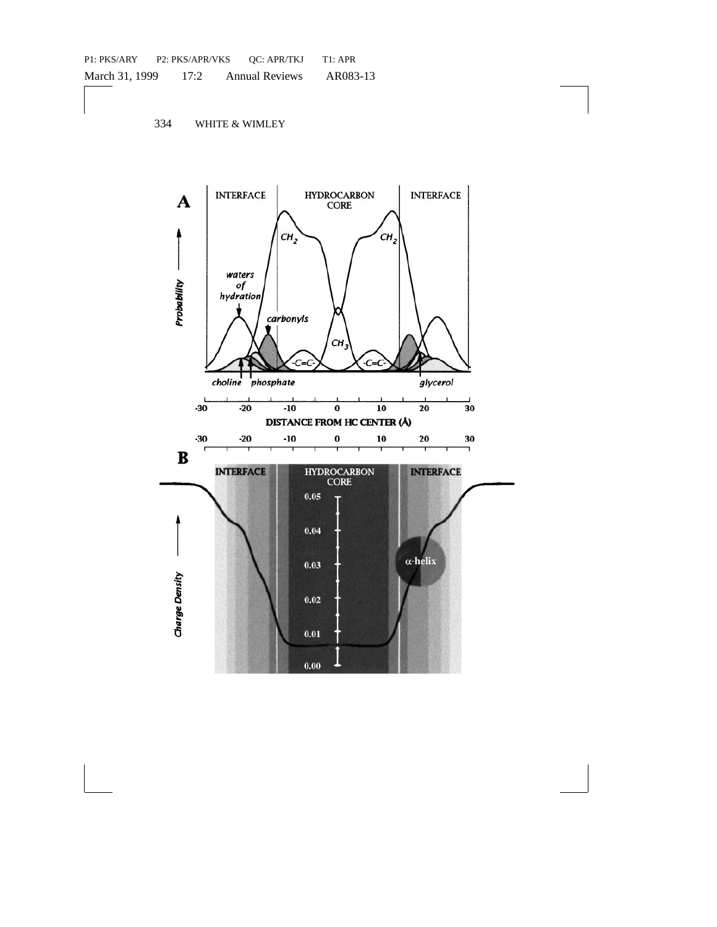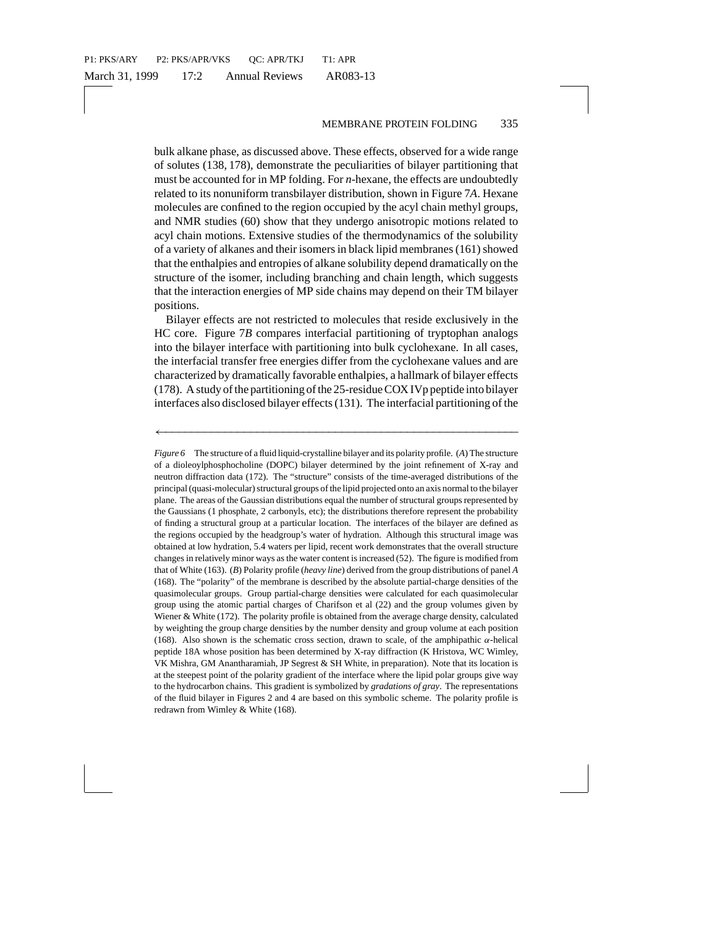bulk alkane phase, as discussed above. These effects, observed for a wide range of solutes (138, 178), demonstrate the peculiarities of bilayer partitioning that must be accounted for in MP folding. For *n*-hexane, the effects are undoubtedly related to its nonuniform transbilayer distribution, shown in Figure 7*A*. Hexane molecules are confined to the region occupied by the acyl chain methyl groups, and NMR studies (60) show that they undergo anisotropic motions related to acyl chain motions. Extensive studies of the thermodynamics of the solubility of a variety of alkanes and their isomers in black lipid membranes (161) showed that the enthalpies and entropies of alkane solubility depend dramatically on the structure of the isomer, including branching and chain length, which suggests that the interaction energies of MP side chains may depend on their TM bilayer positions.

Bilayer effects are not restricted to molecules that reside exclusively in the HC core. Figure 7*B* compares interfacial partitioning of tryptophan analogs into the bilayer interface with partitioning into bulk cyclohexane. In all cases, the interfacial transfer free energies differ from the cyclohexane values and are characterized by dramatically favorable enthalpies, a hallmark of bilayer effects (178). A study of the partitioning of the 25-residue COX IVp peptide into bilayer interfaces also disclosed bilayer effects (131). The interfacial partitioning of the

←−−−−−−−−−−−−−−−−−−−−−−−−−−−−−−−−−−−−−−−−−−−−−−−−−−−−−−

*Figure 6* The structure of a fluid liquid-crystalline bilayer and its polarity profile. (*A*) The structure of a dioleoylphosphocholine (DOPC) bilayer determined by the joint refinement of X-ray and neutron diffraction data (172). The "structure" consists of the time-averaged distributions of the principal (quasi-molecular) structural groups of the lipid projected onto an axis normal to the bilayer plane. The areas of the Gaussian distributions equal the number of structural groups represented by the Gaussians (1 phosphate, 2 carbonyls, etc); the distributions therefore represent the probability of finding a structural group at a particular location. The interfaces of the bilayer are defined as the regions occupied by the headgroup's water of hydration. Although this structural image was obtained at low hydration, 5.4 waters per lipid, recent work demonstrates that the overall structure changes in relatively minor ways as the water content is increased (52). The figure is modified from that of White (163). (*B*) Polarity profile (*heavy line*) derived from the group distributions of panel *A* (168). The "polarity" of the membrane is described by the absolute partial-charge densities of the quasimolecular groups. Group partial-charge densities were calculated for each quasimolecular group using the atomic partial charges of Charifson et al (22) and the group volumes given by Wiener & White (172). The polarity profile is obtained from the average charge density, calculated by weighting the group charge densities by the number density and group volume at each position (168). Also shown is the schematic cross section, drawn to scale, of the amphipathic  $\alpha$ -helical peptide 18A whose position has been determined by X-ray diffraction (K Hristova, WC Wimley, VK Mishra, GM Anantharamiah, JP Segrest & SH White, in preparation). Note that its location is at the steepest point of the polarity gradient of the interface where the lipid polar groups give way to the hydrocarbon chains. This gradient is symbolized by *gradations of gray*. The representations of the fluid bilayer in Figures 2 and 4 are based on this symbolic scheme. The polarity profile is redrawn from Wimley & White (168).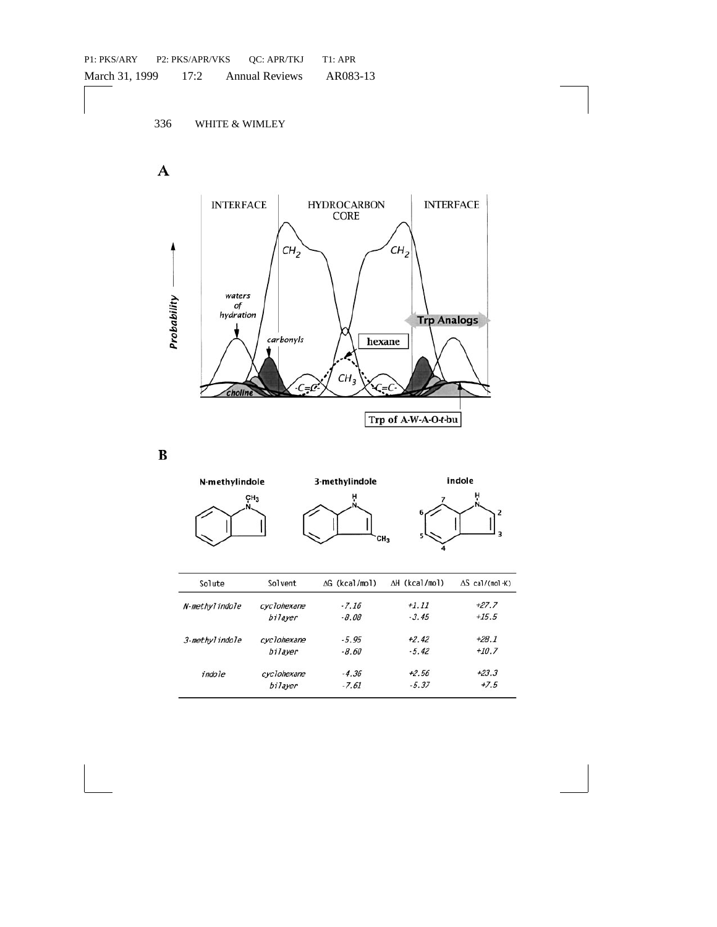$\mathbf A$ 



 $\, {\bf B}$ 



| Solute         | Solvent     | $\Delta G$ (kcal/mol) | $\Delta H$ (kcal/mol) | $\Delta S$ cal/(mol $\cdot$ K) |
|----------------|-------------|-----------------------|-----------------------|--------------------------------|
| N-methylindole | cyclohexane | $-7.16$               | $+1.11$               | $+27.7$                        |
|                | bilayer     | $-8.08$               | $-3.45$               | $+15.5$                        |
| 3-methylindole | cyclohexane | $-5.95$               | $+2.42$               | $+28.1$                        |
|                | bilayer     | $-8.60$               | $-5.42$               | $+10.7$                        |
| indole         | cyclohexane | $-4.36$               | $+2.56$               | $+23.3$                        |
|                | bilayer     | $-7.61$               | $-5.37$               | $+7.5$                         |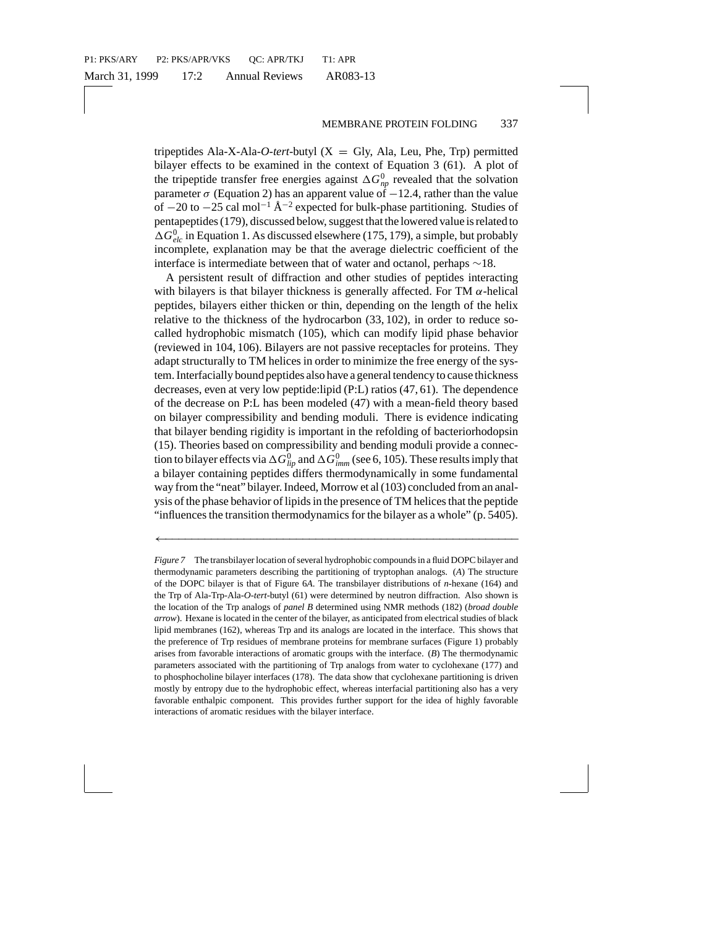tripeptides Ala-X-Ala-*O-tert*-butyl  $(X = G\,$ , Ala, Leu, Phe, Trp) permitted bilayer effects to be examined in the context of Equation 3 (61). A plot of the tripeptide transfer free energies against  $\Delta G_{np}^0$  revealed that the solvation parameter  $\sigma$  (Equation 2) has an apparent value of  $-12.4$ , rather than the value of  $-20$  to  $-25$  cal mol<sup>-1</sup> Å<sup>-2</sup> expected for bulk-phase partitioning. Studies of pentapeptides (179), discussed below, suggest that the lowered value is related to  $\Delta G_{elc}^0$  in Equation 1. As discussed elsewhere (175, 179), a simple, but probably incomplete, explanation may be that the average dielectric coefficient of the interface is intermediate between that of water and octanol, perhaps ∼18.

A persistent result of diffraction and other studies of peptides interacting with bilayers is that bilayer thickness is generally affected. For TM  $\alpha$ -helical peptides, bilayers either thicken or thin, depending on the length of the helix relative to the thickness of the hydrocarbon (33, 102), in order to reduce socalled hydrophobic mismatch (105), which can modify lipid phase behavior (reviewed in 104, 106). Bilayers are not passive receptacles for proteins. They adapt structurally to TM helices in order to minimize the free energy of the system. Interfacially bound peptides also have a general tendency to cause thickness decreases, even at very low peptide:lipid (P:L) ratios (47, 61). The dependence of the decrease on P:L has been modeled (47) with a mean-field theory based on bilayer compressibility and bending moduli. There is evidence indicating that bilayer bending rigidity is important in the refolding of bacteriorhodopsin (15). Theories based on compressibility and bending moduli provide a connection to bilayer effects via  $\Delta G_{lip}^0$  and  $\Delta G_{imm}^0$  (see 6, 105). These results imply that a bilayer containing peptides differs thermodynamically in some fundamental way from the "neat" bilayer. Indeed, Morrow et al (103) concluded from an analysis of the phase behavior of lipids in the presence of TM helices that the peptide "influences the transition thermodynamics for the bilayer as a whole" (p. 5405).

←−−−−−−−−−−−−−−−−−−−−−−−−−−−−−−−−−−−−−−−−−−−−−−−−−−−−−−

*Figure 7* The transbilayer location of several hydrophobic compounds in a fluid DOPC bilayer and thermodynamic parameters describing the partitioning of tryptophan analogs. (*A*) The structure of the DOPC bilayer is that of Figure 6*A*. The transbilayer distributions of *n*-hexane (164) and the Trp of Ala-Trp-Ala-*O*-*tert*-butyl (61) were determined by neutron diffraction. Also shown is the location of the Trp analogs of *panel B* determined using NMR methods (182) (*broad double arrow*). Hexane is located in the center of the bilayer, as anticipated from electrical studies of black lipid membranes (162), whereas Trp and its analogs are located in the interface. This shows that the preference of Trp residues of membrane proteins for membrane surfaces (Figure 1) probably arises from favorable interactions of aromatic groups with the interface. (*B*) The thermodynamic parameters associated with the partitioning of Trp analogs from water to cyclohexane (177) and to phosphocholine bilayer interfaces (178). The data show that cyclohexane partitioning is driven mostly by entropy due to the hydrophobic effect, whereas interfacial partitioning also has a very favorable enthalpic component. This provides further support for the idea of highly favorable interactions of aromatic residues with the bilayer interface.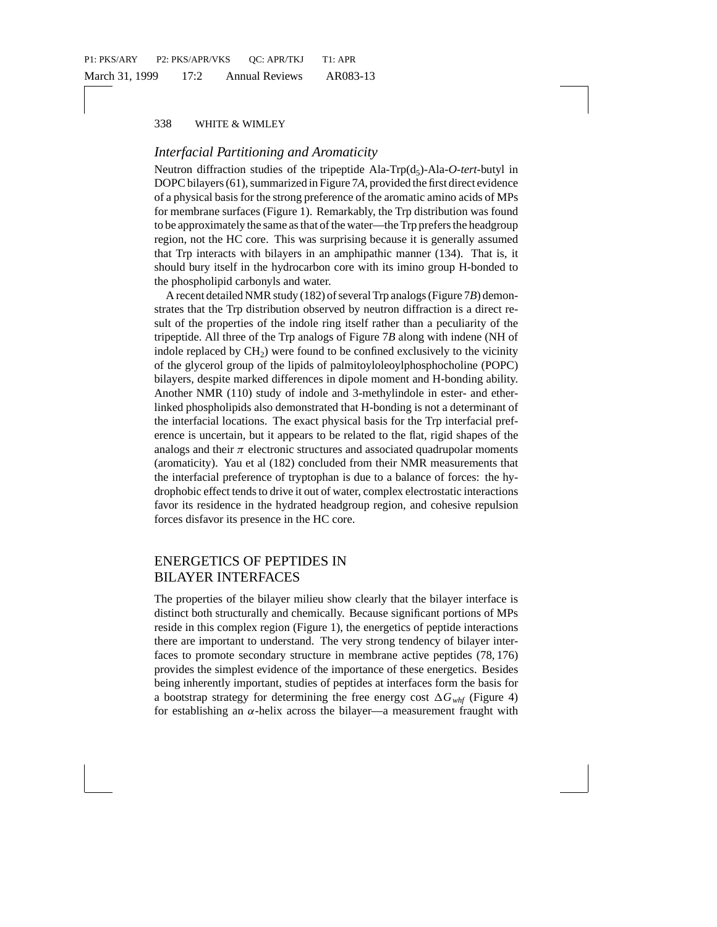## *Interfacial Partitioning and Aromaticity*

Neutron diffraction studies of the tripeptide Ala-Trp(d5)-Ala-*O*-*tert*-butyl in DOPC bilayers (61), summarized in Figure 7*A*, provided the first direct evidence of a physical basis for the strong preference of the aromatic amino acids of MPs for membrane surfaces (Figure 1). Remarkably, the Trp distribution was found to be approximately the same as that of the water—the Trp prefers the headgroup region, not the HC core. This was surprising because it is generally assumed that Trp interacts with bilayers in an amphipathic manner (134). That is, it should bury itself in the hydrocarbon core with its imino group H-bonded to the phospholipid carbonyls and water.

A recent detailed NMR study (182) of several Trp analogs (Figure 7*B*) demonstrates that the Trp distribution observed by neutron diffraction is a direct result of the properties of the indole ring itself rather than a peculiarity of the tripeptide. All three of the Trp analogs of Figure 7*B* along with indene (NH of indole replaced by  $CH<sub>2</sub>$ ) were found to be confined exclusively to the vicinity of the glycerol group of the lipids of palmitoyloleoylphosphocholine (POPC) bilayers, despite marked differences in dipole moment and H-bonding ability. Another NMR (110) study of indole and 3-methylindole in ester- and etherlinked phospholipids also demonstrated that H-bonding is not a determinant of the interfacial locations. The exact physical basis for the Trp interfacial preference is uncertain, but it appears to be related to the flat, rigid shapes of the analogs and their  $\pi$  electronic structures and associated quadrupolar moments (aromaticity). Yau et al (182) concluded from their NMR measurements that the interfacial preference of tryptophan is due to a balance of forces: the hydrophobic effect tends to drive it out of water, complex electrostatic interactions favor its residence in the hydrated headgroup region, and cohesive repulsion forces disfavor its presence in the HC core.

## ENERGETICS OF PEPTIDES IN BILAYER INTERFACES

The properties of the bilayer milieu show clearly that the bilayer interface is distinct both structurally and chemically. Because significant portions of MPs reside in this complex region (Figure 1), the energetics of peptide interactions there are important to understand. The very strong tendency of bilayer interfaces to promote secondary structure in membrane active peptides (78, 176) provides the simplest evidence of the importance of these energetics. Besides being inherently important, studies of peptides at interfaces form the basis for a bootstrap strategy for determining the free energy cost  $\Delta G_{whf}$  (Figure 4) for establishing an  $\alpha$ -helix across the bilayer—a measurement fraught with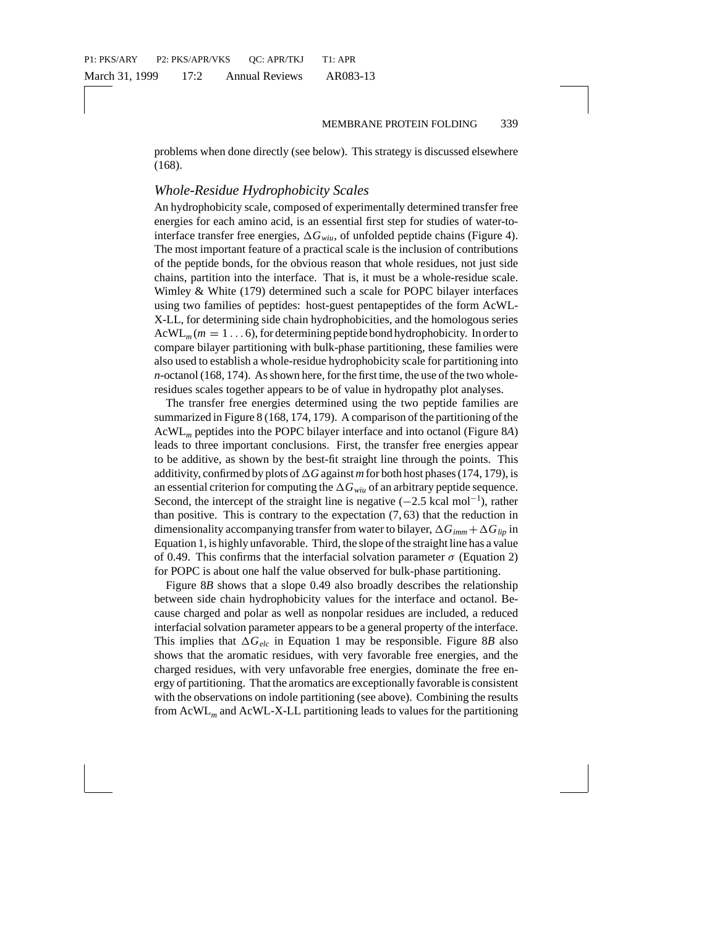problems when done directly (see below). This strategy is discussed elsewhere (168).

#### *Whole-Residue Hydrophobicity Scales*

An hydrophobicity scale, composed of experimentally determined transfer free energies for each amino acid, is an essential first step for studies of water-tointerface transfer free energies,  $\Delta G_{wiu}$ , of unfolded peptide chains (Figure 4). The most important feature of a practical scale is the inclusion of contributions of the peptide bonds, for the obvious reason that whole residues, not just side chains, partition into the interface. That is, it must be a whole-residue scale. Wimley & White (179) determined such a scale for POPC bilayer interfaces using two families of peptides: host-guest pentapeptides of the form AcWL-X-LL, for determining side chain hydrophobicities, and the homologous series  $AcWL<sub>m</sub>$  ( $m = 1...6$ ), for determining peptide bond hydrophobicity. In order to compare bilayer partitioning with bulk-phase partitioning, these families were also used to establish a whole-residue hydrophobicity scale for partitioning into *n*-octanol (168, 174). As shown here, for the first time, the use of the two wholeresidues scales together appears to be of value in hydropathy plot analyses.

The transfer free energies determined using the two peptide families are summarized in Figure 8 (168, 174, 179). A comparison of the partitioning of the AcWL*<sup>m</sup>* peptides into the POPC bilayer interface and into octanol (Figure 8*A*) leads to three important conclusions. First, the transfer free energies appear to be additive, as shown by the best-fit straight line through the points. This additivity, confirmed by plots of  $\Delta G$  against *m* for both host phases (174, 179), is an essential criterion for computing the  $\Delta G_{wiu}$  of an arbitrary peptide sequence. Second, the intercept of the straight line is negative  $(-2.5 \text{ kcal mol}^{-1})$ , rather than positive. This is contrary to the expectation  $(7, 63)$  that the reduction in dimensionality accompanying transfer from water to bilayer,  $\Delta G_{imm} + \Delta G_{lin}$  in Equation 1, is highly unfavorable. Third, the slope of the straight line has a value of 0.49. This confirms that the interfacial solvation parameter  $\sigma$  (Equation 2) for POPC is about one half the value observed for bulk-phase partitioning.

Figure 8*B* shows that a slope 0.49 also broadly describes the relationship between side chain hydrophobicity values for the interface and octanol. Because charged and polar as well as nonpolar residues are included, a reduced interfacial solvation parameter appears to be a general property of the interface. This implies that  $\Delta G_{elc}$  in Equation 1 may be responsible. Figure 8*B* also shows that the aromatic residues, with very favorable free energies, and the charged residues, with very unfavorable free energies, dominate the free energy of partitioning. That the aromatics are exceptionally favorable is consistent with the observations on indole partitioning (see above). Combining the results from AcWL*<sup>m</sup>* and AcWL-X-LL partitioning leads to values for the partitioning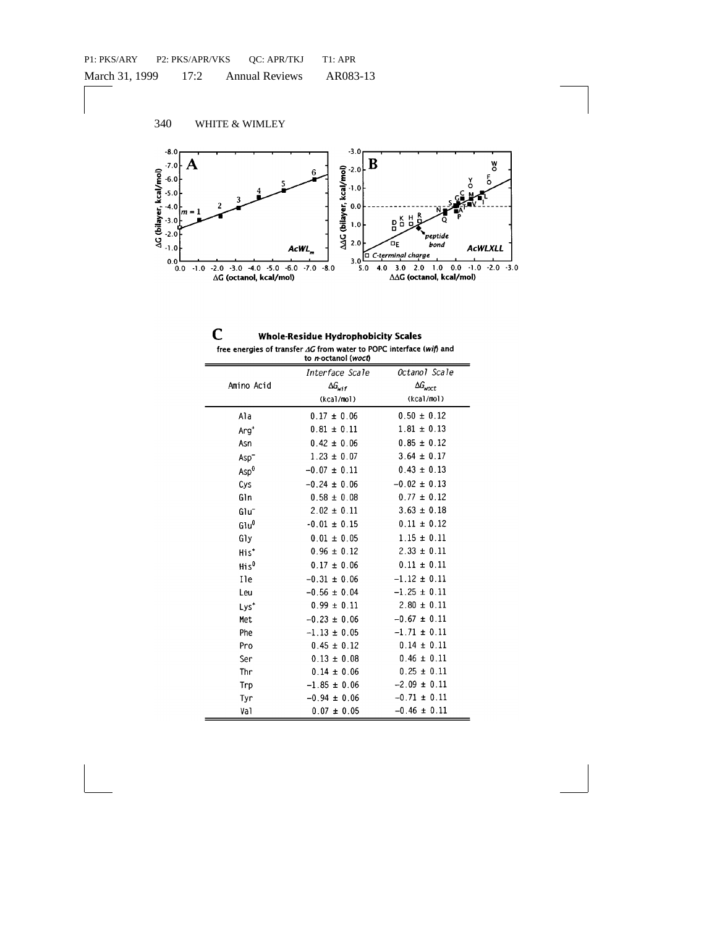

| C | <b>Whole-Residue Hydrophobicity Scales</b>                          |
|---|---------------------------------------------------------------------|
|   | free energies of transfer ∆G from water to POPC interface (wif) and |
|   | to n-octanol (woct)                                                 |

|                  | Interface Scale  | Octanol Scale     |
|------------------|------------------|-------------------|
| Amino Acid       | $\Delta G_{wif}$ | $\Delta G_{woct}$ |
|                  | (kcal/mol)       | (kcal/mol)        |
| Ala              | $0.17 \pm 0.06$  | $0.50 \pm 0.12$   |
| Arg <sup>+</sup> | $0.81 \pm 0.11$  | $1.81 \pm 0.13$   |
| Asn              | $0.42 \pm 0.06$  | $0.85 \pm 0.12$   |
| Asp <sup>-</sup> | $1.23 \pm 0.07$  | $3.64 \pm 0.17$   |
| Asp <sup>0</sup> | $-0.07 \pm 0.11$ | $0.43 \pm 0.13$   |
| Cys              | $-0.24 \pm 0.06$ | $-0.02 \pm 0.13$  |
| Gln              | $0.58 \pm 0.08$  | $0.77 \pm 0.12$   |
| $G1u^-$          | $2.02 \pm 0.11$  | $3.63 \pm 0.18$   |
| $G1u^0$          | $-0.01 \pm 0.15$ | $0.11 \pm 0.12$   |
| Gly              | $0.01 \pm 0.05$  | $1.15 \pm 0.11$   |
| His <sup>+</sup> | $0.96 \pm 0.12$  | $2.33 \pm 0.11$   |
| His <sup>0</sup> | $0.17 \pm 0.06$  | $0.11 \pm 0.11$   |
| I <sub>1e</sub>  | $-0.31 \pm 0.06$ | $-1.12 \pm 0.11$  |
| Leu              | $-0.56 \pm 0.04$ | $-1.25 \pm 0.11$  |
| $Lys^*$          | $0.99 \pm 0.11$  | $2.80 \pm 0.11$   |
| Met              | $-0.23 \pm 0.06$ | $-0.67 \pm 0.11$  |
| Phe              | $-1.13 \pm 0.05$ | $-1.71 \pm 0.11$  |
| Pro              | $0.45 \pm 0.12$  | $0.14 \pm 0.11$   |
| Ser              | $0.13 \pm 0.08$  | $0.46 \pm 0.11$   |
| Thr              | $0.14 \pm 0.06$  | $0.25 \pm 0.11$   |
| Trp              | $-1.85 \pm 0.06$ | $-2.09 \pm 0.11$  |
| Tyr              | $-0.94 \pm 0.06$ | $-0.71 \pm 0.11$  |
| Val              | $0.07 \pm 0.05$  | $-0.46 \pm 0.11$  |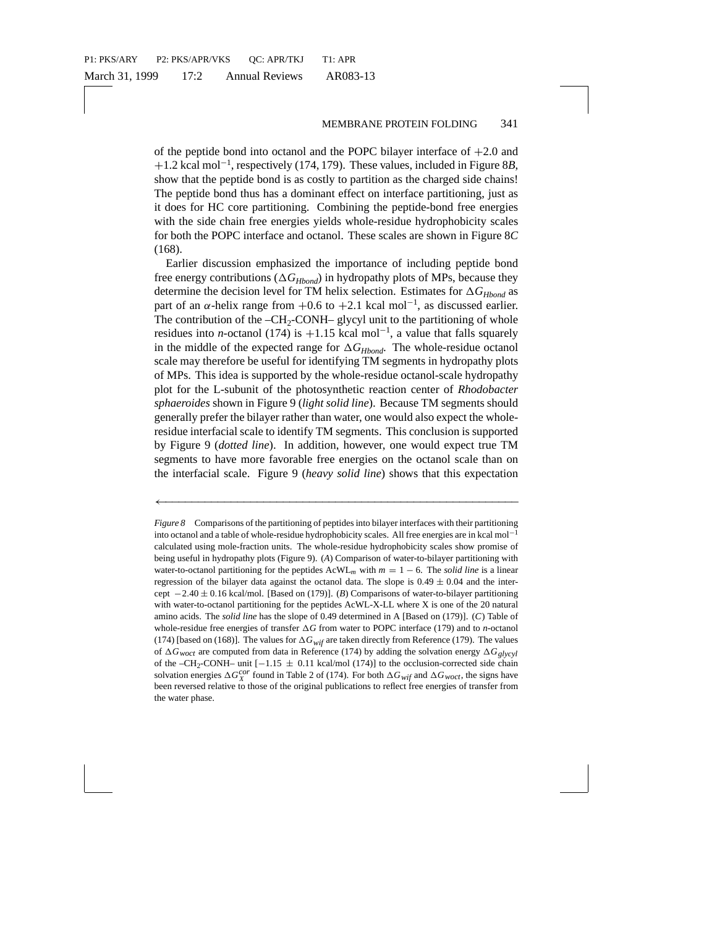of the peptide bond into octanol and the POPC bilayer interface of  $+2.0$  and +1.2 kcal mol<sup>−</sup><sup>1</sup> , respectively (174, 179). These values, included in Figure 8*B*, show that the peptide bond is as costly to partition as the charged side chains! The peptide bond thus has a dominant effect on interface partitioning, just as it does for HC core partitioning. Combining the peptide-bond free energies with the side chain free energies yields whole-residue hydrophobicity scales for both the POPC interface and octanol. These scales are shown in Figure 8*C* (168).

Earlier discussion emphasized the importance of including peptide bond free energy contributions ( $\Delta G_{Hbond}$ ) in hydropathy plots of MPs, because they determine the decision level for TM helix selection. Estimates for  $\Delta G_{Hbond}$  as part of an  $\alpha$ -helix range from +0.6 to +2.1 kcal mol<sup>-1</sup>, as discussed earlier. The contribution of the  $-CH_2$ -CONH– glycyl unit to the partitioning of whole residues into *n*-octanol (174) is  $+1.15$  kcal mol<sup>-1</sup>, a value that falls squarely in the middle of the expected range for  $\Delta G_{Hbond}$ . The whole-residue octanol scale may therefore be useful for identifying TM segments in hydropathy plots of MPs. This idea is supported by the whole-residue octanol-scale hydropathy plot for the L-subunit of the photosynthetic reaction center of *Rhodobacter sphaeroides* shown in Figure 9 (*light solid line*). Because TM segments should generally prefer the bilayer rather than water, one would also expect the wholeresidue interfacial scale to identify TM segments. This conclusion is supported by Figure 9 (*dotted line*). In addition, however, one would expect true TM segments to have more favorable free energies on the octanol scale than on the interfacial scale. Figure 9 (*heavy solid line*) shows that this expectation

←−−−−−−−−−−−−−−−−−−−−−−−−−−−−−−−−−−−−−−−−−−−−−−−−−−−−−−

*Figure 8* Comparisons of the partitioning of peptides into bilayer interfaces with their partitioning into octanol and a table of whole-residue hydrophobicity scales. All free energies are in kcal mol<sup>-1</sup> calculated using mole-fraction units. The whole-residue hydrophobicity scales show promise of being useful in hydropathy plots (Figure 9). (*A*) Comparison of water-to-bilayer partitioning with water-to-octanol partitioning for the peptides AcWL<sub>m</sub> with  $m = 1 - 6$ . The *solid line* is a linear regression of the bilayer data against the octanol data. The slope is  $0.49 \pm 0.04$  and the intercept −2.40 ± 0.16 kcal/mol. [Based on (179)]. (*B*) Comparisons of water-to-bilayer partitioning with water-to-octanol partitioning for the peptides AcWL-X-LL where X is one of the 20 natural amino acids. The *solid line* has the slope of 0.49 determined in A [Based on (179)]. (*C*) Table of whole-residue free energies of transfer  $\Delta G$  from water to POPC interface (179) and to *n*-octanol (174) [based on (168)]. The values for  $\Delta G_{wif}$  are taken directly from Reference (179). The values of  $\Delta G_{woct}$  are computed from data in Reference (174) by adding the solvation energy  $\Delta G_{\text{o/vv}}$ of the –CH<sub>2</sub>-CONH– unit [−1.15  $\pm$  0.11 kcal/mol (174)] to the occlusion-corrected side chain solvation energies  $\Delta G_X^{cor}$  found in Table 2 of (174). For both  $\Delta G_{wif}$  and  $\Delta G_{woct}$ , the signs have been reversed relative to those of the original publications to reflect free energies of transfer from the water phase.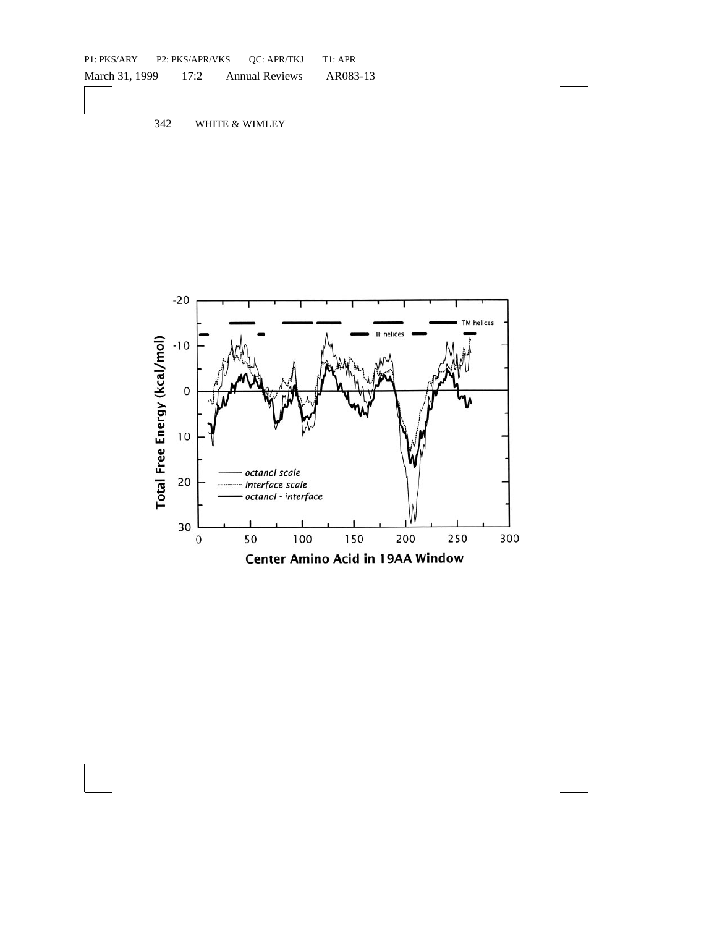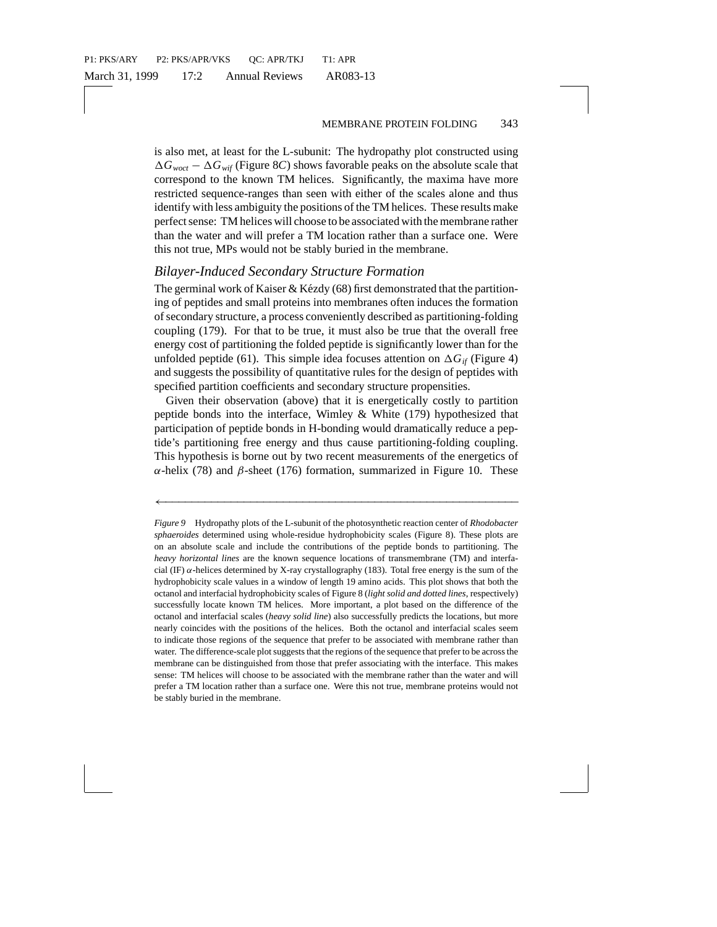is also met, at least for the L-subunit: The hydropathy plot constructed using  $\Delta G_{word} - \Delta G_{wif}$  (Figure 8*C*) shows favorable peaks on the absolute scale that correspond to the known TM helices. Significantly, the maxima have more restricted sequence-ranges than seen with either of the scales alone and thus identify with less ambiguity the positions of the TM helices. These results make perfect sense: TM helices will choose to be associated with the membrane rather than the water and will prefer a TM location rather than a surface one. Were this not true, MPs would not be stably buried in the membrane.

#### *Bilayer-Induced Secondary Structure Formation*

The germinal work of Kaiser & Kézdy (68) first demonstrated that the partitioning of peptides and small proteins into membranes often induces the formation of secondary structure, a process conveniently described as partitioning-folding coupling (179). For that to be true, it must also be true that the overall free energy cost of partitioning the folded peptide is significantly lower than for the unfolded peptide (61). This simple idea focuses attention on  $\Delta G_{if}$  (Figure 4) and suggests the possibility of quantitative rules for the design of peptides with specified partition coefficients and secondary structure propensities.

Given their observation (above) that it is energetically costly to partition peptide bonds into the interface, Wimley & White (179) hypothesized that participation of peptide bonds in H-bonding would dramatically reduce a peptide's partitioning free energy and thus cause partitioning-folding coupling. This hypothesis is borne out by two recent measurements of the energetics of α-helix (78) and  $β$ -sheet (176) formation, summarized in Figure 10. These

←−−−−−−−−−−−−−−−−−−−−−−−−−−−−−−−−−−−−−−−−−−−−−−−−−−−−−−

*Figure 9* Hydropathy plots of the L-subunit of the photosynthetic reaction center of *Rhodobacter sphaeroides* determined using whole-residue hydrophobicity scales (Figure 8). These plots are on an absolute scale and include the contributions of the peptide bonds to partitioning. The *heavy horizontal lines* are the known sequence locations of transmembrane (TM) and interfacial (IF)  $\alpha$ -helices determined by X-ray crystallography (183). Total free energy is the sum of the hydrophobicity scale values in a window of length 19 amino acids. This plot shows that both the octanol and interfacial hydrophobicity scales of Figure 8 (*light solid and dotted lines*, respectively) successfully locate known TM helices. More important, a plot based on the difference of the octanol and interfacial scales (*heavy solid line*) also successfully predicts the locations, but more nearly coincides with the positions of the helices. Both the octanol and interfacial scales seem to indicate those regions of the sequence that prefer to be associated with membrane rather than water. The difference-scale plot suggests that the regions of the sequence that prefer to be across the membrane can be distinguished from those that prefer associating with the interface. This makes sense: TM helices will choose to be associated with the membrane rather than the water and will prefer a TM location rather than a surface one. Were this not true, membrane proteins would not be stably buried in the membrane.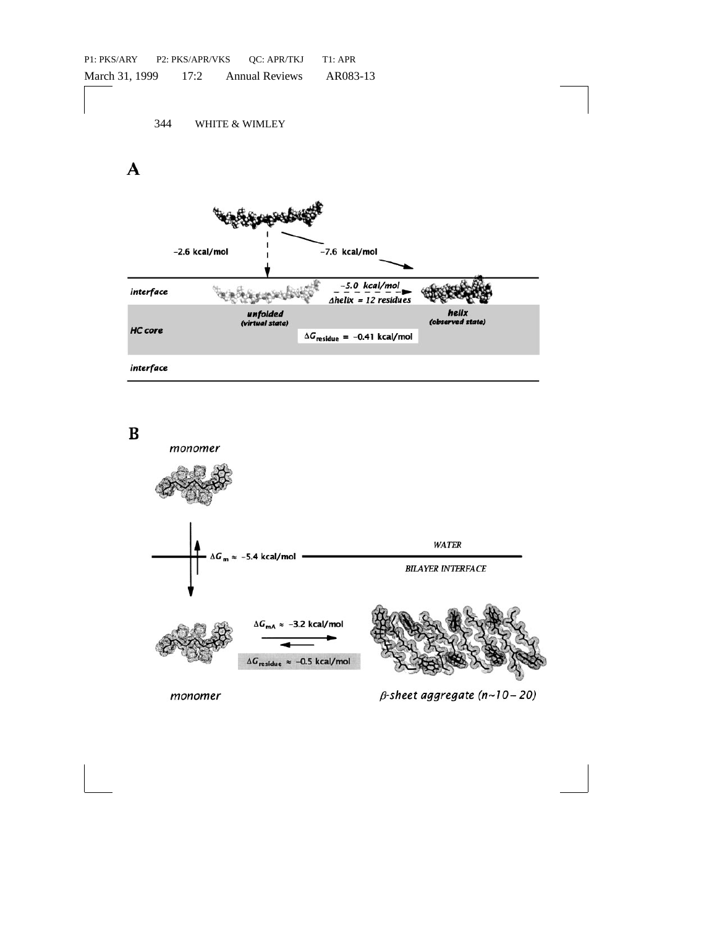

B

monomer

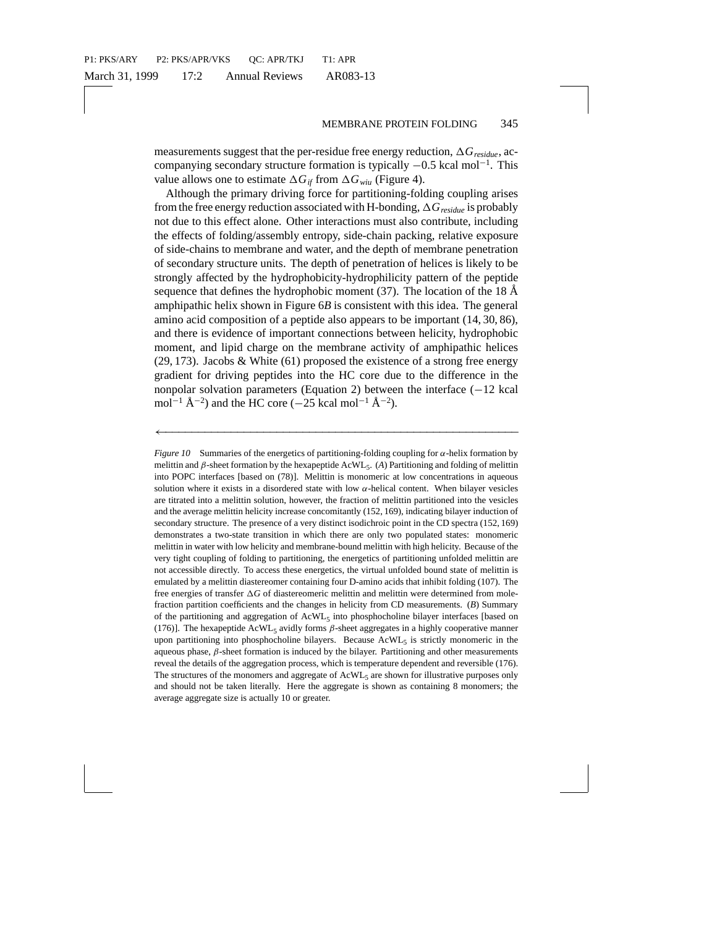measurements suggest that the per-residue free energy reduction,  $\Delta G_{residue}$ , accompanying secondary structure formation is typically  $-0.5$  kcal mol<sup>-1</sup>. This value allows one to estimate  $\Delta G_{if}$  from  $\Delta G_{wiu}$  (Figure 4).

Although the primary driving force for partitioning-folding coupling arises from the free energy reduction associated with H-bonding,  $\Delta G_{residue}$  is probably not due to this effect alone. Other interactions must also contribute, including the effects of folding/assembly entropy, side-chain packing, relative exposure of side-chains to membrane and water, and the depth of membrane penetration of secondary structure units. The depth of penetration of helices is likely to be strongly affected by the hydrophobicity-hydrophilicity pattern of the peptide sequence that defines the hydrophobic moment (37). The location of the 18  $\AA$ amphipathic helix shown in Figure 6*B* is consistent with this idea. The general amino acid composition of a peptide also appears to be important (14, 30, 86), and there is evidence of important connections between helicity, hydrophobic moment, and lipid charge on the membrane activity of amphipathic helices (29, 173). Jacobs & White (61) proposed the existence of a strong free energy gradient for driving peptides into the HC core due to the difference in the nonpolar solvation parameters (Equation 2) between the interface (−12 kcal mol<sup>-1</sup> Å<sup>-2</sup>) and the HC core (-25 kcal mol<sup>-1</sup> Å<sup>-2</sup>).

←−−−−−−−−−−−−−−−−−−−−−−−−−−−−−−−−−−−−−−−−−−−−−−−−−−−−−−

*Figure 10* Summaries of the energetics of partitioning-folding coupling for α-helix formation by melittin and  $\beta$ -sheet formation by the hexapeptide AcWL<sub>5</sub>. (*A*) Partitioning and folding of melittin into POPC interfaces [based on (78)]. Melittin is monomeric at low concentrations in aqueous solution where it exists in a disordered state with low  $\alpha$ -helical content. When bilayer vesicles are titrated into a melittin solution, however, the fraction of melittin partitioned into the vesicles and the average melittin helicity increase concomitantly (152, 169), indicating bilayer induction of secondary structure. The presence of a very distinct isodichroic point in the CD spectra (152, 169) demonstrates a two-state transition in which there are only two populated states: monomeric melittin in water with low helicity and membrane-bound melittin with high helicity. Because of the very tight coupling of folding to partitioning, the energetics of partitioning unfolded melittin are not accessible directly. To access these energetics, the virtual unfolded bound state of melittin is emulated by a melittin diastereomer containing four D-amino acids that inhibit folding (107). The free energies of transfer  $\Delta G$  of diastereomeric melittin and melittin were determined from molefraction partition coefficients and the changes in helicity from CD measurements. (*B*) Summary of the partitioning and aggregation of  $AcWL<sub>5</sub>$  into phosphocholine bilayer interfaces [based on (176)]. The hexapeptide AcWL<sub>5</sub> avidly forms  $\beta$ -sheet aggregates in a highly cooperative manner upon partitioning into phosphocholine bilayers. Because  $AcWL<sub>5</sub>$  is strictly monomeric in the aqueous phase,  $\beta$ -sheet formation is induced by the bilayer. Partitioning and other measurements reveal the details of the aggregation process, which is temperature dependent and reversible (176). The structures of the monomers and aggregate of  $AcWL<sub>5</sub>$  are shown for illustrative purposes only and should not be taken literally. Here the aggregate is shown as containing 8 monomers; the average aggregate size is actually 10 or greater.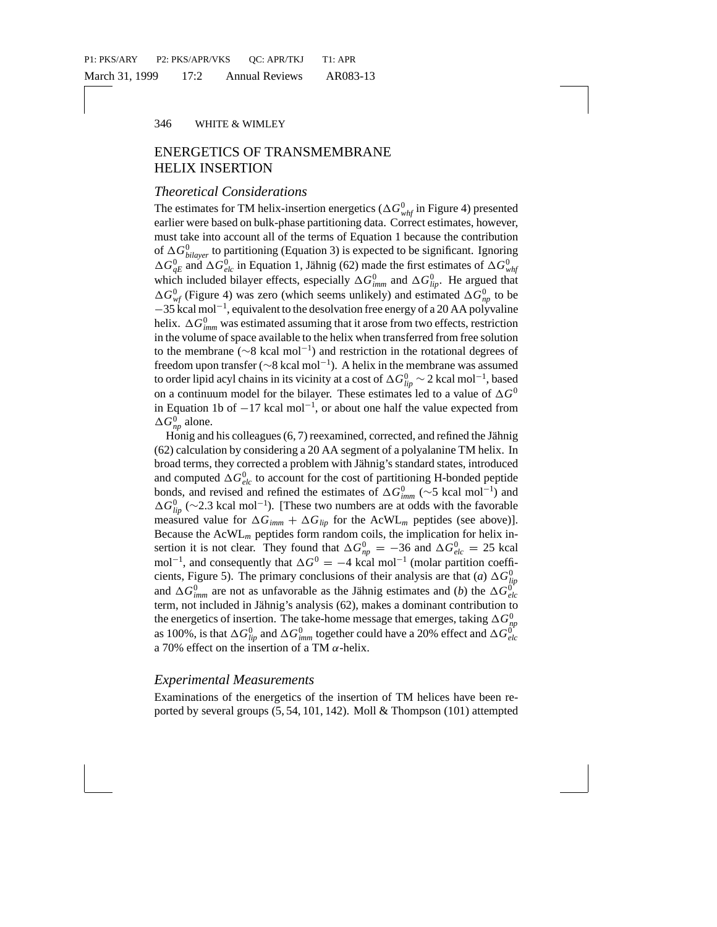## ENERGETICS OF TRANSMEMBRANE HELIX INSERTION

## *Theoretical Considerations*

The estimates for TM helix-insertion energetics ( $\Delta G_{whf}^0$  in Figure 4) presented earlier were based on bulk-phase partitioning data. Correct estimates, however, must take into account all of the terms of Equation 1 because the contribution of  $\Delta G_{bilayer}^0$  to partitioning (Equation 3) is expected to be significant. Ignoring  $\Delta G_{qE}^0$  and  $\Delta G_{elc}^0$  in Equation 1, Jähnig (62) made the first estimates of  $\Delta G_{whf}^0$ which included bilayer effects, especially  $\Delta G_{\text{imm}}^0$  and  $\Delta G_{\text{lip}}^0$ . He argued that  $\Delta G_{\textit{wf}}^0$  (Figure 4) was zero (which seems unlikely) and estimated  $\Delta G_{\textit{np}}^0$  to be −35 kcal mol<sup>−</sup><sup>1</sup> , equivalent to the desolvation free energy of a 20 AA polyvaline helix.  $\Delta G_{imm}^0$  was estimated assuming that it arose from two effects, restriction in the volume of space available to the helix when transferred from free solution to the membrane (∼8 kcal mol<sup>−</sup><sup>1</sup> ) and restriction in the rotational degrees of freedom upon transfer (∼8 kcal mol<sup>-1</sup>). A helix in the membrane was assumed to order lipid acyl chains in its vicinity at a cost of 1*G*<sup>0</sup> *lip* ∼ 2 kcal mol<sup>−</sup><sup>1</sup> , based on a continuum model for the bilayer. These estimates led to a value of  $\Delta G^0$ in Equation 1b of −17 kcal mol<sup>−</sup><sup>1</sup> , or about one half the value expected from  $\Delta G_{np}^0$  alone.

Honig and his colleagues  $(6, 7)$  reexamined, corrected, and refined the Jähnig (62) calculation by considering a 20 AA segment of a polyalanine TM helix. In broad terms, they corrected a problem with Jähnig's standard states, introduced and computed  $\Delta G_{elc}^0$  to account for the cost of partitioning H-bonded peptide bonds, and revised and refined the estimates of  $\Delta G_{imm}^0$  (∼5 kcal mol<sup>-1</sup>) and  $\Delta G_{lip}^0$  (∼2.3 kcal mol<sup>-1</sup>). [These two numbers are at odds with the favorable measured value for  $\Delta G_{imm} + \Delta G_{lip}$  for the AcWL<sub>m</sub> peptides (see above)]. Because the AcWL*<sup>m</sup>* peptides form random coils, the implication for helix insertion it is not clear. They found that  $\Delta G_{np}^0 = -36$  and  $\Delta G_{elc}^0 = 25$  kcal mol<sup>-1</sup>, and consequently that  $\Delta G^0 = -4$  kcal mol<sup>-1</sup> (molar partition coefficients, Figure 5). The primary conclusions of their analysis are that (*a*)  $\Delta G_{lip}^0$ and  $\Delta G_{imm}^0$  are not as unfavorable as the Jähnig estimates and (*b*) the  $\Delta G_{elc}^{0'}$ term, not included in Jähnig's analysis (62), makes a dominant contribution to the energetics of insertion. The take-home message that emerges, taking  $\Delta G_{np}^0$ as 100%, is that  $\Delta G_{lip}^0$  and  $\Delta G_{imm}^0$  together could have a 20% effect and  $\Delta G_{elc}^{0'}$ a 70% effect on the insertion of a TM  $\alpha$ -helix.

#### *Experimental Measurements*

Examinations of the energetics of the insertion of TM helices have been reported by several groups (5, 54, 101, 142). Moll & Thompson (101) attempted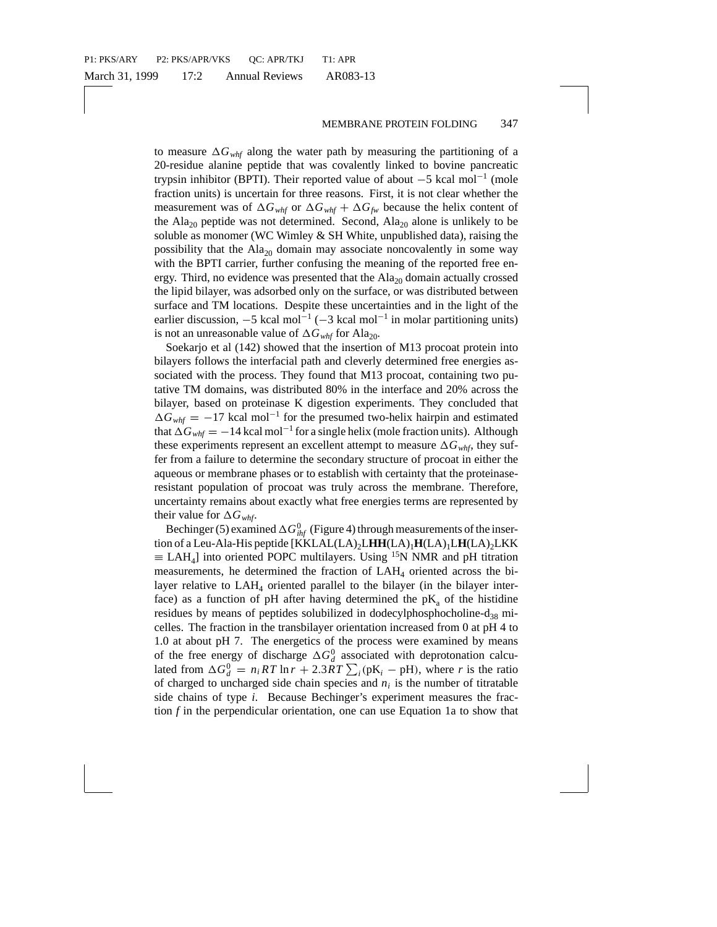to measure  $\Delta G_{whf}$  along the water path by measuring the partitioning of a 20-residue alanine peptide that was covalently linked to bovine pancreatic trypsin inhibitor (BPTI). Their reported value of about  $-5$  kcal mol<sup>-1</sup> (mole fraction units) is uncertain for three reasons. First, it is not clear whether the measurement was of  $\Delta G_{whf}$  or  $\Delta G_{whf} + \Delta G_{fw}$  because the helix content of the Ala<sub>20</sub> peptide was not determined. Second, Ala<sub>20</sub> alone is unlikely to be soluble as monomer (WC Wimley & SH White, unpublished data), raising the possibility that the Ala<sub>20</sub> domain may associate noncovalently in some way with the BPTI carrier, further confusing the meaning of the reported free energy. Third, no evidence was presented that the  $texttext{Ala}_{20}$  domain actually crossed the lipid bilayer, was adsorbed only on the surface, or was distributed between surface and TM locations. Despite these uncertainties and in the light of the earlier discussion,  $-5$  kcal mol<sup>-1</sup> ( $-3$  kcal mol<sup>-1</sup> in molar partitioning units) is not an unreasonable value of  $\Delta G_{whf}$  for Ala<sub>20</sub>.

Soekarjo et al (142) showed that the insertion of M13 procoat protein into bilayers follows the interfacial path and cleverly determined free energies associated with the process. They found that M13 procoat, containing two putative TM domains, was distributed 80% in the interface and 20% across the bilayer, based on proteinase K digestion experiments. They concluded that  $\Delta G_{whf} = -17$  kcal mol<sup>-1</sup> for the presumed two-helix hairpin and estimated that  $\Delta G_{whf} = -14$  kcal mol<sup>-1</sup> for a single helix (mole fraction units). Although these experiments represent an excellent attempt to measure  $\Delta G_{whf}$ , they suffer from a failure to determine the secondary structure of procoat in either the aqueous or membrane phases or to establish with certainty that the proteinaseresistant population of procoat was truly across the membrane. Therefore, uncertainty remains about exactly what free energies terms are represented by their value for  $\Delta G_{whf}$ .

Bechinger (5) examined  $\Delta G_{ihf}^0$  (Figure 4) through measurements of the insertion of a Leu-Ala-His peptide [KKLAL(LA)<sub>2</sub>LHH(LA)<sub>1</sub>H(LA)<sub>1</sub>LH(LA)<sub>2</sub>LKK  $\equiv$  LAH<sub>4</sub>] into oriented POPC multilayers. Using <sup>15</sup>N NMR and pH titration measurements, he determined the fraction of  $LAH<sub>4</sub>$  oriented across the bilayer relative to  $LAH<sub>4</sub>$  oriented parallel to the bilayer (in the bilayer interface) as a function of pH after having determined the  $pK_a$  of the histidine residues by means of peptides solubilized in dodecylphosphocholine- $d_{38}$  micelles. The fraction in the transbilayer orientation increased from 0 at pH 4 to 1.0 at about pH 7. The energetics of the process were examined by means of the free energy of discharge  $\Delta G_d^0$  associated with deprotonation calculated from  $\Delta G_d^0 = n_i RT \ln r + 2.3 \overline{RT} \sum_i (pK_i - pH)$ , where *r* is the ratio of charged to uncharged side chain species and  $n_i$  is the number of titratable side chains of type *i*. Because Bechinger's experiment measures the fraction *f* in the perpendicular orientation, one can use Equation 1a to show that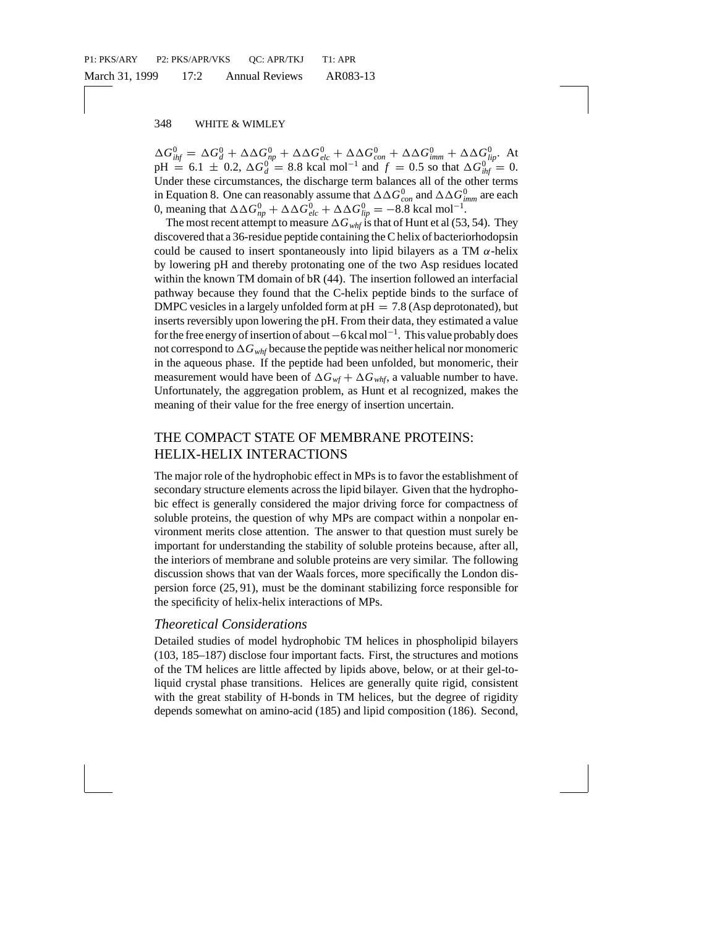$\Delta G_{ihf}^0 = \Delta G_d^0 + \Delta \Delta G_{i,p}^0 + \Delta \Delta G_{elc}^0 + \Delta \Delta G_{con}^0 + \Delta \Delta G_{imm}^0 + \Delta \Delta G_{lip}^0$ . At  $pH = 6.1 \pm 0.2$ ,  $\Delta G_d^{0^{\circ}} = 8.8$  kcal mol<sup>-1</sup> and  $f = 0.5$  so that  $\Delta G_{hf}^{0^{\circ}} = 0$ . Under these circumstances, the discharge term balances all of the other terms in Equation 8. One can reasonably assume that  $\Delta\Delta G_{con}^0$  and  $\Delta\Delta G_{imm}^0$  are each 0, meaning that  $\Delta \Delta G_{np}^0 + \Delta \Delta G_{elc}^0 + \Delta \Delta G_{lip}^0 = -8.8$  kcal mol<sup>-1</sup>.

The most recent attempt to measure  $\Delta G_{whf}$  is that of Hunt et al (53, 54). They discovered that a 36-residue peptide containing the C helix of bacteriorhodopsin could be caused to insert spontaneously into lipid bilayers as a TM  $\alpha$ -helix by lowering pH and thereby protonating one of the two Asp residues located within the known TM domain of bR (44). The insertion followed an interfacial pathway because they found that the C-helix peptide binds to the surface of DMPC vesicles in a largely unfolded form at  $pH = 7.8$  (Asp deprotonated), but inserts reversibly upon lowering the pH. From their data, they estimated a value for the free energy of insertion of about –6 kcal mol<sup>-1</sup>. This value probably does not correspond to  $\Delta G_{whf}$  because the peptide was neither helical nor monomeric in the aqueous phase. If the peptide had been unfolded, but monomeric, their measurement would have been of  $\Delta G_{wf} + \Delta G_{whf}$ , a valuable number to have. Unfortunately, the aggregation problem, as Hunt et al recognized, makes the meaning of their value for the free energy of insertion uncertain.

## THE COMPACT STATE OF MEMBRANE PROTEINS: HELIX-HELIX INTERACTIONS

The major role of the hydrophobic effect in MPs is to favor the establishment of secondary structure elements across the lipid bilayer. Given that the hydrophobic effect is generally considered the major driving force for compactness of soluble proteins, the question of why MPs are compact within a nonpolar environment merits close attention. The answer to that question must surely be important for understanding the stability of soluble proteins because, after all, the interiors of membrane and soluble proteins are very similar. The following discussion shows that van der Waals forces, more specifically the London dispersion force (25, 91), must be the dominant stabilizing force responsible for the specificity of helix-helix interactions of MPs.

## *Theoretical Considerations*

Detailed studies of model hydrophobic TM helices in phospholipid bilayers (103, 185–187) disclose four important facts. First, the structures and motions of the TM helices are little affected by lipids above, below, or at their gel-toliquid crystal phase transitions. Helices are generally quite rigid, consistent with the great stability of H-bonds in TM helices, but the degree of rigidity depends somewhat on amino-acid (185) and lipid composition (186). Second,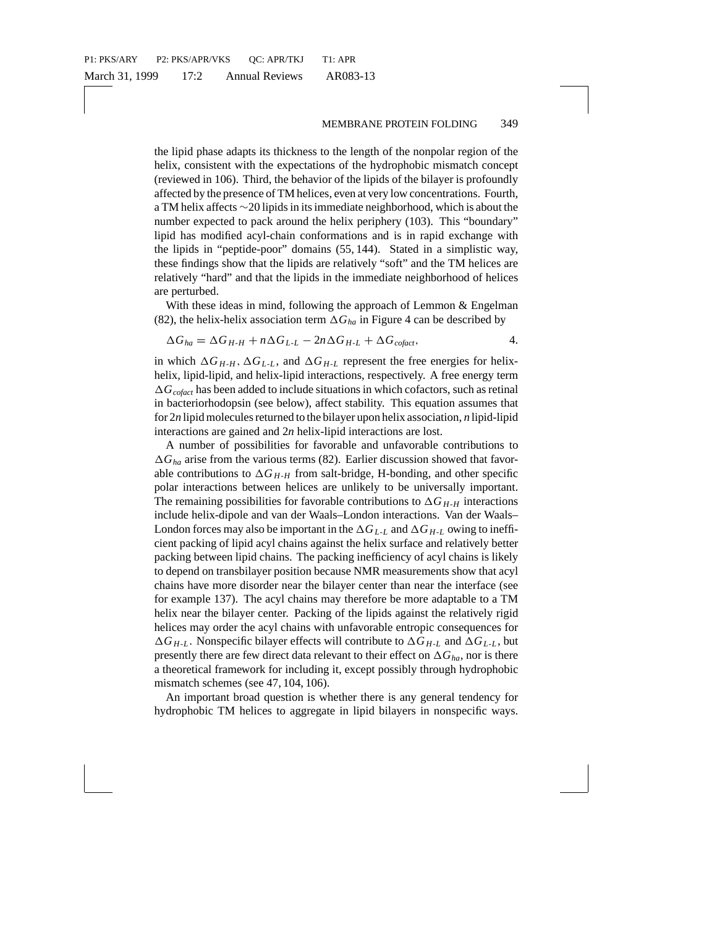the lipid phase adapts its thickness to the length of the nonpolar region of the helix, consistent with the expectations of the hydrophobic mismatch concept (reviewed in 106). Third, the behavior of the lipids of the bilayer is profoundly affected by the presence of TM helices, even at very low concentrations. Fourth, a TM helix affects ∼20 lipids in its immediate neighborhood, which is about the number expected to pack around the helix periphery (103). This "boundary" lipid has modified acyl-chain conformations and is in rapid exchange with the lipids in "peptide-poor" domains (55, 144). Stated in a simplistic way, these findings show that the lipids are relatively "soft" and the TM helices are relatively "hard" and that the lipids in the immediate neighborhood of helices are perturbed.

With these ideas in mind, following the approach of Lemmon & Engelman (82), the helix-helix association term  $\Delta G_{ha}$  in Figure 4 can be described by

$$
\Delta G_{ha} = \Delta G_{H-H} + n \Delta G_{L-L} - 2n \Delta G_{H-L} + \Delta G_{cofact},
$$
 4.

in which  $\Delta G_{H-H}$ ,  $\Delta G_{L-L}$ , and  $\Delta G_{H-L}$  represent the free energies for helixhelix, lipid-lipid, and helix-lipid interactions, respectively. A free energy term  $\Delta G_{\text{cofact}}$  has been added to include situations in which cofactors, such as retinal in bacteriorhodopsin (see below), affect stability. This equation assumes that for 2*n* lipid molecules returned to the bilayer upon helix association, *n* lipid-lipid interactions are gained and 2*n* helix-lipid interactions are lost.

A number of possibilities for favorable and unfavorable contributions to  $\Delta G_{ha}$  arise from the various terms (82). Earlier discussion showed that favorable contributions to  $\Delta G_{H-H}$  from salt-bridge, H-bonding, and other specific polar interactions between helices are unlikely to be universally important. The remaining possibilities for favorable contributions to  $\Delta G_{H-H}$  interactions include helix-dipole and van der Waals–London interactions. Van der Waals– London forces may also be important in the  $\Delta G_{L-L}$  and  $\Delta G_{H-L}$  owing to inefficient packing of lipid acyl chains against the helix surface and relatively better packing between lipid chains. The packing inefficiency of acyl chains is likely to depend on transbilayer position because NMR measurements show that acyl chains have more disorder near the bilayer center than near the interface (see for example 137). The acyl chains may therefore be more adaptable to a TM helix near the bilayer center. Packing of the lipids against the relatively rigid helices may order the acyl chains with unfavorable entropic consequences for  $\Delta G_{H-L}$ . Nonspecific bilayer effects will contribute to  $\Delta G_{H-L}$  and  $\Delta G_{L-L}$ , but presently there are few direct data relevant to their effect on  $\Delta G_{ha}$ , nor is there a theoretical framework for including it, except possibly through hydrophobic mismatch schemes (see 47, 104, 106).

An important broad question is whether there is any general tendency for hydrophobic TM helices to aggregate in lipid bilayers in nonspecific ways.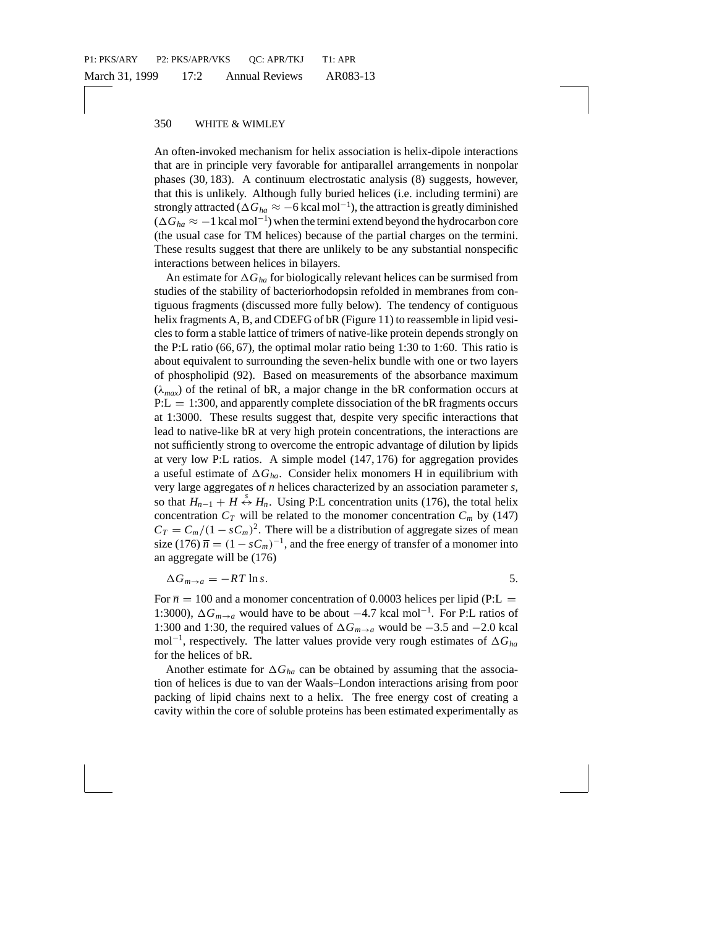An often-invoked mechanism for helix association is helix-dipole interactions that are in principle very favorable for antiparallel arrangements in nonpolar phases (30, 183). A continuum electrostatic analysis (8) suggests, however, that this is unlikely. Although fully buried helices (i.e. including termini) are strongly attracted ( $\Delta G_{ha} \approx -6$  kcal mol<sup>-1</sup>), the attraction is greatly diminished  $(\Delta G_{ha} \approx -1$  kcal mol<sup>-1</sup>) when the termini extend beyond the hydrocarbon core (the usual case for TM helices) because of the partial charges on the termini. These results suggest that there are unlikely to be any substantial nonspecific interactions between helices in bilayers.

An estimate for  $\Delta G_{ha}$  for biologically relevant helices can be surmised from studies of the stability of bacteriorhodopsin refolded in membranes from contiguous fragments (discussed more fully below). The tendency of contiguous helix fragments A, B, and CDEFG of bR (Figure 11) to reassemble in lipid vesicles to form a stable lattice of trimers of native-like protein depends strongly on the P:L ratio (66, 67), the optimal molar ratio being 1:30 to 1:60. This ratio is about equivalent to surrounding the seven-helix bundle with one or two layers of phospholipid (92). Based on measurements of the absorbance maximum  $(\lambda_{max})$  of the retinal of bR, a major change in the bR conformation occurs at  $P: L = 1:300$ , and apparently complete dissociation of the bR fragments occurs at 1:3000. These results suggest that, despite very specific interactions that lead to native-like bR at very high protein concentrations, the interactions are not sufficiently strong to overcome the entropic advantage of dilution by lipids at very low P:L ratios. A simple model (147, 176) for aggregation provides a useful estimate of  $\Delta G_{ha}$ . Consider helix monomers H in equilibrium with very large aggregates of *n* helices characterized by an association parameter *s*, so that  $H_{n-1} + H \stackrel{s}{\leftrightarrow} H_n$ . Using P:L concentration units (176), the total helix concentration  $C_T$  will be related to the monomer concentration  $C_m$  by (147)  $C_T = C_m/(1 - sC_m)^2$ . There will be a distribution of aggregate sizes of mean size (176)  $\overline{n} = (1 - sC_m)^{-1}$ , and the free energy of transfer of a monomer into an aggregate will be (176)

$$
\Delta G_{m \to a} = -RT \ln s. \tag{5.}
$$

For  $\overline{n}$  = 100 and a monomer concentration of 0.0003 helices per lipid (P:L = 1:3000),  $\Delta G_{m\to a}$  would have to be about −4.7 kcal mol<sup>-1</sup>. For P:L ratios of 1:300 and 1:30, the required values of  $\Delta G_{m\rightarrow a}$  would be  $-3.5$  and  $-2.0$  kcal mol<sup>−</sup><sup>1</sup> , respectively. The latter values provide very rough estimates of 1*Gha* for the helices of bR.

Another estimate for  $\Delta G_{ha}$  can be obtained by assuming that the association of helices is due to van der Waals–London interactions arising from poor packing of lipid chains next to a helix. The free energy cost of creating a cavity within the core of soluble proteins has been estimated experimentally as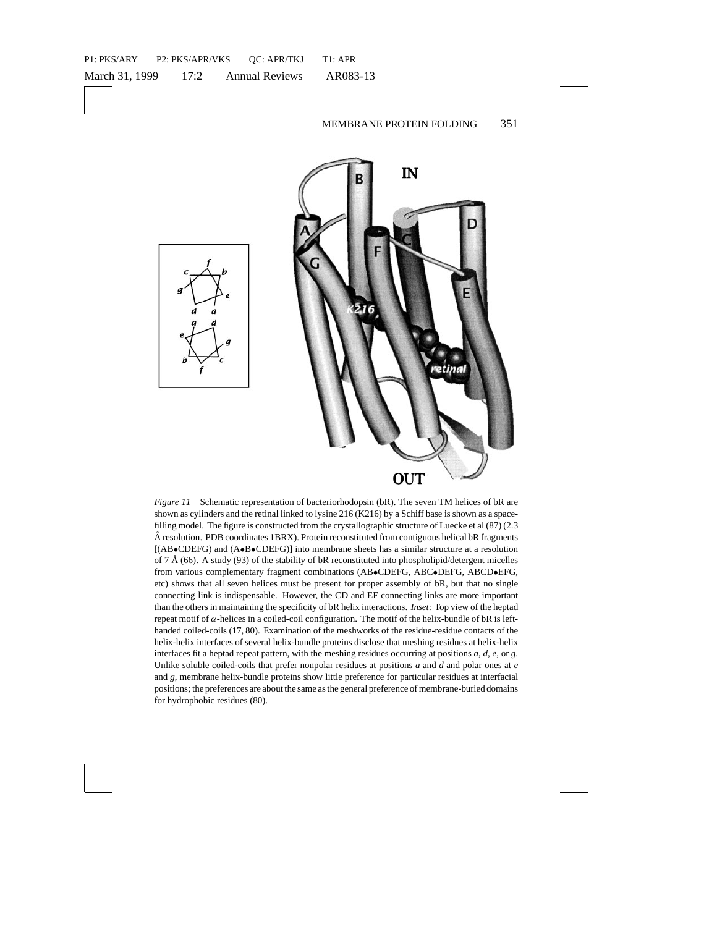

*Figure 11* Schematic representation of bacteriorhodopsin (bR). The seven TM helices of bR are shown as cylinders and the retinal linked to lysine 216 (K216) by a Schiff base is shown as a spacefilling model. The figure is constructed from the crystallographic structure of Luecke et al (87) (2.3 Å resolution. PDB coordinates  $1BRX$ ). Protein reconstituted from contiguous helical bR fragments [(AB•CDEFG) and (A•B•CDEFG)] into membrane sheets has a similar structure at a resolution of 7 Å (66). A study (93) of the stability of bR reconstituted into phospholipid/detergent micelles from various complementary fragment combinations (AB•CDEFG, ABC•DEFG, ABCD•EFG, etc) shows that all seven helices must be present for proper assembly of bR, but that no single connecting link is indispensable. However, the CD and EF connecting links are more important than the others in maintaining the specificity of bR helix interactions. *Inset*: Top view of the heptad repeat motif of α-helices in a coiled-coil configuration. The motif of the helix-bundle of bR is lefthanded coiled-coils (17, 80). Examination of the meshworks of the residue-residue contacts of the helix-helix interfaces of several helix-bundle proteins disclose that meshing residues at helix-helix interfaces fit a heptad repeat pattern, with the meshing residues occurring at positions *a*, *d*, *e*, or *g*. Unlike soluble coiled-coils that prefer nonpolar residues at positions *a* and *d* and polar ones at *e* and *g*, membrane helix-bundle proteins show little preference for particular residues at interfacial positions; the preferences are about the same as the general preference of membrane-buried domains for hydrophobic residues (80).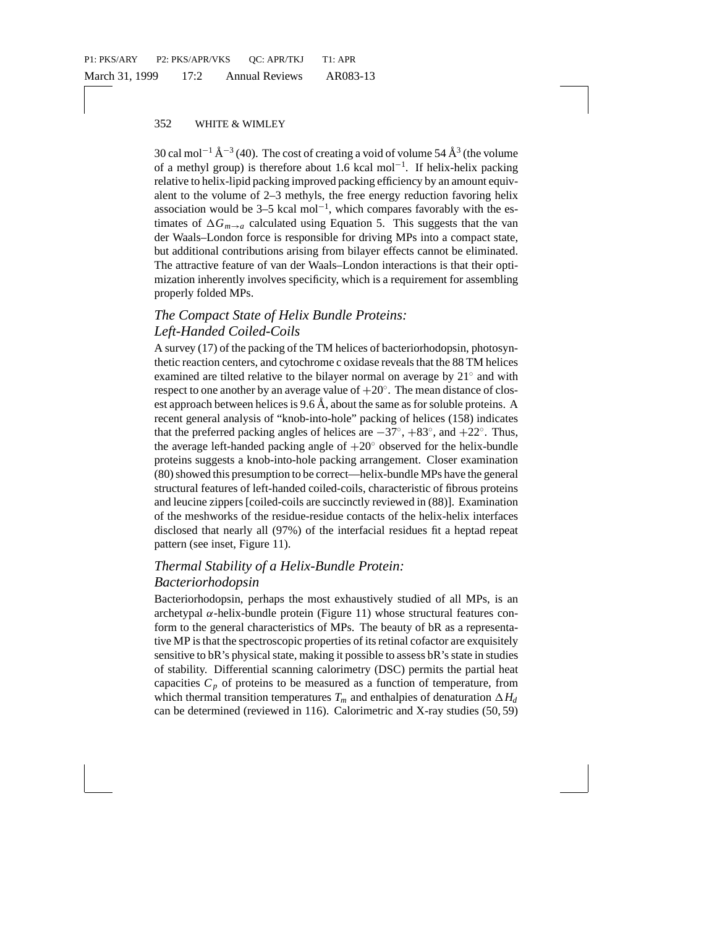30 cal mol<sup>-1</sup>  $\AA$ <sup>-3</sup> (40). The cost of creating a void of volume 54  $\AA$ <sup>3</sup> (the volume of a methyl group) is therefore about 1.6 kcal mol<sup>-1</sup>. If helix-helix packing relative to helix-lipid packing improved packing efficiency by an amount equivalent to the volume of 2–3 methyls, the free energy reduction favoring helix association would be  $3-5$  kcal mol<sup>-1</sup>, which compares favorably with the estimates of  $\Delta G_{m\to a}$  calculated using Equation 5. This suggests that the van der Waals–London force is responsible for driving MPs into a compact state, but additional contributions arising from bilayer effects cannot be eliminated. The attractive feature of van der Waals–London interactions is that their optimization inherently involves specificity, which is a requirement for assembling properly folded MPs.

## *The Compact State of Helix Bundle Proteins: Left-Handed Coiled-Coils*

A survey (17) of the packing of the TM helices of bacteriorhodopsin, photosynthetic reaction centers, and cytochrome c oxidase reveals that the 88 TM helices examined are tilted relative to the bilayer normal on average by 21◦ and with respect to one another by an average value of  $+20^\circ$ . The mean distance of closest approach between helices is  $9.6 \text{ Å}$ , about the same as for soluble proteins. A recent general analysis of "knob-into-hole" packing of helices (158) indicates that the preferred packing angles of helices are  $-37^\circ$ ,  $+83^\circ$ , and  $+22^\circ$ . Thus, the average left-handed packing angle of  $+20°$  observed for the helix-bundle proteins suggests a knob-into-hole packing arrangement. Closer examination (80) showed this presumption to be correct—helix-bundle MPs have the general structural features of left-handed coiled-coils, characteristic of fibrous proteins and leucine zippers [coiled-coils are succinctly reviewed in (88)]. Examination of the meshworks of the residue-residue contacts of the helix-helix interfaces disclosed that nearly all (97%) of the interfacial residues fit a heptad repeat pattern (see inset, Figure 11).

## *Thermal Stability of a Helix-Bundle Protein: Bacteriorhodopsin*

Bacteriorhodopsin, perhaps the most exhaustively studied of all MPs, is an archetypal  $\alpha$ -helix-bundle protein (Figure 11) whose structural features conform to the general characteristics of MPs. The beauty of bR as a representative MP is that the spectroscopic properties of its retinal cofactor are exquisitely sensitive to bR's physical state, making it possible to assess bR's state in studies of stability. Differential scanning calorimetry (DSC) permits the partial heat capacities  $C_p$  of proteins to be measured as a function of temperature, from which thermal transition temperatures  $T_m$  and enthalpies of denaturation  $\Delta H_d$ can be determined (reviewed in 116). Calorimetric and X-ray studies (50, 59)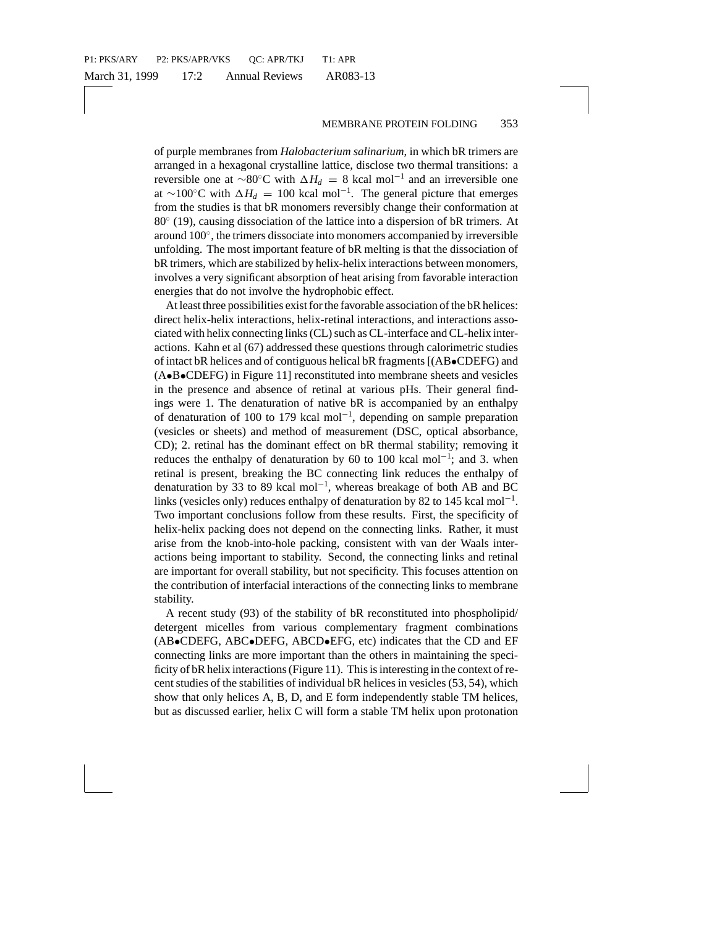of purple membranes from *Halobacterium salinarium*, in which bR trimers are arranged in a hexagonal crystalline lattice, disclose two thermal transitions: a reversible one at ∼80°C with  $\Delta H_d = 8$  kcal mol<sup>-1</sup> and an irreversible one at ~100 $°C$  with  $\Delta H_d = 100$  kcal mol<sup>-1</sup>. The general picture that emerges from the studies is that bR monomers reversibly change their conformation at 80<sup>°</sup> (19), causing dissociation of the lattice into a dispersion of bR trimers. At around 100◦, the trimers dissociate into monomers accompanied by irreversible unfolding. The most important feature of bR melting is that the dissociation of bR trimers, which are stabilized by helix-helix interactions between monomers, involves a very significant absorption of heat arising from favorable interaction energies that do not involve the hydrophobic effect.

At least three possibilities exist for the favorable association of the bR helices: direct helix-helix interactions, helix-retinal interactions, and interactions associated with helix connecting links (CL) such as CL-interface and CL-helix interactions. Kahn et al (67) addressed these questions through calorimetric studies of intact bR helices and of contiguous helical bR fragments [(AB•CDEFG) and (A•B•CDEFG) in Figure 11] reconstituted into membrane sheets and vesicles in the presence and absence of retinal at various pHs. Their general findings were 1. The denaturation of native bR is accompanied by an enthalpy of denaturation of 100 to 179 kcal mol<sup>-1</sup>, depending on sample preparation (vesicles or sheets) and method of measurement (DSC, optical absorbance, CD); 2. retinal has the dominant effect on bR thermal stability; removing it reduces the enthalpy of denaturation by 60 to 100 kcal mol<sup>-1</sup>; and 3. when retinal is present, breaking the BC connecting link reduces the enthalpy of denaturation by 33 to 89 kcal mol<sup>−</sup><sup>1</sup> , whereas breakage of both AB and BC links (vesicles only) reduces enthalpy of denaturation by 82 to 145 kcal mol<sup>-1</sup>. Two important conclusions follow from these results. First, the specificity of helix-helix packing does not depend on the connecting links. Rather, it must arise from the knob-into-hole packing, consistent with van der Waals interactions being important to stability. Second, the connecting links and retinal are important for overall stability, but not specificity. This focuses attention on the contribution of interfacial interactions of the connecting links to membrane stability.

A recent study (93) of the stability of bR reconstituted into phospholipid/ detergent micelles from various complementary fragment combinations (AB•CDEFG, ABC•DEFG, ABCD•EFG, etc) indicates that the CD and EF connecting links are more important than the others in maintaining the specificity of bR helix interactions (Figure 11). This is interesting in the context of recent studies of the stabilities of individual bR helices in vesicles (53, 54), which show that only helices A, B, D, and E form independently stable TM helices, but as discussed earlier, helix C will form a stable TM helix upon protonation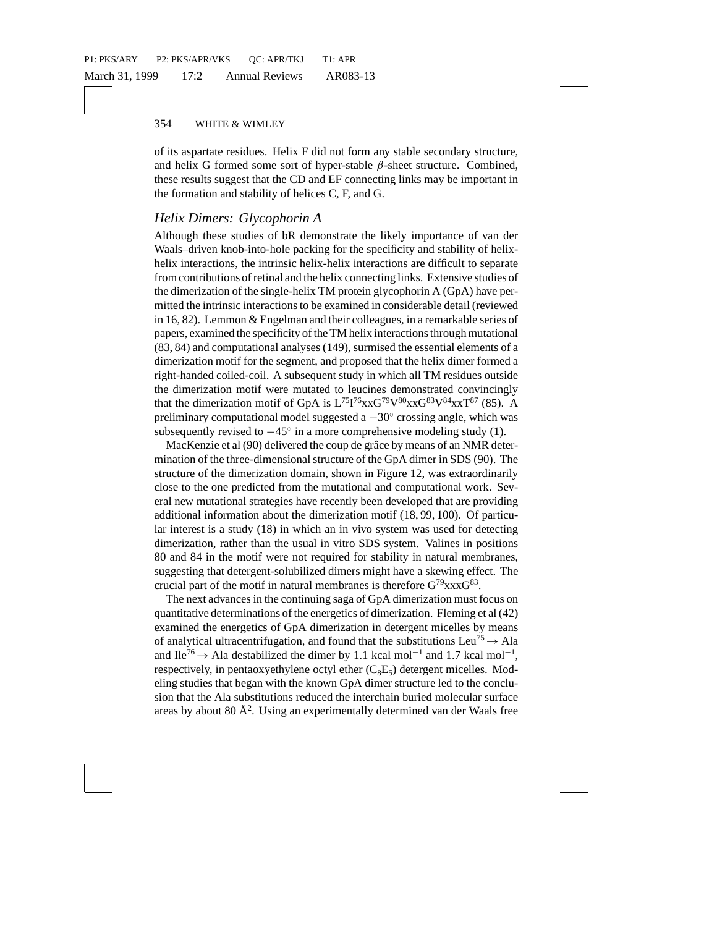of its aspartate residues. Helix F did not form any stable secondary structure, and helix G formed some sort of hyper-stable β-sheet structure. Combined, these results suggest that the CD and EF connecting links may be important in the formation and stability of helices C, F, and G.

## *Helix Dimers: Glycophorin A*

Although these studies of bR demonstrate the likely importance of van der Waals–driven knob-into-hole packing for the specificity and stability of helixhelix interactions, the intrinsic helix-helix interactions are difficult to separate from contributions of retinal and the helix connecting links. Extensive studies of the dimerization of the single-helix TM protein glycophorin A (GpA) have permitted the intrinsic interactions to be examined in considerable detail (reviewed in 16, 82). Lemmon & Engelman and their colleagues, in a remarkable series of papers, examined the specificity of the TM helix interactions through mutational (83, 84) and computational analyses (149), surmised the essential elements of a dimerization motif for the segment, and proposed that the helix dimer formed a right-handed coiled-coil. A subsequent study in which all TM residues outside the dimerization motif were mutated to leucines demonstrated convincingly that the dimerization motif of GpA is  $L^{75}I^{76}xxG^{79}V^{80}xxG^{83}V^{84}xxT^{87}$  (85). A preliminary computational model suggested a  $-30^\circ$  crossing angle, which was subsequently revised to  $-45^\circ$  in a more comprehensive modeling study (1).

MacKenzie et al (90) delivered the coup de grâce by means of an NMR determination of the three-dimensional structure of the GpA dimer in SDS (90). The structure of the dimerization domain, shown in Figure 12, was extraordinarily close to the one predicted from the mutational and computational work. Several new mutational strategies have recently been developed that are providing additional information about the dimerization motif (18, 99, 100). Of particular interest is a study (18) in which an in vivo system was used for detecting dimerization, rather than the usual in vitro SDS system. Valines in positions 80 and 84 in the motif were not required for stability in natural membranes, suggesting that detergent-solubilized dimers might have a skewing effect. The crucial part of the motif in natural membranes is therefore  $G^{79}$ xxx $G^{83}$ .

The next advances in the continuing saga of GpA dimerization must focus on quantitative determinations of the energetics of dimerization. Fleming et al (42) examined the energetics of GpA dimerization in detergent micelles by means of analytical ultracentrifugation, and found that the substitutions  $Leu^{75} \rightarrow Ala$ and Ile<sup>76</sup> → Ala destabilized the dimer by 1.1 kcal mol<sup>-1</sup> and 1.7 kcal mol<sup>-1</sup>, respectively, in pentaoxyethylene octyl ether  $(C_8E_5)$  detergent micelles. Modeling studies that began with the known GpA dimer structure led to the conclusion that the Ala substitutions reduced the interchain buried molecular surface areas by about 80  $A^2$ . Using an experimentally determined van der Waals free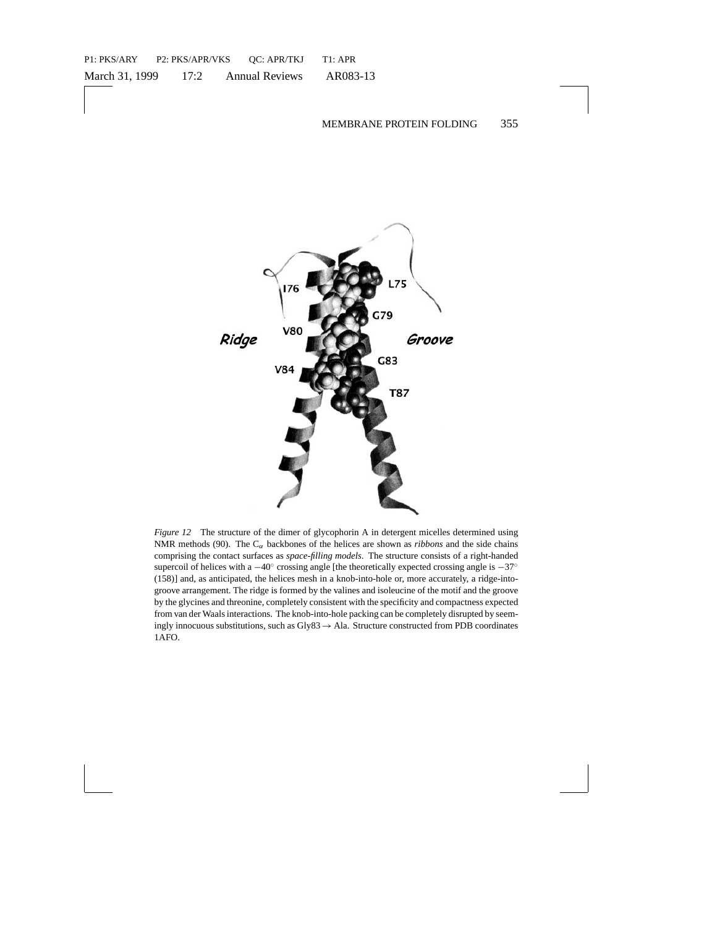

*Figure 12* The structure of the dimer of glycophorin A in detergent micelles determined using NMR methods (90). The  $C_{\alpha}$  backbones of the helices are shown as *ribbons* and the side chains comprising the contact surfaces as *space-filling models*. The structure consists of a right-handed supercoil of helices with a  $-40°$  crossing angle [the theoretically expected crossing angle is  $-37°$ (158)] and, as anticipated, the helices mesh in a knob-into-hole or, more accurately, a ridge-intogroove arrangement. The ridge is formed by the valines and isoleucine of the motif and the groove by the glycines and threonine, completely consistent with the specificity and compactness expected from van der Waals interactions. The knob-into-hole packing can be completely disrupted by seemingly innocuous substitutions, such as  $Gly83 \rightarrow Ala$ la. Structure constructed from PDB coordinates 1AFO.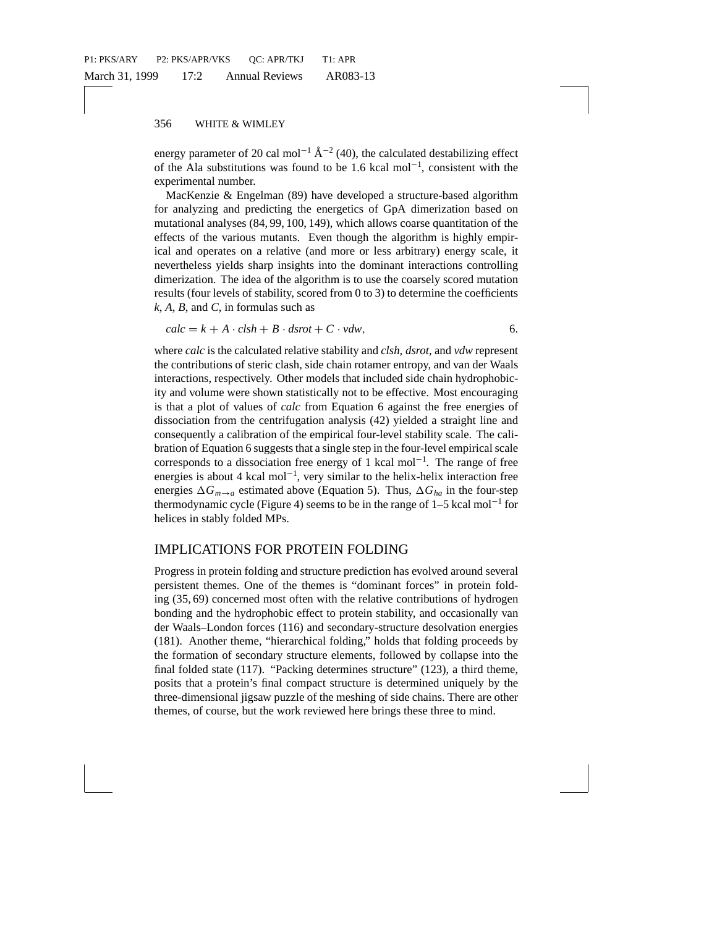energy parameter of 20 cal mol<sup>-1</sup>  $\rm \AA^{-2}$  (40), the calculated destabilizing effect of the Ala substitutions was found to be 1.6 kcal mol<sup>−</sup><sup>1</sup> , consistent with the experimental number.

MacKenzie & Engelman (89) have developed a structure-based algorithm for analyzing and predicting the energetics of GpA dimerization based on mutational analyses (84, 99, 100, 149), which allows coarse quantitation of the effects of the various mutants. Even though the algorithm is highly empirical and operates on a relative (and more or less arbitrary) energy scale, it nevertheless yields sharp insights into the dominant interactions controlling dimerization. The idea of the algorithm is to use the coarsely scored mutation results (four levels of stability, scored from 0 to 3) to determine the coefficients *k*, *A*, *B*, and *C*, in formulas such as

$$
calc = k + A \cdot clsh + B \cdot dsrot + C \cdot vdw,
$$

where *calc* is the calculated relative stability and *clsh, dsrot*, and *vdw* represent the contributions of steric clash, side chain rotamer entropy, and van der Waals interactions, respectively. Other models that included side chain hydrophobicity and volume were shown statistically not to be effective. Most encouraging is that a plot of values of *calc* from Equation 6 against the free energies of dissociation from the centrifugation analysis (42) yielded a straight line and consequently a calibration of the empirical four-level stability scale. The calibration of Equation 6 suggests that a single step in the four-level empirical scale corresponds to a dissociation free energy of 1 kcal mol<sup>-1</sup>. The range of free energies is about 4 kcal mol<sup>-1</sup>, very similar to the helix-helix interaction free energies  $\Delta G_{m\rightarrow a}$  estimated above (Equation 5). Thus,  $\Delta G_{ha}$  in the four-step thermodynamic cycle (Figure 4) seems to be in the range of  $1-5$  kcal mol<sup>-1</sup> for helices in stably folded MPs.

## IMPLICATIONS FOR PROTEIN FOLDING

Progress in protein folding and structure prediction has evolved around several persistent themes. One of the themes is "dominant forces" in protein folding (35, 69) concerned most often with the relative contributions of hydrogen bonding and the hydrophobic effect to protein stability, and occasionally van der Waals–London forces (116) and secondary-structure desolvation energies (181). Another theme, "hierarchical folding," holds that folding proceeds by the formation of secondary structure elements, followed by collapse into the final folded state (117). "Packing determines structure" (123), a third theme, posits that a protein's final compact structure is determined uniquely by the three-dimensional jigsaw puzzle of the meshing of side chains. There are other themes, of course, but the work reviewed here brings these three to mind.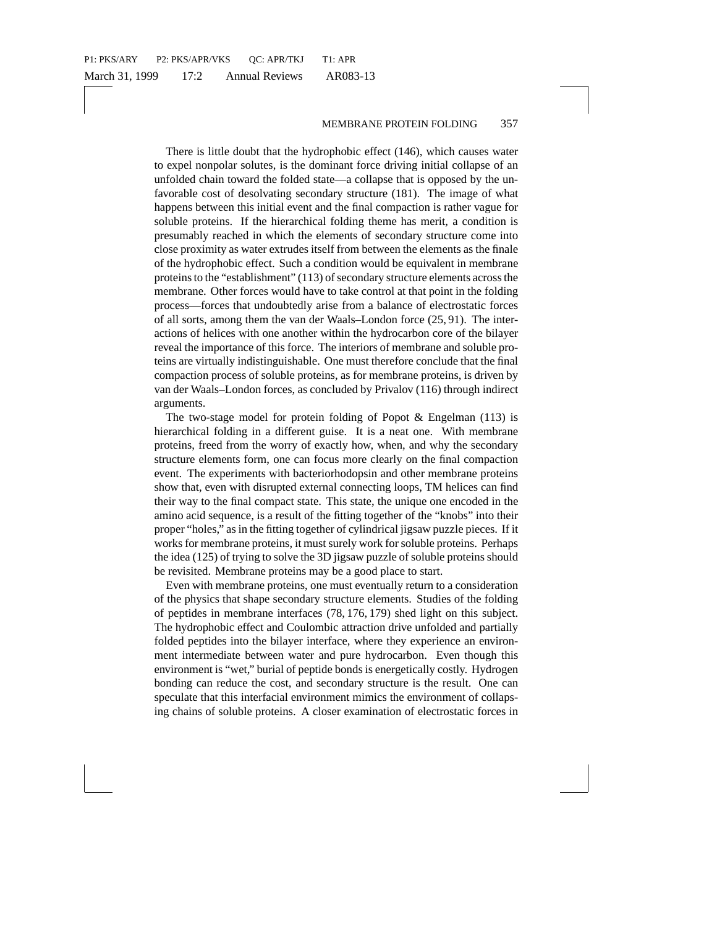There is little doubt that the hydrophobic effect (146), which causes water to expel nonpolar solutes, is the dominant force driving initial collapse of an unfolded chain toward the folded state—a collapse that is opposed by the unfavorable cost of desolvating secondary structure (181). The image of what happens between this initial event and the final compaction is rather vague for soluble proteins. If the hierarchical folding theme has merit, a condition is presumably reached in which the elements of secondary structure come into close proximity as water extrudes itself from between the elements as the finale of the hydrophobic effect. Such a condition would be equivalent in membrane proteins to the "establishment" (113) of secondary structure elements across the membrane. Other forces would have to take control at that point in the folding process—forces that undoubtedly arise from a balance of electrostatic forces of all sorts, among them the van der Waals–London force (25, 91). The interactions of helices with one another within the hydrocarbon core of the bilayer reveal the importance of this force. The interiors of membrane and soluble proteins are virtually indistinguishable. One must therefore conclude that the final compaction process of soluble proteins, as for membrane proteins, is driven by van der Waals–London forces, as concluded by Privalov (116) through indirect arguments.

The two-stage model for protein folding of Popot & Engelman (113) is hierarchical folding in a different guise. It is a neat one. With membrane proteins, freed from the worry of exactly how, when, and why the secondary structure elements form, one can focus more clearly on the final compaction event. The experiments with bacteriorhodopsin and other membrane proteins show that, even with disrupted external connecting loops, TM helices can find their way to the final compact state. This state, the unique one encoded in the amino acid sequence, is a result of the fitting together of the "knobs" into their proper "holes," as in the fitting together of cylindrical jigsaw puzzle pieces. If it works for membrane proteins, it must surely work for soluble proteins. Perhaps the idea (125) of trying to solve the 3D jigsaw puzzle of soluble proteins should be revisited. Membrane proteins may be a good place to start.

Even with membrane proteins, one must eventually return to a consideration of the physics that shape secondary structure elements. Studies of the folding of peptides in membrane interfaces (78, 176, 179) shed light on this subject. The hydrophobic effect and Coulombic attraction drive unfolded and partially folded peptides into the bilayer interface, where they experience an environment intermediate between water and pure hydrocarbon. Even though this environment is "wet," burial of peptide bonds is energetically costly. Hydrogen bonding can reduce the cost, and secondary structure is the result. One can speculate that this interfacial environment mimics the environment of collapsing chains of soluble proteins. A closer examination of electrostatic forces in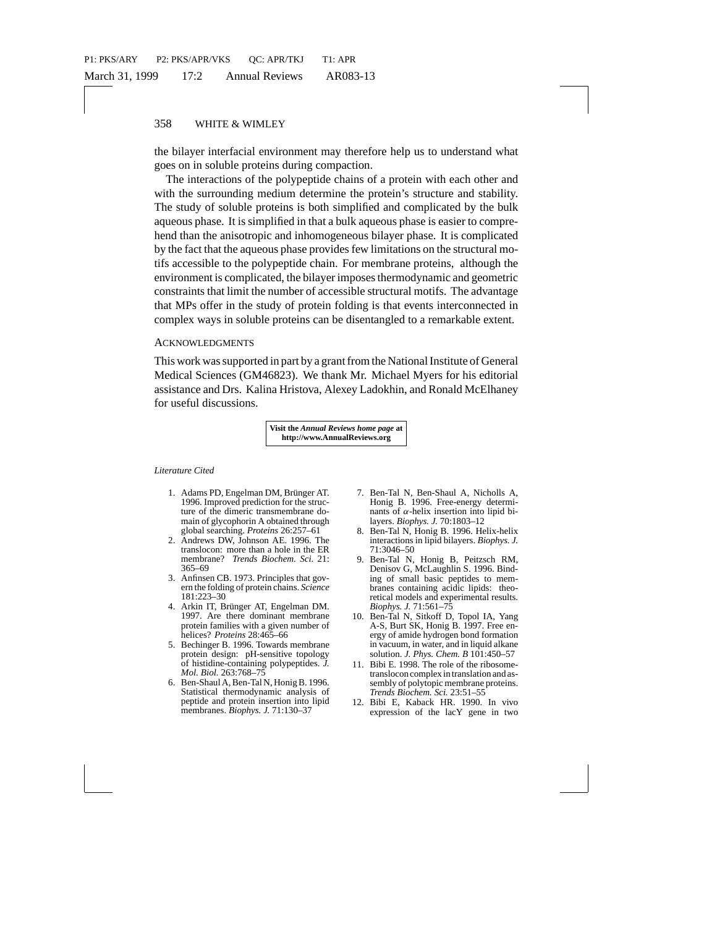the bilayer interfacial environment may therefore help us to understand what goes on in soluble proteins during compaction.

The interactions of the polypeptide chains of a protein with each other and with the surrounding medium determine the protein's structure and stability. The study of soluble proteins is both simplified and complicated by the bulk aqueous phase. It is simplified in that a bulk aqueous phase is easier to comprehend than the anisotropic and inhomogeneous bilayer phase. It is complicated by the fact that the aqueous phase provides few limitations on the structural motifs accessible to the polypeptide chain. For membrane proteins, although the environment is complicated, the bilayer imposes thermodynamic and geometric constraints that limit the number of accessible structural motifs. The advantage that MPs offer in the study of protein folding is that events interconnected in complex ways in soluble proteins can be disentangled to a remarkable extent.

#### ACKNOWLEDGMENTS

This work was supported in part by a grant from the National Institute of General Medical Sciences (GM46823). We thank Mr. Michael Myers for his editorial assistance and Drs. Kalina Hristova, Alexey Ladokhin, and Ronald McElhaney for useful discussions.

> **Visit the** *Annual Reviews home page* **at http://www.AnnualReviews.org**

#### *Literature Cited*

- 1. Adams PD, Engelman DM, Brünger AT. 1996. Improved prediction for the structure of the dimeric transmembrane domain of glycophorin A obtained through global searching. *Proteins* 26:257–61
- 2. Andrews DW, Johnson AE. 1996. The translocon: more than a hole in the ER membrane? *Trends Biochem. Sci.* 21: 365–69
- 3. Anfinsen CB. 1973. Principles that govern the folding of protein chains. *Science* 181:223–30
- 4. Arkin IT, Brünger AT, Engelman DM. 1997. Are there dominant membrane protein families with a given number of helices? *Proteins* 28:465–66
- 5. Bechinger B. 1996. Towards membrane protein design: pH-sensitive topology of histidine-containing polypeptides. *J. Mol. Biol.* 263:768–75
- 6. Ben-Shaul A, Ben-Tal N, Honig B. 1996. Statistical thermodynamic analysis of peptide and protein insertion into lipid membranes. *Biophys. J.* 71:130–37
- 7. Ben-Tal N, Ben-Shaul A, Nicholls A, Honig B. 1996. Free-energy determinants of α-helix insertion into lipid bilayers. *Biophys. J.* 70:1803–12
- 8. Ben-Tal N, Honig B. 1996. Helix-helix interactions in lipid bilayers. *Biophys. J.* 71:3046–50
- 9. Ben-Tal N, Honig B, Peitzsch RM, Denisov G, McLaughlin S. 1996. Binding of small basic peptides to membranes containing acidic lipids: theoretical models and experimental results. *Biophys. J.* 71:561–75
- 10. Ben-Tal N, Sitkoff D, Topol IA, Yang A-S, Burt SK, Honig B. 1997. Free energy of amide hydrogen bond formation in vacuum, in water, and in liquid alkane solution. *J. Phys. Chem. B* 101:450–57
- 11. Bibi E. 1998. The role of the ribosometranslocon complex in translation and assembly of polytopic membrane proteins. *Trends Biochem. Sci.* 23:51–55
- 12. Bibi E, Kaback HR. 1990. In vivo expression of the lacY gene in two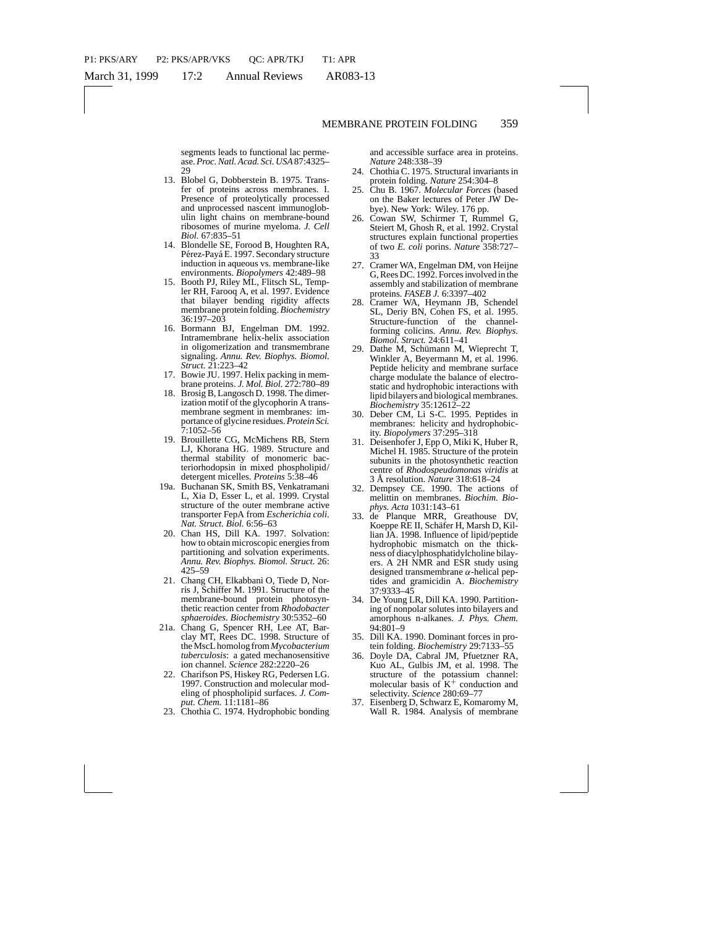segments leads to functional lac permease.*Proc. Natl. Acad. Sci. USA*87:4325–  $29$ 

- 13. Blobel G, Dobberstein B. 1975. Transfer of proteins across membranes. I. Presence of proteolytically processed and unprocessed nascent immunoglobulin light chains on membrane-bound ribosomes of murine myeloma. *J. Cell Biol.* 67:835–51
- 14. Blondelle SE, Forood B, Houghten RA, Pérez-Payá E. 1997. Secondary structure induction in aqueous vs. membrane-like environments. *Biopolymers* 42:489–98
- 15. Booth PJ, Riley ML, Flitsch SL, Templer RH, Farooq A, et al. 1997. Evidence that bilayer bending rigidity affects membrane protein folding.*Biochemistry* 36:197–203
- 16. Bormann BJ, Engelman DM. 1992. Intramembrane helix-helix association in oligomerization and transmembrane signaling. *Annu. Rev. Biophys. Biomol. Struct.* 21:223–42
- 17. Bowie JU. 1997. Helix packing in membrane proteins. *J. Mol. Biol.* 272:780–89
- 18. Brosig B, Langosch D. 1998. The dimerization motif of the glycophorin A transmembrane segment in membranes: importance of glycine residues.*Protein Sci.* 7:1052–56
- 19. Brouillette CG, McMichens RB, Stern LJ, Khorana HG. 1989. Structure and thermal stability of monomeric bacteriorhodopsin in mixed phospholipid/ detergent micelles. *Proteins* 5:38–46
- 19a. Buchanan SK, Smith BS, Venkatramani L, Xia D, Esser L, et al. 1999. Crystal structure of the outer membrane active transporter FepA from *Escherichia coli*. *Nat. Struct. Biol.* 6:56–63
- 20. Chan HS, Dill KA. 1997. Solvation: how to obtain microscopic energies from partitioning and solvation experiments. *Annu. Rev. Biophys. Biomol. Struct.* 26: 425–59
- 21. Chang CH, Elkabbani O, Tiede D, Norris J, Schiffer M. 1991. Structure of the membrane-bound protein photosynthetic reaction center from *Rhodobacter sphaeroides*. *Biochemistry* 30:5352–60
- 21a. Chang G, Spencer RH, Lee AT, Barclay MT, Rees DC. 1998. Structure of the MscL homolog from *Mycobacterium tuberculosis*: a gated mechanosensitive ion channel. *Science* 282:2220–26
- 22. Charifson PS, Hiskey RG, Pedersen LG. 1997. Construction and molecular modeling of phospholipid surfaces. *J. Comput. Chem.* 11:1181–86
- 23. Chothia C. 1974. Hydrophobic bonding

and accessible surface area in proteins. *Nature* 248:338–39

- 24. Chothia C. 1975. Structural invariants in protein folding. *Nature* 254:304–8
- 25. Chu B. 1967. *Molecular Forces* (based on the Baker lectures of Peter JW Debye). New York: Wiley. 176 pp.
- 26. Cowan SW, Schirmer T, Rummel G, Steiert M, Ghosh R, et al. 1992. Crystal structures explain functional properties of two *E. coli* porins. *Nature* 358:727– 33
- 27. Cramer WA, Engelman DM, von Heijne G, Rees DC. 1992. Forces involved in the assembly and stabilization of membrane proteins. *FASEB J.* 6:3397–402
- 28. Cramer WA, Heymann JB, Schendel SL, Deriy BN, Cohen FS, et al. 1995. Structure-function of the channelforming colicins. *Annu. Rev. Biophys. Biomol. Struct.* 24:611–41
- 29. Dathe M, Schümann M, Wieprecht T, Winkler A, Beyermann M, et al. 1996. Peptide helicity and membrane surface charge modulate the balance of electrostatic and hydrophobic interactions with lipid bilayers and biological membranes. *Biochemistry* 35:12612–22
- 30. Deber CM, Li S-C. 1995. Peptides in membranes: helicity and hydrophobicity. *Biopolymers* 37:295–318
- 31. Deisenhofer J, Epp O, Miki K, Huber R, Michel H. 1985. Structure of the protein subunits in the photosynthetic reaction centre of *Rhodospeudomonas viridis* at 3 Å resolution. *Nature* 318:618-24
- 32. Dempsey CE. 1990. The actions of melittin on membranes. *Biochim. Biophys. Acta* 1031:143–61
- 33. de Planque MRR, Greathouse DV, Koeppe RE II, Schäfer H, Marsh D, Killian JA. 1998. Influence of lipid/peptide hydrophobic mismatch on the thickness of diacylphosphatidylcholine bilayers. A 2H NMR and ESR study using designed transmembrane  $\alpha$ -helical peptides and gramicidin A. *Biochemistry* 37:9333–45
- 34. De Young LR, Dill KA. 1990. Partitioning of nonpolar solutes into bilayers and amorphous n-alkanes. *J. Phys. Chem.* 94:801–9
- 35. Dill KA. 1990. Dominant forces in protein folding. *Biochemistry* 29:7133–55
- 36. Doyle DA, Cabral JM, Pfuetzner RA, Kuo AL, Gulbis JM, et al. 1998. The structure of the potassium channel: molecular basis of  $K^+$  conduction and selectivity. *Science* 280:69–77
- 37. Eisenberg D, Schwarz E, Komaromy M, Wall R. 1984. Analysis of membrane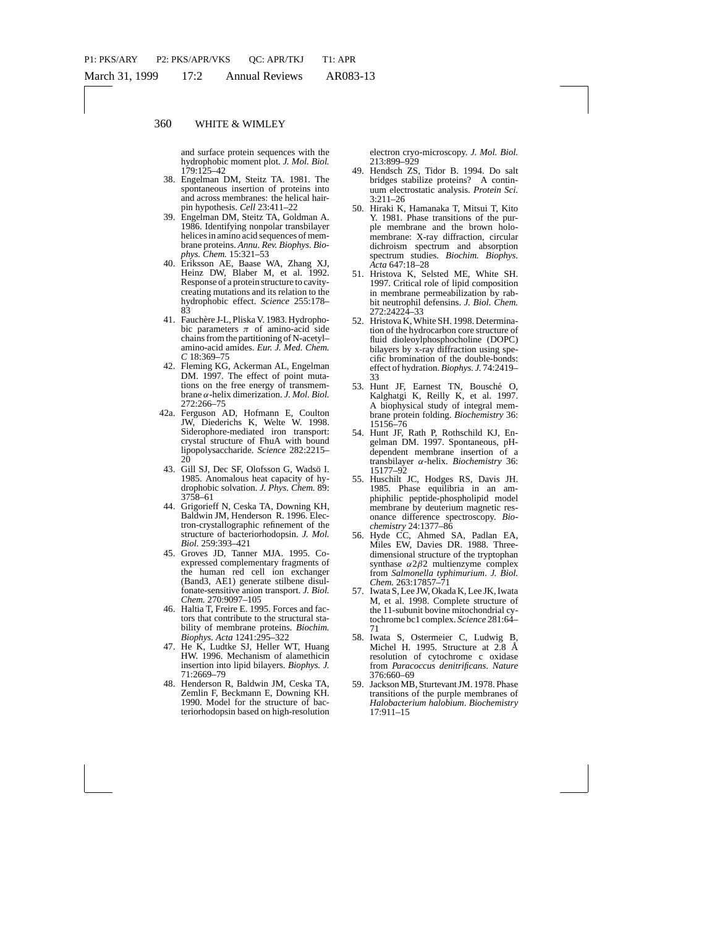and surface protein sequences with the hydrophobic moment plot. *J. Mol. Biol.* 179:125–42

- 38. Engelman DM, Steitz TA. 1981. The spontaneous insertion of proteins into and across membranes: the helical hairpin hypothesis. *Cell* 23:411–22
- 39. Engelman DM, Steitz TA, Goldman A. 1986. Identifying nonpolar transbilayer helices in amino acid sequences of membrane proteins. *Annu. Rev. Biophys. Biophys. Chem.* 15:321–53
- 40. Eriksson AE, Baase WA, Zhang XJ, Heinz DW, Blaber M, et al. 1992. Response of a protein structure to cavitycreating mutations and its relation to the hydrophobic effect. *Science* 255:178– 83
- 41. Fauchère J-L, Pliska V. 1983. Hydrophobic parameters  $\pi$  of amino-acid side chains from the partitioning of N-acetyl– amino-acid amides. *Eur. J. Med. Chem. C* 18:369–75
- 42. Fleming KG, Ackerman AL, Engelman DM. 1997. The effect of point mutations on the free energy of transmembrane α-helix dimerization. *J. Mol. Biol.* 272:266–75
- 42a. Ferguson AD, Hofmann E, Coulton JW, Diederichs K, Welte W. 1998. Siderophore-mediated iron transport: crystal structure of FhuA with bound lipopolysaccharide. *Science* 282:2215– 20
- 43. Gill SJ, Dec SF, Olofsson G, Wadsö I. 1985. Anomalous heat capacity of hydrophobic solvation. *J. Phys. Chem.* 89: 3758–61
- 44. Grigorieff N, Ceska TA, Downing KH, Baldwin JM, Henderson R. 1996. Electron-crystallographic refinement of the structure of bacteriorhodopsin. *J. Mol. Biol.* 259:393–421
- 45. Groves JD, Tanner MJA. 1995. Coexpressed complementary fragments of the human red cell ion exchanger (Band3, AE1) generate stilbene disulfonate-sensitive anion transport. *J. Biol. Chem.* 270:9097–105
- 46. Haltia T, Freire E. 1995. Forces and factors that contribute to the structural stability of membrane proteins. *Biochim. Biophys. Acta* 1241:295–322
- 47. He K, Ludtke SJ, Heller WT, Huang HW. 1996. Mechanism of alamethicin insertion into lipid bilayers. *Biophys. J.* 71:2669–79
- 48. Henderson R, Baldwin JM, Ceska TA, Zemlin F, Beckmann E, Downing KH. 1990. Model for the structure of bacteriorhodopsin based on high-resolution

electron cryo-microscopy. *J. Mol. Biol.* 213:899–929

- 49. Hendsch ZS, Tidor B. 1994. Do salt bridges stabilize proteins? A continuum electrostatic analysis. *Protein Sci.* 3:211–26
- 50. Hiraki K, Hamanaka T, Mitsui T, Kito Y. 1981. Phase transitions of the purple membrane and the brown holomembrane: X-ray diffraction, circular dichroism spectrum and absorption spectrum studies. *Biochim. Biophys. Acta* 647:18–28
- 51. Hristova K, Selsted ME, White SH. 1997. Critical role of lipid composition in membrane permeabilization by rabbit neutrophil defensins. *J. Biol. Chem.* 272:24224–33
- 52. Hristova K, White SH. 1998. Determination of the hydrocarbon core structure of fluid dioleoylphosphocholine (DOPC) bilayers by x-ray diffraction using specific bromination of the double-bonds: effect of hydration. *Biophys. J.* 74:2419– 33
- 53. Hunt JF, Earnest TN, Bousché O, Kalghatgi K, Reilly K, et al. 1997. A biophysical study of integral membrane protein folding. *Biochemistry* 36: 15156–76
- 54. Hunt JF, Rath P, Rothschild KJ, Engelman DM. 1997. Spontaneous, pHdependent membrane insertion of a transbilayer α-helix. *Biochemistry* 36: 15177–92
- 55. Huschilt JC, Hodges RS, Davis JH. 1985. Phase equilibria in an amphiphilic peptide-phospholipid model membrane by deuterium magnetic resonance difference spectroscopy. *Biochemistry* 24:1377–86
- 56. Hyde CC, Ahmed SA, Padlan EA, Miles EW, Davies DR. 1988. Threedimensional structure of the tryptophan synthase  $\alpha$ 2 $\beta$ 2 multienzyme complex from *Salmonella typhimurium*. *J. Biol. Chem.* 263:17857–71
- 57. Iwata S, Lee JW, Okada K, Lee JK, Iwata M, et al. 1998. Complete structure of the 11-subunit bovine mitochondrial cytochrome bc1 complex. *Science* 281:64– 71
- 58. Iwata S, Ostermeier C, Ludwig B, Michel H. 1995. Structure at 2.8 Å resolution of cytochrome c oxidase from *Paracoccus denitrificans*. *Nature* 376:660–69
- 59. Jackson MB, Sturtevant JM. 1978. Phase transitions of the purple membranes of *Halobacterium halobium*. *Biochemistry* 17:911–15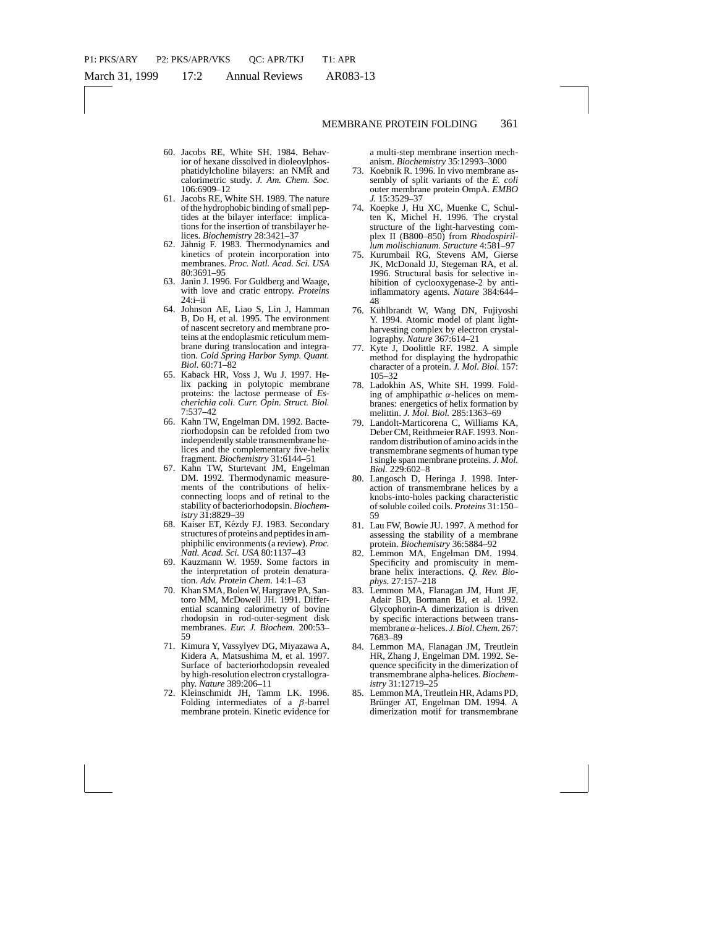- 60. Jacobs RE, White SH. 1984. Behavior of hexane dissolved in dioleoylphosphatidylcholine bilayers: an NMR and calorimetric study. *J. Am. Chem. Soc.* 106:6909–12
- 61. Jacobs RE, White SH. 1989. The nature of the hydrophobic binding of small peptides at the bilayer interface: implications for the insertion of transbilayer helices. *Biochemistry* 28:3421–37
- 62. Jähnig F. 1983. Thermodynamics and kinetics of protein incorporation into membranes. *Proc. Natl. Acad. Sci. USA* 80:3691–95
- 63. Janin J. 1996. For Guldberg and Waage, with love and cratic entropy. *Proteins* 24:i–ii
- 64. Johnson AE, Liao S, Lin J, Hamman B, Do H, et al. 1995. The environment of nascent secretory and membrane proteins at the endoplasmic reticulum membrane during translocation and integration. *Cold Spring Harbor Symp. Quant. Biol.* 60:71–82
- 65. Kaback HR, Voss J, Wu J. 1997. Helix packing in polytopic membrane proteins: the lactose permease of *Escherichia coli*. *Curr. Opin. Struct. Biol.* 7:537–42
- 66. Kahn TW, Engelman DM. 1992. Bacteriorhodopsin can be refolded from two independently stable transmembrane helices and the complementary five-helix fragment. *Biochemistry* 31:6144–51
- 67. Kahn TW, Sturtevant JM, Engelman DM. 1992. Thermodynamic measurements of the contributions of helixconnecting loops and of retinal to the stability of bacteriorhodopsin. *Biochemistry* 31:8829–39
- 68. Kaiser ET, Kézdy FJ. 1983. Secondary structures of proteins and peptides in amphiphilic environments (a review). *Proc. Natl. Acad. Sci. USA* 80:1137–43
- 69. Kauzmann W. 1959. Some factors in the interpretation of protein denaturation. *Adv. Protein Chem.* 14:1–63
- 70. Khan SMA, Bolen W, Hargrave PA, Santoro MM, McDowell JH. 1991. Differential scanning calorimetry of bovine rhodopsin in rod-outer-segment disk membranes. *Eur. J. Biochem.* 200:53– 59
- 71. Kimura Y, Vassylyev DG, Miyazawa A, Kidera A, Matsushima M, et al. 1997. Surface of bacteriorhodopsin revealed by high-resolution electron crystallography. *Nature* 389:206–11
- 72. Kleinschmidt JH, Tamm LK. 1996. Folding intermediates of a  $\beta$ -barrel membrane protein. Kinetic evidence for

a multi-step membrane insertion mechanism. *Biochemistry* 35:12993–3000

- 73. Koebnik R. 1996. In vivo membrane assembly of split variants of the *E. coli* outer membrane protein OmpA. *EMBO J.* 15:3529–37
- 74. Koepke J, Hu XC, Muenke C, Schulten K, Michel H. 1996. The crystal structure of the light-harvesting complex II (B800–850) from *Rhodospirillum molischianum*. *Structure* 4:581–97
- 75. Kurumbail RG, Stevens AM, Gierse JK, McDonald JJ, Stegeman RA, et al. 1996. Structural basis for selective inhibition of cyclooxygenase-2 by antiinflammatory agents. *Nature* 384:644– 48
- 76. Kühlbrandt W, Wang DN, Fujiyoshi Y. 1994. Atomic model of plant lightharvesting complex by electron crystallography. *Nature* 367:614–21
- 77. Kyte J, Doolittle RF. 1982. A simple method for displaying the hydropathic character of a protein. *J. Mol. Biol.* 157: 105–32
- 78. Ladokhin AS, White SH. 1999. Folding of amphipathic  $α$ -helices on membranes: energetics of helix formation by melittin. *J. Mol. Biol.* 285:1363–69
- 79. Landolt-Marticorena C, Williams KA, Deber CM, Reithmeier RAF. 1993. Nonrandom distribution of amino acids in the transmembrane segments of human type I single span membrane proteins. *J. Mol. Biol.* 229:602–8
- 80. Langosch D, Heringa J. 1998. Interaction of transmembrane helices by a knobs-into-holes packing characteristic of soluble coiled coils. *Proteins* 31:150– 59
- 81. Lau FW, Bowie JU. 1997. A method for assessing the stability of a membrane protein. *Biochemistry* 36:5884–92
- 82. Lemmon MA, Engelman DM. 1994. Specificity and promiscuity in membrane helix interactions. *Q. Rev. Biophys.* 27:157–218
- 83. Lemmon MA, Flanagan JM, Hunt JF, Adair BD, Bormann BJ, et al. 1992. Glycophorin-A dimerization is driven by specific interactions between transmembrane α-helices. *J. Biol. Chem.* 267: 7683–89
- 84. Lemmon MA, Flanagan JM, Treutlein HR, Zhang J, Engelman DM. 1992. Sequence specificity in the dimerization of transmembrane alpha-helices. *Biochemistry* 31:12719–25
- 85. Lemmon MA, Treutlein HR, Adams PD, Brünger AT, Engelman DM. 1994. A dimerization motif for transmembrane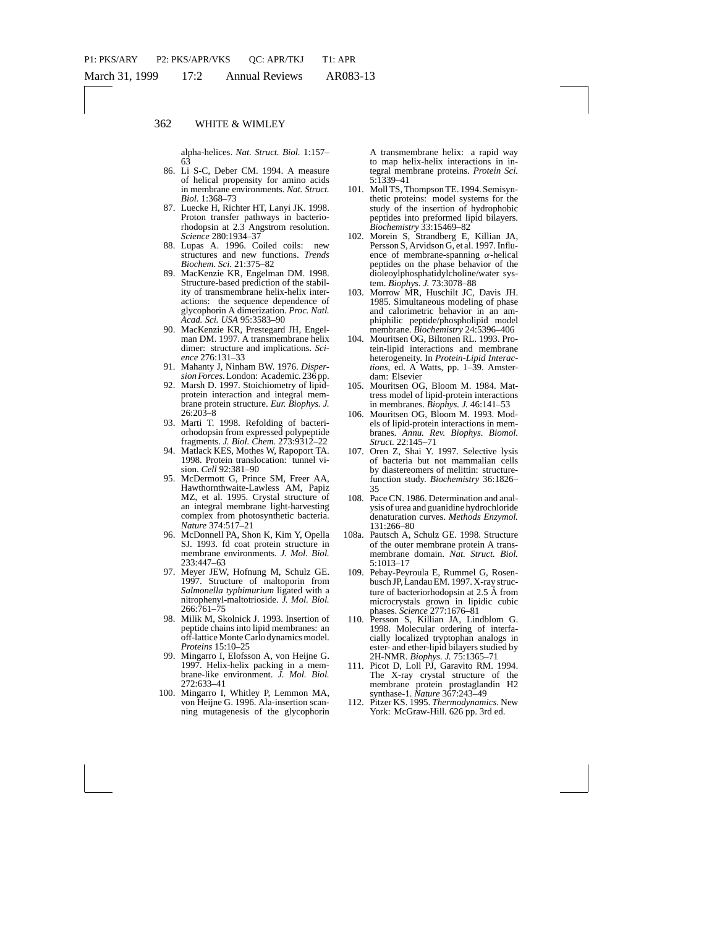alpha-helices. *Nat. Struct. Biol.* 1:157– 63

- 86. Li S-C, Deber CM. 1994. A measure of helical propensity for amino acids in membrane environments. *Nat. Struct. Biol.* 1:368–73
- 87. Luecke H, Richter HT, Lanyi JK. 1998. Proton transfer pathways in bacteriorhodopsin at 2.3 Angstrom resolution. *Science* 280:1934–37
- 88. Lupas A. 1996. Coiled coils: new structures and new functions. *Trends Biochem. Sci.* 21:375–82
- 89. MacKenzie KR, Engelman DM. 1998. Structure-based prediction of the stability of transmembrane helix-helix interactions: the sequence dependence of glycophorin A dimerization. *Proc. Natl. Acad. Sci. USA* 95:3583–90
- 90. MacKenzie KR, Prestegard JH, Engelman DM. 1997. A transmembrane helix dimer: structure and implications. *Science* 276:131–33
- 91. Mahanty J, Ninham BW. 1976. *Dispersion Forces*. London: Academic. 236 pp.
- 92. Marsh D. 1997. Stoichiometry of lipidprotein interaction and integral membrane protein structure. *Eur. Biophys. J.* 26:203–8
- 93. Marti T. 1998. Refolding of bacteriorhodopsin from expressed polypeptide fragments. *J. Biol. Chem.* 273:9312–22
- 94. Matlack KES, Mothes W, Rapoport TA. 1998. Protein translocation: tunnel vision. *Cell* 92:381–90
- 95. McDermott G, Prince SM, Freer AA, Hawthornthwaite-Lawless AM, Papiz MZ, et al. 1995. Crystal structure of an integral membrane light-harvesting complex from photosynthetic bacteria. *Nature* 374:517–21
- 96. McDonnell PA, Shon K, Kim Y, Opella SJ. 1993. fd coat protein structure in membrane environments. *J. Mol. Biol.* 233:447–63
- 97. Meyer JEW, Hofnung M, Schulz GE. 1997. Structure of maltoporin from *Salmonella typhimurium* ligated with a nitrophenyl-maltotrioside. *J. Mol. Biol.* 266:761–75
- 98. Milik M, Skolnick J. 1993. Insertion of peptide chains into lipid membranes: an off-lattice Monte Carlo dynamics model. *Proteins* 15:10–25
- 99. Mingarro I, Elofsson A, von Heijne G. 1997. Helix-helix packing in a membrane-like environment. *J. Mol. Biol.* 272:633–41
- 100. Mingarro I, Whitley P, Lemmon MA, von Heijne G. 1996. Ala-insertion scanning mutagenesis of the glycophorin

A transmembrane helix: a rapid way to map helix-helix interactions in integral membrane proteins. *Protein Sci.* 5:1339–41

- 101. Moll TS, Thompson TE. 1994. Semisynthetic proteins: model systems for the study of the insertion of hydrophobic peptides into preformed lipid bilayers. *Biochemistry* 33:15469–82
- 102. Morein S, Strandberg E, Killian JA, Persson S, Arvidson G, et al. 1997. Influence of membrane-spanning  $\alpha$ -helical peptides on the phase behavior of the dioleoylphosphatidylcholine/water system. *Biophys. J.* 73:3078–88
- 103. Morrow MR, Huschilt JC, Davis JH. 1985. Simultaneous modeling of phase and calorimetric behavior in an amphiphilic peptide/phospholipid model membrane. *Biochemistry* 24:5396–406
- 104. Mouritsen OG, Biltonen RL. 1993. Protein-lipid interactions and membrane heterogeneity. In *Protein-Lipid Interactions*, ed. A Watts, pp. 1–39. Amsterdam: Elsevier
- 105. Mouritsen OG, Bloom M. 1984. Mattress model of lipid-protein interactions in membranes. *Biophys. J.* 46:141–53
- 106. Mouritsen OG, Bloom M. 1993. Models of lipid-protein interactions in membranes. *Annu. Rev. Biophys. Biomol. Struct.* 22:145–71
- 107. Oren Z, Shai Y. 1997. Selective lysis of bacteria but not mammalian cells by diastereomers of melittin: structurefunction study. *Biochemistry* 36:1826– 35
- 108. Pace CN. 1986. Determination and analysis of urea and guanidine hydrochloride denaturation curves. *Methods Enzymol.* 131:266–80
- 108a. Pautsch A, Schulz GE. 1998. Structure of the outer membrane protein A transmembrane domain. *Nat. Struct. Biol.* 5:1013–17
- 109. Pebay-Peyroula E, Rummel G, Rosenbusch JP, Landau EM. 1997. X-ray structure of bacteriorhodopsin at  $2.5 \text{ Å}$  from microcrystals grown in lipidic cubic phases. *Science* 277:1676–81
- 110. Persson S, Killian JA, Lindblom G. 1998. Molecular ordering of interfacially localized tryptophan analogs in ester- and ether-lipid bilayers studied by 2H-NMR. *Biophys. J.* 75:1365–71
- 111. Picot D, Loll PJ, Garavito RM. 1994. The X-ray crystal structure of the membrane protein prostaglandin H2 synthase-1. *Nature* 367:243–49
- 112. Pitzer KS. 1995. *Thermodynamics*. New York: McGraw-Hill. 626 pp. 3rd ed.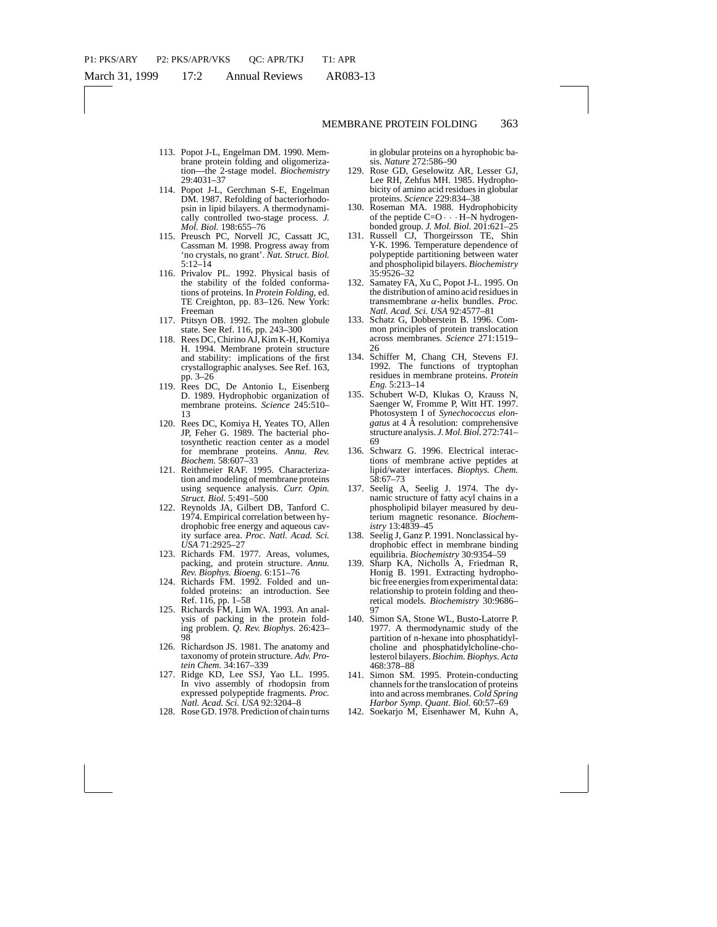- 113. Popot J-L, Engelman DM. 1990. Membrane protein folding and oligomerization—the 2-stage model. *Biochemistry* 29:4031–37
- 114. Popot J-L, Gerchman S-E, Engelman DM. 1987. Refolding of bacteriorhodopsin in lipid bilayers. A thermodynamically controlled two-stage process. *J. Mol. Biol.* 198:655–76
- 115. Preusch PC, Norvell JC, Cassatt JC, Cassman M. 1998. Progress away from 'no crystals, no grant'. *Nat. Struct. Biol.* 5:12–14
- 116. Privalov PL. 1992. Physical basis of the stability of the folded conformations of proteins. In *Protein Folding*, ed. TE Creighton, pp. 83–126. New York: Freeman
- 117. Ptitsyn OB. 1992. The molten globule state. See Ref. 116, pp. 243–300
- 118. Rees DC, Chirino AJ, Kim K-H, Komiya H. 1994. Membrane protein structure and stability: implications of the first crystallographic analyses. See Ref. 163, pp. 3–26
- 119. Rees DC, De Antonio L, Eisenberg D. 1989. Hydrophobic organization of membrane proteins. *Science* 245:510– 13
- 120. Rees DC, Komiya H, Yeates TO, Allen JP, Feher G. 1989. The bacterial photosynthetic reaction center as a model for membrane proteins. *Annu. Rev. Biochem.* 58:607–33
- 121. Reithmeier RAF. 1995. Characterization and modeling of membrane proteins using sequence analysis. *Curr. Opin. Struct. Biol.* 5:491–500
- 122. Reynolds JA, Gilbert DB, Tanford C. 1974. Empirical correlation between hydrophobic free energy and aqueous cavity surface area. *Proc. Natl. Acad. Sci. USA* 71:2925–27
- 123. Richards FM. 1977. Areas, volumes, packing, and protein structure. *Annu. Rev. Biophys. Bioeng.* 6:151–76
- 124. Richards FM. 1992. Folded and unfolded proteins: an introduction. See Ref. 116, pp. 1–58
- 125. Richards FM, Lim WA. 1993. An analysis of packing in the protein folding problem. *Q. Rev. Biophys.* 26:423– 98
- 126. Richardson JS. 1981. The anatomy and taxonomy of protein structure. *Adv. Protein Chem.* 34:167–339
- 127. Ridge KD, Lee SSJ, Yao LL. 1995. In vivo assembly of rhodopsin from expressed polypeptide fragments. *Proc. Natl. Acad. Sci. USA* 92:3204–8
- 128. Rose GD. 1978. Prediction of chain turns

in globular proteins on a hyrophobic basis. *Nature* 272:586–90

- 129. Rose GD, Geselowitz AR, Lesser GJ, Lee RH, Zehfus MH. 1985. Hydrophobicity of amino acid residues in globular proteins. *Science* 229:834–38
- 130. Roseman MA. 1988. Hydrophobicity of the peptide  $C=O \cdots H-N$  hydrogenbonded group. *J. Mol. Biol.* 201:621–25
- 131. Russell CJ, Thorgeirsson TE, Shin Y-K. 1996. Temperature dependence of polypeptide partitioning between water and phospholipid bilayers. *Biochemistry* 35:9526–32
- 132. Samatey FA, Xu C, Popot J-L. 1995. On the distribution of amino acid residues in transmembrane α-helix bundles. *Proc. Natl. Acad. Sci. USA* 92:4577–81
- 133. Schatz G, Dobberstein B. 1996. Common principles of protein translocation across membranes. *Science* 271:1519– 26
- 134. Schiffer M, Chang CH, Stevens FJ. 1992. The functions of tryptophan residues in membrane proteins. *Protein Eng.* 5:213–14
- 135. Schubert W-D, Klukas O, Krauss N, Saenger W, Fromme P, Witt HT. 1997. Photosystem I of *Synechococcus elongatus* at 4 Å resolution: comprehensive structure analysis. *J. Mol. Biol.* 272:741– 69
- 136. Schwarz G. 1996. Electrical interactions of membrane active peptides at lipid/water interfaces. *Biophys. Chem.* 58:67–73
- 137. Seelig A, Seelig J. 1974. The dynamic structure of fatty acyl chains in a phospholipid bilayer measured by deuterium magnetic resonance. *Biochemistry* 13:4839–45
- 138. Seelig J, Ganz P. 1991. Nonclassical hydrophobic effect in membrane binding equilibria. *Biochemistry* 30:9354–59
- 139. Sharp KA, Nicholls A, Friedman R, Honig B. 1991. Extracting hydrophobic free energies from experimental data: relationship to protein folding and theoretical models. *Biochemistry* 30:9686– 97
- 140. Simon SA, Stone WL, Busto-Latorre P. 1977. A thermodynamic study of the partition of n-hexane into phosphatidylcholine and phosphatidylcholine-cholesterol bilayers. *Biochim. Biophys. Acta* 468:378–88
- 141. Simon SM. 1995. Protein-conducting channels for the translocation of proteins into and across membranes. *Cold Spring Harbor Symp. Quant. Biol.* 60:57–69
- 142. Soekarjo M, Eisenhawer M, Kuhn A,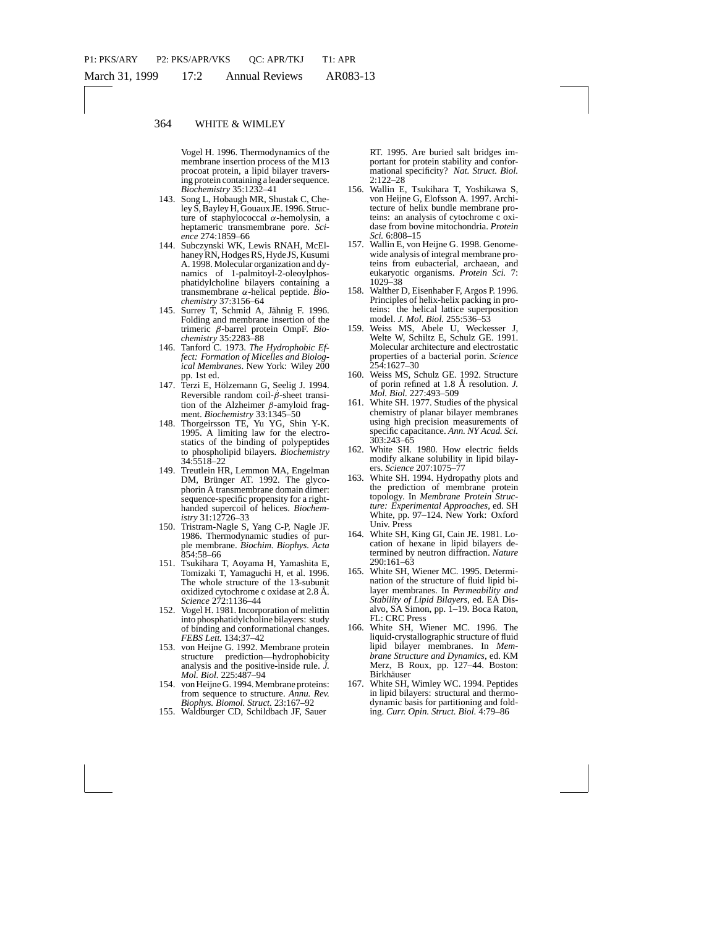Vogel H. 1996. Thermodynamics of the membrane insertion process of the M13 procoat protein, a lipid bilayer traversing protein containing a leader sequence. *Biochemistry* 35:1232–41

- 143. Song L, Hobaugh MR, Shustak C, Cheley S, Bayley H, Gouaux JE. 1996. Structure of staphylococcal α-hemolysin, a heptameric transmembrane pore. *Science* 274:1859–66
- 144. Subczynski WK, Lewis RNAH, McElhaney RN, Hodges RS, Hyde JS, Kusumi A. 1998. Molecular organization and dynamics of 1-palmitoyl-2-oleoylphosphatidylcholine bilayers containing a transmembrane α-helical peptide. *Biochemistry* 37:3156–64
- 145. Surrey T, Schmid A, Jähnig F. 1996. Folding and membrane insertion of the trimeric β-barrel protein OmpF. *Biochemistry* 35:2283–88
- 146. Tanford C. 1973. *The Hydrophobic Effect: Formation of Micelles and Biological Membranes*. New York: Wiley 200 pp. 1st ed.
- 147. Terzi E, Hölzemann G, Seelig J. 1994. Reversible random coil- $\dot{\beta}$ -sheet transition of the Alzheimer  $\beta$ -amyloid fragment. *Biochemistry* 33:1345–50
- 148. Thorgeirsson TE, Yu YG, Shin Y-K. 1995. A limiting law for the electrostatics of the binding of polypeptides to phospholipid bilayers. *Biochemistry* 34:5518–22
- 149. Treutlein HR, Lemmon MA, Engelman DM, Brünger AT. 1992. The glycophorin A transmembrane domain dimer: sequence-specific propensity for a righthanded supercoil of helices. *Biochemistry* 31:12726–33
- 150. Tristram-Nagle S, Yang C-P, Nagle JF. 1986. Thermodynamic studies of purple membrane. *Biochim. Biophys. Acta* 854:58–66
- 151. Tsukihara T, Aoyama H, Yamashita E, Tomizaki T, Yamaguchi H, et al. 1996. The whole structure of the 13-subunit oxidized cytochrome c oxidase at 2.8 Å. *Science* 272:1136–44
- 152. Vogel H. 1981. Incorporation of melittin into phosphatidylcholine bilayers: study of binding and conformational changes. *FEBS Lett.* 134:37–42
- 153. von Heijne G. 1992. Membrane protein structure prediction—hydrophobicity analysis and the positive-inside rule. *J. Mol. Biol.* 225:487–94
- 154. von Heijne G. 1994. Membrane proteins: from sequence to structure. *Annu. Rev. Biophys. Biomol. Struct.* 23:167–92
- 155. Waldburger CD, Schildbach JF, Sauer

RT. 1995. Are buried salt bridges important for protein stability and conformational specificity? *Nat. Struct. Biol.* 2:122–28

- 156. Wallin E, Tsukihara T, Yoshikawa S, von Heijne G, Elofsson A. 1997. Architecture of helix bundle membrane proteins: an analysis of cytochrome c oxidase from bovine mitochondria. *Protein Sci.* 6:808–15
- 157. Wallin E, von Heijne G. 1998. Genomewide analysis of integral membrane proteins from eubacterial, archaean, and eukaryotic organisms. *Protein Sci.* 7: 1029–38
- 158. Walther D, Eisenhaber F, Argos P. 1996. Principles of helix-helix packing in proteins: the helical lattice superposition model. *J. Mol. Biol.* 255:536–53
- 159. Weiss MS, Abele U, Weckesser J, Welte W, Schiltz E, Schulz GE. 1991. Molecular architecture and electrostatic properties of a bacterial porin. *Science* 254:1627–30
- 160. Weiss MS, Schulz GE. 1992. Structure of porin refined at 1.8 Å resolution. *J*. *Mol. Biol.* 227:493–509
- 161. White SH. 1977. Studies of the physical chemistry of planar bilayer membranes using high precision measurements of specific capacitance. *Ann. NY Acad. Sci.* 303:243–65
- 162. White SH. 1980. How electric fields modify alkane solubility in lipid bilayers. *Science* 207:1075–77
- 163. White SH. 1994. Hydropathy plots and the prediction of membrane protein topology. In *Membrane Protein Structure: Experimental Approaches*, ed. SH White, pp. 97–124. New York: Oxford Univ. Press
- 164. White SH, King GI, Cain JE. 1981. Location of hexane in lipid bilayers determined by neutron diffraction. *Nature* 290:161–63
- 165. White SH, Wiener MC. 1995. Determination of the structure of fluid lipid bilayer membranes. In *Permeability and Stability of Lipid Bilayers*, ed. EA Disalvo, SA Simon, pp. 1–19. Boca Raton, FL: CRC Press
- 166. White SH, Wiener MC. 1996. The liquid-crystallographic structure of fluid lipid bilayer membranes. In *Membrane Structure and Dynamics*, ed. KM Merz, B Roux, pp. 127–44. Boston: **Birkhäuser**
- 167. White SH, Wimley WC. 1994. Peptides in lipid bilayers: structural and thermodynamic basis for partitioning and folding. *Curr. Opin. Struct. Biol.* 4:79–86